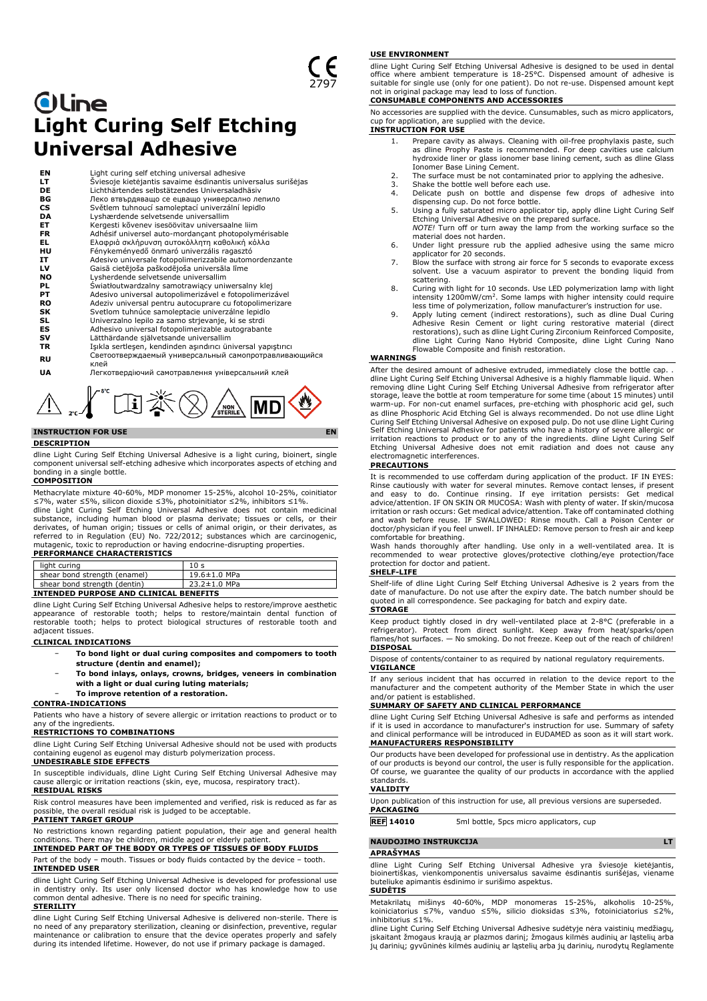# **Oline Light Curing Self Etching Universal Adhesive**

| EN        | Light curing self etching universal adhesive                  |
|-----------|---------------------------------------------------------------|
| LT.       | Šviesoje kietėjantis savaime ėsdinantis universalus surišėjas |
| DE        | Lichthärtendes selbstätzendes Universaladhäsiv                |
| ВG        | Леко втвърдяващо се ецващо универсално лепило                 |
| CS.       | Světlem tuhnoucí samoleptací univerzální lepidlo              |
| DA        | Lyshærdende selvetsende universallim                          |
| ET.       | Kergesti kõvenev isesöövitav universaalne liim                |
| FR        | Adhésif universel auto-mordançant photopolymérisable          |
| EL.       | Ελαφριά σκληρυνση αυτοκόλλητη καθολική κόλλα                  |
| HU        | Fénykeményedő önmaró univerzális ragasztó                     |
| IT        | Adesivo universale fotopolimerizzabile automordenzante        |
| LV        | Gaisā cietējoša paškodējoša universāla līme                   |
| <b>NO</b> | Lysherdende selvetsende universallim                          |
| PL        | Światłoutwardzalny samotrawiący uniwersalny klej              |
| PТ        | Adesivo universal autopolimerizável e fotopolimerizável       |
| <b>RO</b> | Adeziv universal pentru autocuprare cu fotopolimerizare       |
| SK.       | Svetlom tuhnúce samoleptacie univerzálne lepidlo              |
| SL        | Univerzalno lepilo za samo strjevanje, ki se strdi            |
| ES        | Adhesivo universal fotopolimerizable autograbante             |
| sv        | Lätthärdande självetsande universallim                        |
| TR        | Işıkla sertleşen, kendinden aşındırıcı üniversal yapıştırıcı  |
| RU        | Светоотверждаемый универсальный самопротравливающийся<br>клей |
| UA        | Легкотвердіючий самотравлення універсальний клей              |

 $\bigwedge_{\cdot\cdot\cdot\cdot}$   $\bigwedge^{r^{\mathfrak{c}}}$   $\bigcap_{\mathbf{i}\in\mathcal{I}}\tilde{\mathbb{X}}\bigotimes\bigwedge_{\mathbf{s}\in\mathsf{RRL}}$ 

# **INSTRUCTION FOR USE EN**

**DESCRIPTION**

dline Light Curing Self Etching Universal Adhesive is a light curing, bioinert, single component universal self-etching adhesive which incorporates aspects of etching and bonding in a single bottle.

### **COMPOSITION**

Methacrylate mixture 40-60%, MDP monomer 15-25%, alcohol 10-25%, coinitiator ≤7%, water ≤5%, silicon dioxide ≤3%, photoinitiator ≤2%, inhibitors ≤1%. dline Light Curing Self Etching Universal Adhesive does not contain medicinal substance, including human blood or plasma derivate; tissues or cells, or their<br>derivates, of human origin; tissues or cells of animal origin, or their derivates, as<br>referred to in Regulation (EU) No. 722/2012; substances

# **PERFORMANCE CHARACTERISTICS**

| light curing                           | 10 <sub>s</sub> |  |
|----------------------------------------|-----------------|--|
| shear bond strength (enamel)           | 19.6±1.0 MPa    |  |
| shear bond strength (dentin)           | 23.2±1.0 MPa    |  |
| INTENDED PURPOSE AND CLINICAL BENEFITS |                 |  |

dline Light Curing Self Etching Universal Adhesive helps to restore/improve aesthetic<br>appearance of restorable tooth; helps to restore/maintain dental function of<br>restorable tooth; helps to protect biological adjacent tissues.

## **CLINICAL INDICATIONS**

- − **To bond light or dual curing composites and compomers to tooth structure (dentin and enamel);**
- − **To bond inlays, onlays, crowns, bridges, veneers in combination with a light or dual curing luting materials;**
- − **To improve retention of a restoration.**
- **CONTRA-INDICATIONS**

Patients who have a history of severe allergic or irritation reactions to product or to any of the ingredients.

## **RESTRICTIONS TO COMBINATIONS**

dline Light Curing Self Etching Universal Adhesive should not be used with products containing eugenol as eugenol may disturb polymerization process. **UNDESIRABLE SIDE EFFECTS**

In susceptible individuals, dline Light Curing Self Etching Universal Adhesive may cause allergic or irritation reactions (skin, eye, mucosa, respiratory tract). **RESIDUAL RISKS**

Risk control measures have been implemented and verified, risk is reduced as far as possible, the overall residual risk is judged to be acceptable. **PATIENT TARGET GROUP**

No restrictions known regarding patient population, their age and general health conditions. There may be children, middle aged or elderly patient.

# **INTENDED PART OF THE BODY OR TYPES OF TISSUES OF BODY FLUIDS**

Part of the body – mouth. Tissues or body fluids contacted by the device – tooth. **INTENDED USER**

dline Light Curing Self Etching Universal Adhesive is developed for professional use in dentistry only. Its user only licensed doctor who has knowledge how to use common dental adhesive. There is no need for specific training. **STERILITY**

dline Light Curing Self Etching Universal Adhesive is delivered non-sterile. There is no need of any preparatory sterilization, cleaning or disinfection, preventive, regular maintenance or calibration to ensure that the device operates properly and safely during its intended lifetime. However, do not use if primary package is damaged.

#### **USE ENVIRONMENT**

dline Light Curing Self Etching Universal Adhesive is designed to be used in dental office where ambient temperature is 18-25°C. Dispensed amount of adhesive is suitable for single use (only for one patient). Do not re-use. Dispensed amount kept not in original package may lead to loss of function.

# **CONSUMABLE COMPONENTS AND ACCESSORIES**

No accessories are supplied with the device. Cunsumables, such as micro applicators, cup for application, are supplied with the device.

# **INSTRUCTION FOR USE**

- 1. Prepare cavity as always. Cleaning with oil-free prophylaxis paste, such as dline Prophy Paste is recommended. For deep cavities use calcium hydroxide liner or glass ionomer base lining cement, such as dline Glass Ionomer Base Lining Cement.
- 2. The surface must be not contaminated prior to applying the adhesive. 3. Shake the bottle well before each use.
- 
- 4. Delicate push on bottle and dispense few drops of adhesive into dispensing cup. Do not force bottle. 5. Using a fully saturated micro applicator tip, apply dline Light Curing Self
- Etching Universal Adhesive on the prepared surface. *NOTE!* Turn off or turn away the lamp from the working surface so the
- material does not harden. 6. Under light pressure rub the applied adhesive using the same micro applicator for 20 seconds.
- 7. Blow the surface with strong air force for 5 seconds to evaporate excess solvent. Use a vacuum aspirator to prevent the bonding liquid from scattering.
- 8. Curing with light for 10 seconds. Use LED polymerization lamp with light intensity 1200mW/cm<sup>2</sup> . Some lamps with higher intensity could require less time of polymerization, follow manufacturer's instruction for use.
- 9. Apply luting cement (indirect restorations), such as dline Dual Curing Adhesive Resin Cement or light curing restorative material (direct restorations), such as dline Light Curing Zirconium Reinforced Composite, dline Light Curing Nano Hybrid Composite, dline Light Curing Nano Flowable Composite and finish restoration.

#### **WARNINGS**

After the desired amount of adhesive extruded, immediately close the bottle cap. . dline Light Curing Self Etching Universal Adhesive is a highly flammable liquid. When removing dline Light Curing Self Etching Universal Adhesive from refrigerator after storage, leave the bottle at room temperature for some time (about 15 minutes) until warm-up. For non-cut enamel surfaces, pre-etching with phosphoric acid gel, such as dline Phosphoric Acid Etching Gel is always recommended. Do not use dline Light Curing Self Etching Universal Adhesive on exposed pulp. Do not use dline Light Curing Self Etching Universal Adhesive for patients who have a history of severe allergic or irritation reactions to product or to any of the ingredients. dline Light Curing Self Etching Universal Adhesive does not emit radiation and does not cause any electromagnetic interferences.

#### **PRECAUTIONS**

It is recommended to use cofferdam during application of the product. IF IN EYES: Rinse cautiously with water for several minutes. Remove contact lenses, if present<br>and easy to do. Continue rinsing. If eye irritation persists: Get medical<br>advice/attention. IF ON SKIN OR MUCOSA: Wash with plenty of water doctor/physician if you feel unwell. IF INHALED: Remove person to fresh air and keep comfortable for breathing.

Wash hands thoroughly after handling. Use only in a well-ventilated area. It is recommended to wear protective gloves/protective clothing/eye protection/face protection for doctor and patient.

#### **SHELF-LIFE**

Shelf-life of dline Light Curing Self Etching Universal Adhesive is 2 years from the date of manufacture. Do not use after the expiry date. The batch number should be quoted in all correspondence. See packaging for batch and expiry date. **STORAGE**

Keep product tightly closed in dry well-ventilated place at 2-8°C (preferable in a refrigerator). Protect from direct sunlight. Keep away from heat/sparks/open flames/hot surfaces. — No smoking. Do not freeze. Keep out of the reach of children! **DISPOSAL**

Dispose of contents/container to as required by national regulatory requirements. **VIGILANCE**

If any serious incident that has occurred in relation to the device report to the manufacturer and the competent authority of the Member State in which the user and/or patient is established.

# **SUMMARY OF SAFETY AND CLINICAL PERFORMANCE**

dline Light Curing Self Etching Universal Adhesive is safe and performs as intended if it is used in accordance to manufacturer's instruction for use. Summary of safety and clinical performance will be introduced in EUDAMED as soon as it will start work. **MANUFACTURERS RESPONSIBILITY**

Our products have been developed for professional use in dentistry. As the application of our products is beyond our control, the user is fully responsible for the application. Of course, we guarantee the quality of our products in accordance with the applied standards.

# **VALIDITY**

| Upon publication of this instruction for use, all previous versions are superseded. |
|-------------------------------------------------------------------------------------|
| PACKAGING                                                                           |
|                                                                                     |

**REF 14010** 5ml bottle, 5pcs micro applicators, cup

# **NAUDOJIMO INSTRUKCIJA LT**

#### **APRAŠYMAS**

dline Light Curing Self Etching Universal Adhesive yra šviesoje kietėjantis, bioinertiškas, vienkomponentis universalus savaime ėsdinantis surišėjas, viename buteliuke apimantis ėsdinimo ir surišimo aspektus.

### **SUDĖTIS**

Metakrilatų mišinys 40-60%, MDP monomeras 15-25%, alkoholis 10-25%, koiniciatorius ≤7%, vanduo ≤5%, silicio dioksidas ≤3%, fotoiniciatorius ≤2%, inhibitorius ≤1%.

dline Light Curing Self Etching Universal Adhesive sudėtyje nėra vaistinių medžiagų, įskaitant žmogaus kraują ar plazmos darinį; žmogaus kilmės audinių ar ląstelių arba jų darinių; gyvūninės kilmės audinių ar ląstelių arba jų darinių, nurodytų Reglamente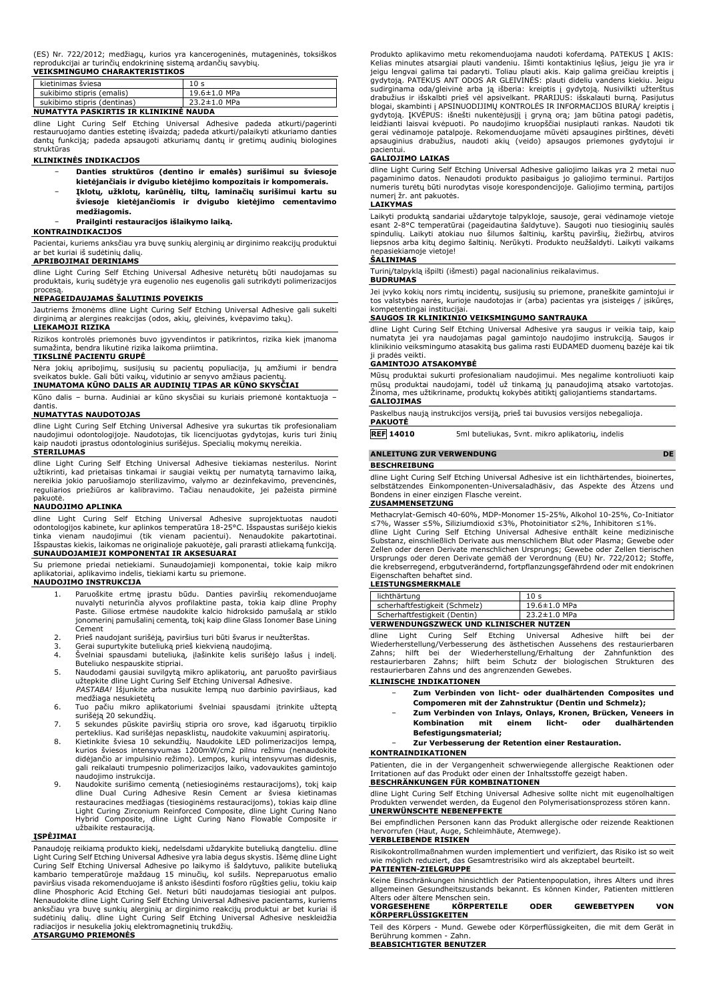|  |  | (ES) Nr. 722/2012; medžiagų, kurios yra kancerogeninės, mutageninės, toksiškos |  |
|--|--|--------------------------------------------------------------------------------|--|
|  |  | reprodukcijai ar turinčių endokrininę sistemą ardančių savybių.                |  |

| <b>VEIKSMINGUMO CHARAKTERISTIKOS</b>  |                    |  |
|---------------------------------------|--------------------|--|
| kietinimas šviesa                     | 10 <sub>s</sub>    |  |
| sukibimo stipris (emalis)             | $19.6 \pm 1.0$ MPa |  |
| sukibimo stipris (dentinas)           | $23.2 \pm 1.0$ MPa |  |
| NUMATYTA PASKIRTIS IR KLINIKINĖ NAUDA |                    |  |

dline Light Curing Self Etching Universal Adhesive padeda atkurti/pagerinti restauruojamo danties estetinę išvaizdą; padeda atkurti/palaikyti atkuriamo danties dantų funkciją; padeda apsaugoti atkuriamų dantų ir gretimų audinių biologines struktūras

#### **KLINIKINĖS INDIKACIJOS**

- − **Danties struktūros (dentino ir emalės) surišimui su šviesoje kietėjančiais ir dvigubo kietėjimo kompozitais ir kompomerais.**
- − **Įklotų, užklotų, karūnėlių, tiltų, laminačių surišimui kartu su šviesoje kietėjančiomis ir dvigubo kietėjimo cementavimo medžiagomis.**

# − **Prailginti restauracijos išlaikymo laiką.**

# **KONTRAINDIKACIJOS**

Pacientai, kuriems anksčiau yra buvę sunkių alerginių ar dirginimo reakcijų produktui ar bet kuriai iš sudėtinių dalių. **APRIBOJIMAI DERINIAMS**

dline Light Curing Self Etching Universal Adhesive neturėtų būti naudojamas su produktais, kurių sudėtyje yra eugenolio nes eugenolis gali sutrikdyti polimerizacijos

# procesą. **NEPAGEIDAUJAMAS ŠALUTINIS POVEIKIS**

Jautriems žmonėms dline Light Curing Self Etching Universal Adhesive gali sukelti dirginimą ar alergines reakcijas (odos, akių, gleivinės, kvėpavimo takų). **LIEKAMOJI RIZIKA**

# Rizikos kontrolės priemonės buvo įgyvendintos ir patikrintos, rizika kiek įmanoma sumažinta, bendra likutinė rizika laikoma priimtina.

# **TIKSLINĖ PACIENTU GRUPĖ**

Nėra jokių apribojimų, susijusių su pacientų populiacija, jų amžiumi ir bendra sveikatos bukle. Gali būti vaikų, vidutinio ar senyvo amžiaus pacientų.

**INUMATOMA KŪNO DALIS AR AUDINIŲ TIPAS AR KŪNO SKYSČIAI** Kūno dalis – burna. Audiniai ar kūno skysčiai su kuriais priemonė kontaktuoja –

#### dantis. **NUMATYTAS NAUDOTOJAS**

dline Light Curing Self Etching Universal Adhesive yra sukurtas tik profesionaliam naudojimui odontologijoje. Naudotojas, tik licencijuotas gydytojas, kuris turi žinių kaip naudoti įprastus odontologinius surišėjus. Specialių mokymų nereikia. **STERILUMAS**

dline Light Curing Self Etching Universal Adhesive tiekiamas nesterilus. Norint užtikrinti, kad prietaisas tinkamai ir saugiai veiktų per numatytą tarnavimo laiką,<br>nereikia jokio paruošiamojo sterilizavimo, valymo ar dezinfekavimo, prevencinės,<br>reguliarios priežiūros ar kalibravimo. Tačiau nenaudokite pakuotė.

# **NAUDOJIMO APLINKA**

dline Light Curing Self Etching Universal Adhesive suprojektuotas naudoti odontologijos kabinete, kur aplinkos temperatūra 18-25°C. Išspaustas surišėjo kiekis tinka vienam naudojimui (tik vienam pacientui). Nenaudokite pakartotinai. Išspaustas kiekis, laikomas ne originalioje pakuotėje, gali prarasti atliekamą funkciją. **SUNAUDOJAMIEJI KOMPONENTAI IR AKSESUARAI**

Su priemone priedai netiekiami. Sunaudojamieji komponentai, tokie kaip mikro aplikavimo indelis, tiekiami kartu su priemone. **NAUDOJIMO INSTRUKCIJA**

- 1. Paruoškite ertmę įprastu būdu. Danties paviršių rekomenduojame nuvalyti neturinčia alyvos profilaktine pasta, tokia kaip dline Prophy Paste. Giliose ertmėse naudokite kalcio hidroksido pamušalą ar stiklo jonomerinį pamušalinį cementą, tokį kaip dline Glass Ionomer Base Lining Cement
- 2. Prieš naudojant surišėją, paviršius turi būti švarus ir neužterštas.<br>3. Gerai supurtykite buteliuka prieš kiekviena naudojima.
- Gerai supurtykite buteliuką prieš kiekvieną naudojimą
- 4. Švelniai spausdami buteliuką, įlašinkite kelis surišėjo lašus į indelį. Buteliuko nespauskite stipriai.
- 5. Naudodami gausiai suvilgytą mikro aplikatorių, ant paruošto paviršiaus užtepkite dline Light Curing Self Etching Universal Adhesive. *PASTABA!* Išjunkite arba nusukite lempą nuo darbinio paviršiaus, kad
- medžiaga nesukietėtų 6. Tuo pačiu mikro aplikatoriumi švelniai spausdami įtrinkite užteptą
- surišėją 20 sekundžių. 7. 5 sekundes pūskite paviršių stipria oro srove, kad išgaruotų tirpiklio
- perteklius. Kad surišėjas nepasklistų, naudokite vakuuminį aspiratorių.<br>8. Kietinkite šviesa 10 sekundžių. Naudokite LED polimerizacijos lempą,<br>kurios šviesos intensyvumas 1200mW/cm2 pilnu režimu (nenaudokite didėjančio ar impulsinio režimo). Lempos, kurių intensyvumas didesnis,
- gali reikalauti trumpesnio polimerizacijos laiko, vadovaukites gamintojo
- naudojimo instrukcija.<br>9. Naudokite surišimo cementą (netiesioginėms restauracijoms), tokį kaip<br>dline Dual Curing Adhesive Resin Cement ar šviesa kietinamas<br>restauracines medžiagas (tiesioginėms restauracijoms), tokias kai

#### **ĮSPĖJIMAI**

Panaudoję reikiamą produkto kiekį, nedelsdami uždarykite buteliuką dangteliu. dline Light Curing Self Etching Universal Adhesive yra labia degus skystis. Išėmę dline Light<br>Curing Self Etching Universal Adhesive po laikymo iš šaldytuvo, palikite buteliuką<br>kambario temperatūroje maždaug 15 minučių, kol paviršius visada rekomenduojame iš anksto išėsdinti fosforo rūgšties geliu, tokiu kaip dline Phosphoric Acid Etching Gel. Neturi būti naudojamas tiesiogiai ant pulpos. Nenaudokite dline Light Curing Self Etching Universal Adhesive pacientams, kuriems anksčiau yra buvę sunkių alerginių ar dirginimo reakcijų produktui ar bet kuriai iš<br>sudėtinių dalių. dline Light Curing Self Etching Universal Adhesive neskleidžia<br>radiacijos ir nesukelia jokių elektromagnetinių trukdžių.

# **ATSARGUMO PRIEMONĖS**

Produkto aplikavimo metu rekomenduojama naudoti koferdamą. PATEKUS Į AKIS: Kelias minutes atsargiai plauti vandeniu. Išimti kontaktinius lęšius, jeigu jie yra ir jeigu lengvai galima tai padaryti. Toliau plauti akis. Kaip galima greičiau kreiptis į gydytoją. PATEKUS ANT ODOS AR GLEIVINĖS: plauti dideliu vandens kiekiu. Jeigu sudirginama oda/gleivinė arba ją išberia: kreiptis į gydytoją. Nusivilkti užterštus<br>drabužius ir išskalbti prieš vėl apsivelkant. PRARIJUS: išskalauti burną. Pasijutus<br>blogai, skambinti į APSINUODIJIMŲ KONTROLĖS IR INFORMA gydytoją. ĮKVĖPUS: išnešti nukentėjusįjį į gryną orą; jam būtina patogi padėtis, leidžianti laisvai kvėpuoti. Po naudojimo kruopščiai nusiplauti rankas. Naudoti tik gerai vėdinamoje patalpoje. Rekomenduojame mūvėti apsaugines pirštines, dėvėti apsauginius drabužius, naudoti akių (veido) apsaugos priemones gydytojui ir pacientui.

#### **GALIOJIMO LAIKAS**

dline Light Curing Self Etching Universal Adhesive galiojimo laikas yra 2 metai nuo pagaminimo datos. Nenaudoti produkto pasibaigus jo galiojimo terminui. Partijos numeris turėtų būti nurodytas visoje korespondencijoje. Galiojimo terminą, partijos numerį žr. ant pakuotės.

#### **LAIKYMAS**

Laikyti produktą sandariai uždarytoje talpykloje, sausoje, gerai vėdinamoje vietoje<br>esant 2-8°C temperatūrai (pageidautina šaldytuve). Saugoti nuo tiesioginių saulės<br>spindulių. Laikyti atokiau nuo šilumos šaltinių, karštų liepsnos arba kitų degimo šaltinių. Nerūkyti. Produkto neužšaldyti. Laikyti vaikams nepasiekiamoje vietoje! **ŠALINIMAS**

Turinį/talpyklą išpilti (išmesti) pagal nacionalinius reikalavimus.

# **BUDRUMAS**

Jei įvyko kokių nors rimtų incidentų, susijusių su priemone, praneškite gamintojui ir tos valstybės narės, kurioje naudotojas ir (arba) pacientas yra įsisteigęs / įsikūręs, kompetentingai institucijai.

## **SAUGOS IR KLINIKINIO VEIKSMINGUMO SANTRAUKA**

dline Light Curing Self Etching Universal Adhesive yra saugus ir veikia taip, kaip numatyta jei yra naudojamas pagal gamintojo naudojimo instrukciją. Saugos ir klinikinio veiksmingumo atasakitą bus galima rasti EUDAMED duomenų bazėje kai tik

# ji pradės veikti. **GAMINTOJO ATSAKOMYBĖ**

Mūsų produktai sukurti profesionaliam naudojimui. Mes negalime kontroliuoti kaip mūsų produktai naudojami, todėl už tinkamą jų panaudojimą atsako vartotojas. Žinoma, mes užtikriname, produktų kokybės atitiktį galiojantiems standartams. **GALIOJIMAS**

Paskelbus naują instrukcijos versiją, prieš tai buvusios versijos nebegalioja. **PAKUOTĖ**

**REF 14010** 5ml buteliukas, 5vnt. mikro aplikatorių, indelis

### **ANLEITUNG ZUR VERWENDUNG DE**

#### **BESCHREIBUNG**

dline Light Curing Self Etching Universal Adhesive ist ein lichthärtendes, bioinertes, selbstätzendes Einkomponenten-Universaladhäsiv, das Aspekte des Ätzens und Bondens in einer einzigen Flasche vereint.

# **ZUSAMMENSETZUNG**

Methacrylat-Gemisch 40-60%, MDP-Monomer 15-25%, Alkohol 10-25%, Co-Initiator ≤7%, Wasser ≤5%, Siliziumdioxid ≤3%, Photoinitiator ≤2%, Inhibitoren ≤1%.

dline Light Curing Self Etching Universal Adhesive enthält keine medizinische Substanz, einschließlich Derivate aus menschlichem Blut oder Plasma; Gewebe oder Zellen oder deren Derivate menschlichen Ursprungs; Gewebe oder Zellen tierischen Ursprungs oder deren Derivate gemäß der Verordnung (EU) Nr. 722/2012; Stoffe, die krebserregend, erbgutverändernd, fortpflanzungsgefährdend oder mit endokrinen

# Eigenschaften behaftet sind. **LEISTUNGSMERKMALE**

| lichthärtung                                  | 10 <sub>s</sub>    |  |
|-----------------------------------------------|--------------------|--|
| scherhaftfestigkeit (Schmelz)                 | $19.6 \pm 1.0$ MPa |  |
| Scherhaftfestigkeit (Dentin)                  | 23.2±1.0 MPa       |  |
| <b>VERWENDUNGSZWECK UND KLINISCHER NUTZEN</b> |                    |  |

dline Light Curing Self Etching Universal Adhesive hilft bei der Wiederherstellung/Verbesserung des ästhetischen Aussehens des restaurierbaren Zahns; hilft bei der Wiederherstellung/Erhaltung der Zahnfunktion des<br>restaurierbaren Zahns; hilft beim Schutz der biologischen Strukturen des<br>restaurierbaren Zahns und des angrenzenden Gewebes.

- − **Zum Verbinden von licht- oder dualhärtenden Composites und Compomeren mit der Zahnstruktur (Dentin und Schmelz);**
- **Kombination mit einem licht- oder dualhärtenden**
- − **Zur Verbesserung der Retention einer Restauration.**

Patienten, die in der Vergangenheit schwerwiegende allergische Reaktionen oder Irritationen auf das Produkt oder einen der Inhaltsstoffe gezeigt haben. **BESCHRÄNKUNGEN FÜR KOMBINATIONEN**

dline Light Curing Self Etching Universal Adhesive sollte nicht mit eugenolhaltigen Produkten verwendet werden, da Eugenol den Polymerisationsprozess stören kann. **UNERWÜNSCHTE NEBENEFFEKTE**

Bei empfindlichen Personen kann das Produkt allergische oder reizende Reaktionen hervorrufen (Haut, Auge, Schleimhäute, Atemwege). **VERBLEIBENDE RISIKEN**

Risikokontrollmaßnahmen wurden implementiert und verifiziert, das Risiko ist so weit wie möglich reduziert, das Gesamtrestrisiko wird als akzeptabel beurteilt. **PATIENTEN-ZIELGRUPPE**

Keine Einschränkungen hinsichtlich der Patientenpopulation, ihres Alters und ihres allgemeinen Gesundheitszustands bekannt. Es können Kinder, Patienten mittleren Alters oder ältere Menschen sein.

| <b>VORGESEHENE</b>         | <b>KORPERTEILE</b> | ODER | <b>GEWEBETYPEN</b> | VON |
|----------------------------|--------------------|------|--------------------|-----|
| <b>KÖRPERFLÜSSIGKEITEN</b> |                    |      |                    |     |

Teil des Körpers - Mund. Gewebe oder Körperflüssigkeiten, die mit dem Gerät in Berührung kommen - Zahn. **BEABSICHTIGTER BENUTZER**

**KLINISCHE INDIKATIONEN**

# **Befestigungsmaterial;**

#### **KONTRAINDIKATIONEN**

− **Zum Verbinden von Inlays, Onlays, Kronen, Brücken, Veneers in**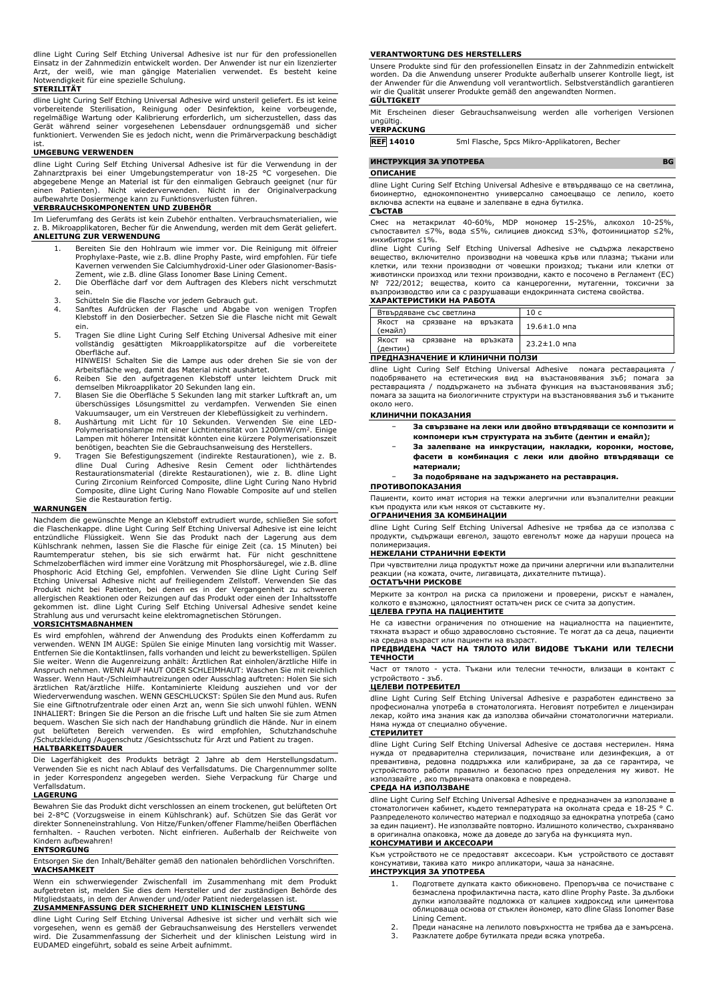dline Light Curing Self Etching Universal Adhesive ist nur für den professionellen Einsatz in der Zahnmedizin entwickelt worden. Der Anwender ist nur ein lizenzierter Arzt, der weiß, wie man gängige Materialien verwendet. Es besteht keine Notwendigkeit für eine spezielle Schulung.

### **STERILITÄT**

dline Light Curing Self Etching Universal Adhesive wird unsteril geliefert. Es ist keine vorbereitende Sterilisation, Reinigung oder Desinfektion, keine vorbeugende,<br>regelmäßige Wartung oder Kalibrierung erforderlich, um sicherzustellen, dass das<br>Gerät während seiner vorgesehenen Lebensdauer ordnungsgemäß und funktioniert. Verwenden Sie es jedoch nicht, wenn die Primärverpackung beschädigt

# ist. **UMGEBUNG VERWENDEN**

dline Light Curing Self Etching Universal Adhesive ist für die Verwendung in der Zahnarztpraxis bei einer Umgebungstemperatur von 18-25 °C vorgesehen. Die abgegebene Menge an Material ist für den einmaligen Gebrauch geeignet (nur für<br>einen Patienten). Nicht wiederverwenden. Nicht in der Originalverpackung<br>aufbewahrte Dosiermenge kann zu Funktionsverlusten führen.

# **VERBRAUCHSKOMPONENTEN UND ZUBEHÖR**

Im Lieferumfang des Geräts ist kein Zubehör enthalten. Verbrauchsmaterialien, wie z. B. Mikroapplikatoren, Becher für die Anwendung, werden mit dem Gerät geliefert. **ANLEITUNG ZUR VERWENDUNG**

- 1. Bereiten Sie den Hohlraum wie immer vor. Die Reinigung mit ölfreier Prophylaxe-Paste, wie z.B. dline Prophy Paste, wird empfohlen. Für tiefe Kavernen verwenden Sie Calciumhydroxid-Liner oder Glasionomer-Basis-Zement, wie z.B. dline Glass Ionomer Base Lining Cement.
- 2. Die Oberfläche darf vor dem Auftragen des Klebers nicht verschmutzt sein.
- 3. Schütteln Sie die Flasche vor jedem Gebrauch gut.<br>4. Sanftes Aufdrücken der Flasche und Abgabe v
- 4. Sanftes Aufdrücken der Flasche und Abgabe von wenigen Tropfen Klebstoff in den Dosierbecher. Setzen Sie die Flasche nicht mit Gewalt
- ein. 5. Tragen Sie dline Light Curing Self Etching Universal Adhesive mit einer vollständig gesättigten Mikroapplikatorspitze auf die vorbereitete Oberfläche auf. HINWEIS! Schalten Sie die Lampe aus oder drehen Sie sie von der

Arbeitsfläche weg, damit das Material nicht aushärtet.

- 6. Reiben Sie den aufgetragenen Klebstoff unter leichtem Druck mit demselben Mikroapplikator 20 Sekunden lang ein.
- 7. Blasen Sie die Oberfläche 5 Sekunden lang mit starker Luftkraft an, um überschüssiges Lösungsmittel zu verdampfen. Verwenden Sie einen Vakuumsauger, um ein Verstreuen der Klebeflüssigkeit zu verhindern.
- 8. Aushärtung mit Licht für 10 Sekunden. Verwenden Sie eine LED-<br>Polymerisationslampe mit einer Lichtintensität von 1200mW/cm<sup>2</sup>. Einige Lampen mit höherer Intensität könnten eine kürzere Polymerisationszeit benötigen, beachten Sie die Gebrauchsanweisung des Herstellers.
- 9. Tragen Sie Befestigungszement (indirekte Restaurationen), wie z. B. dline Dual Curing Adhesive Resin Cement oder lichthärtendes Restaurationsmaterial (direkte Restaurationen), wie z. B. dline Light Curing Zirconium Reinforced Composite, dline Light Curing Nano Hybrid Composite, dline Light Curing Nano Flowable Composite auf und stellen Sie die Restauration fertig.

#### **WARNUNGEN**

Nachdem die gewünschte Menge an Klebstoff extrudiert wurde, schließen Sie sofort die Flaschenkappe. dline Light Curing Self Etching Universal Adhesive ist eine leicht entzündliche Flüssigkeit. Wenn Sie das Produkt nach der Lagerung aus dem Kühlschrank nehmen, lassen Sie die Flasche für einige Zeit (ca. 15 Minuten) bei<br>Raumtemperatur stehen, bis sie sich erwärmt hat. Für nicht geschnittene<br>Schmelzoberflächen wird immer eine Vorätzung mit Phosphorsäur Phosphoric Acid Etching Gel, empfohlen. Verwenden Sie dline Light Curing Self Etching Universal Adhesive nicht auf freiliegendem Zellstoff. Verwenden Sie das Produkt nicht bei Patienten, bei denen es in der Vergangenheit zu schweren<br>allergischen Reaktionen oder Reizungen auf das Produkt oder einen der Inhaltsstoffe<br>gekommen ist. dline Light Curing Self Etching Universal Adhesiv

# **VORSICHTSMAßNAHMEN**

Es wird empfohlen, während der Anwendung des Produkts einen Kofferdamm zu verwenden. WENN IM AUGE: Spülen Sie einige Minuten lang vorsichtig mit Wasser. Entfernen Sie die Kontaktlinsen, falls vorhanden und leicht zu bewerkstelligen. Spülen Sie weiter. Wenn die Augenreizung anhält: Ärztlichen Rat einholen/ärztliche Hilfe in Anspruch nehmen. WENN AUF HAUT ODER SCHLEIMHAUT: Waschen Sie mit reichlich Wasser. Wenn Haut-/Schleimhautreizungen oder Ausschlag auftreten: Holen Sie sich<br>ärztlichen Rat/ärztliche Hilfe. Kontaminierte Kleidung ausziehen und vor der<br>Wiederverwendung waschen. WENN GESCHLUCKST: Spülen Sie d INHALIERT: Bringen Sie die Person an die frische Luft und halten Sie sie zum Atmen bequem. Waschen Sie sich nach der Handhabung gründlich die Hände. Nur in einem gut belüfteten Bereich verwenden. Es wird empfohlen, Schutzhandschuhe /Schutzkleidung /Augenschutz /Gesichtsschutz für Arzt und Patient zu tragen.

# **HALTBARKEITSDAUER**

Die Lagerfähigkeit des Produkts beträgt 2 Jahre ab dem Herstellungsdatum. Verwenden Sie es nicht nach Ablauf des Verfallsdatums. Die Chargennummer sollte in jeder Korrespondenz angegeben werden. Siehe Verpackung für Charge und Verfallsdatum.

#### **LAGERUNG**

Bewahren Sie das Produkt dicht verschlossen an einem trockenen, gut belüfteten Ort bei 2-8°C (Vorzugsweise in einem Kühlschrank) auf. Schützen Sie das Gerät vor direkter Sonneneinstrahlung. Von Hitze/Funken/offener Flamme/heißen Oberflächen fernhalten. - Rauchen verboten. Nicht einfrieren. Außerhalb der Reichweite von Kindern aufbewahren!

#### **ENTSORGUNG**

Entsorgen Sie den Inhalt/Behälter gemäß den nationalen behördlichen Vorschriften. **WACHSAMKEIT**

Wenn ein schwerwiegender Zwischenfall im Zusammenhang mit dem Produkt aufgetreten ist, melden Sie dies dem Hersteller und der zuständigen Behörde des Mitgliedstaats, in dem der Anwender und/oder Patient niedergelassen ist. **ZUSAMMENFASSUNG DER SICHERHEIT UND KLINISCHEN LEISTUNG**

dline Light Curing Self Etching Universal Adhesive ist sicher und verhält sich wie vorgesehen, wenn es gemäß der Gebrauchsanweisung des Herstellers verwendet wird. Die Zusammenfassung der Sicherheit und der klinischen Leistung wird in EUDAMED eingeführt, sobald es seine Arbeit aufnimmt.

#### **VERANTWORTUNG DES HERSTELLERS**

Unsere Produkte sind für den professionellen Einsatz in der Zahnmedizin entwickelt worden. Da die Anwendung unserer Produkte außerhalb unserer Kontrolle liegt, ist der Anwender für die Anwendung voll verantwortlich. Selbstverständlich garantieren wir die Qualität unserer Produkte gemäß den angewandten Normen.

#### **GÜLTIGKEIT**

Mit Erscheinen dieser Gebrauchsanweisung werden alle vorherigen Versionen ungültig.

# **VERPACKUNG**

**REF 14010** 5ml Flasche, 5pcs Mikro-Applikatoren, Becher

**ИНСТРУКЦИЯ ЗА УПОТРЕБА BG ОПИСАНИЕ**

dline Light Curing Self Etching Universal Adhesive е втвърдяващо се на светлина, биоинертно, еднокомпонентно универсално самоецващо се лепило, което включва аспекти на ецване и залепване в една бутилка.

# **СЪСТАВ**

Смес на метакрилат 40-60%, MDP мономер 15-25%, алкохол 10-25%, съпоставител ≤7%, вода ≤5%, силициев диоксид ≤3%, фотоинициатор ≤2%, инхибитори ≤1%.

dline Light Curing Self Etching Universal Adhesive не съдържа лекарствено вещество, включително производни на човешка кръв или плазма; тъкани или клетки, или техни производни от човешки произход; тъкани или клетки от животински произход или техни производни, както е посочено в Регламент (ЕС) № 722/2012; вещества, които са канцерогенни, мутагенни, токсични за възпроизводство или са с разрушаващи ендокринната система свойства. **ХАРАКТЕРИСТИКИ НА РАБОТА**

| Втвърдяване със светлина                  | 10 c               |
|-------------------------------------------|--------------------|
| Якост на срязване на връзката<br>(емайл)  | $19.6 \pm 1.0$ мпа |
| Якост на срязване на връзката<br>(дентин) | $23.2 \pm 1.0$ мпа |

#### **ПРЕДНАЗНАЧЕНИЕ И КЛИНИЧНИ ПОЛЗИ**

dline Light Curing Self Etching Universal Adhesive помага реставрацията / подобряването на естетическия вид на възстановявания зъб; помага за реставрацията / поддържането на зъбната функция на възстановявания зъб; помага за защита на биологичните структури на възстановявания зъб и тъканите около него.

#### **КЛИНИЧНИ ПОКАЗАНИЯ**

- − **За свързване на леки или двойно втвърдяващи се композити и компомери към структурата на зъбите (дентин и емайл);**
- − **За залепване на инкрустации, накладки, коронки, мостове,**
- **фасети в комбинация с леки или двойно втвърдяващи се материали;**
- − **За подобряване на задържането на реставрация.**

# **ПРОТИВОПОКАЗАНИЯ**

Пациенти, които имат история на тежки алергични или възпалителни реакции към продукта или към някоя от съставките му.

# **ОГРАНИЧЕНИЯ ЗА КОМБИНАЦИИ**

dline Light Curing Self Etching Universal Adhesive не трябва да се използва с продукти, съдържащи евгенол, защото евгенолът може да наруши процеса на полимеризация.

## **НЕЖЕЛАНИ СТРАНИЧНИ ЕФЕКТИ**

При чувствителни лица продуктът може да причини алергични или възпалителни<br>реакции (на кожата, очите, лигавицата, дихателните пътища). очите, лигавицата, дихателните пътища). **ОСТАТЪЧНИ РИСКОВЕ**

Мерките за контрол на риска са приложени и проверени, рискът е намален, колкото е възможно, цялостният остатъчен риск се счита за допустим. **ЦЕЛЕВА ГРУПА НА ПАЦИЕНТИТЕ**

Не са известни ограничения по отношение на нациалността на пациентите, тяхната възраст и общо здравословно състояние. Те могат да са деца, пациенти на средна възраст или пациенти на възраст. **ПРЕДВИДЕНА ЧАСТ НА ТЯЛОТО ИЛИ ВИДОВЕ ТЪКАНИ ИЛИ ТЕЛЕСНИ**

# **ТЕЧНОСТИ**

Част от тялото - уста. Тъкани или телесни течности, влизащи в контакт с устройството - зъб.

### **ЦЕЛЕВИ ПОТРЕБИТЕЛ**

dline Light Curing Self Etching Universal Adhesive е разработен единствено за професионална употреба в стоматологията. Неговият потребител е лицензиран лекар, който има знания как да използва обичайни стоматологични материали. Няма нужда от специално обучение.

## **СТЕРИЛИТЕТ**

dline Light Curing Self Etching Universal Adhesive се доставя нестерилен. Няма нужда от предварителна стерилизация, почистване или дезинфекция, а от превантивна, редовна поддръжка или калибриране, за да се гарантира, че устройството работи правилно и безопасно през определения му живот. Не използвайте , ако първичната опаковка е повредена.

# **СРЕДА НА ИЗПОЛЗВАНЕ**

dline Light Curing Self Etching Universal Adhesive е предназначен за използване в стоматологичен кабинет, където температурата на околната среда е 18-25 ° C. Разпределеното количество материал е подходящо за еднократна употреба (само за един пациент). Не използвайте повторно. Излишното количество, съхранявано в оригинална опаковка, може да доведе до загуба на функцията муn. **КОНСУМАТИВИ И АКСЕСОАРИ**

Kъм устройството не се предоставят аксесоари. Към устройството се доставят консумативи, такива като микро апликатори, чаша за нанасяне. **ИНСТРУКЦИЯ ЗА УПОТРЕБА**

- 1. Подгответе дупката както обикновено. Препоръчва се почистване с безмаслена профилактична паста, като dline Prophy Paste. За дълбоки дупки използвайте подложка от калциев хидроксид или циментова облицоваща основа от стъклен йономер, като dline Glass Ionomer Base Lining Cement.
- 2. Преди нанасяне на лепилото повърхността не трябва да е замърсена. 3. Разклатете добре бутилката преди всяка употреба.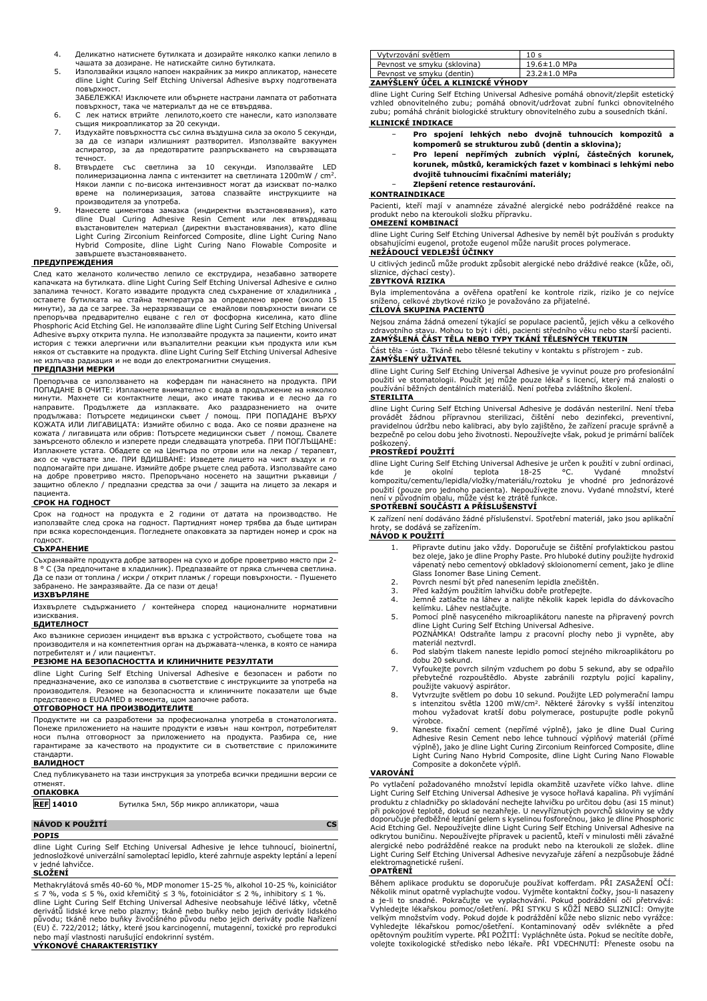- 4. Деликатно натиснете бутилката и дозирайте няколко капки лепило в чашата за дозиране. Не натискайте силно бутилката.
- 5. Използвайки изцяло напоен накрайник за микро апликатор, нанесете dline Light Curing Self Etching Universal Adhesive върху подготвената повърхност.
- ЗАБЕЛЕЖКА! Изключете или обърнете настрани лампата от работната повърхност, така че материалът да не се втвърдява.
- 6. С лек натиск втрийте лепилото,което сте нанесли, като използвате същия микроапликатор за 20 секунди.
- 7. Издухайте повърхността със силна въздушна сила за около 5 секунди, за да се изпари излишният разтворител. Използвайте вакуумен аспиратор, за да предотвратите разпръскването на свързващата течност.
- 8. Втвърдете със светлина за 10 секунди. Използвайте полимеризационна лампа с интензитет на светлината  $1200\text{mW}$  / cm<sup>2</sup>. Някои лампи с по-висока интензивност могат да изискват по-малко<br>време на полимеризация, затова спазвайте инструкциите на на полимеризация, затова спазвайте инструкциите производителя за употреба.
- 9. Нанесете циментова замазка (индиректни възстановявания), като dline Dual Curing Adhesive Resin Cement или лек втвърдяващ възстановителен материал (директни възстановявания), като dline Light Curing Zirconium Reinforced Composite, dline Light Curing Nano Hybrid Composite, dline Light Curing Nano Flowable Composite и завършете възстановяването.

#### **ПРЕДУПРЕЖДЕНИЯ**

След като желаното количество лепило се екструдира, незабавно затворете капачката на бутилката. dline Light Curing Self Etching Universal Adhesive е силно запалима течност. Когато извадите продукта след съхранение от хладилника , оставете бутилката на стайна температура за определено време (около 15<br>минути),за да се загрее. За неразрязващи се емайлови повърхности винаги се<br>препоръчва предварително ецване с гел от фосфорна киселина, като dline Phosphoric Acid Etching Gel. Не използвайте dline Light Curing Self Etching Universal Adhesive върху открита пулпа. Не използвайте продукта за пациенти, които имат история с тежки алергични или възпалителни реакции към продукта или към някоя от съставките на продукта. dline Light Curing Self Etching Universal Adhesive не излъчва радиация и не води до електромагнитни смущения.

# **ПРЕДПАЗНИ МЕРКИ**

Препоръчва се използването на кофердам пи нанасянето на продукта. ПРИ ПОПАДАНЕ В ОЧИТЕ: Изплакнете внимателно с вода в продължение на няколко минути. Махнете си контактните лещи, ако имате такива и е лесно да го<br>направите. Продължете да изплаквате. Ако раздразнението на очите<br>продължава: Потърсете медицински съвет / помощ. ПРИ ПОПАДАНЕ ВЪРХУ<br>КОЖАТА ИЛИ ЛИ кожата / лигавицата или обрив: Потърсете медицински съвет / помощ. Свалете замърсеното облекло и изперете преди следващата употреба. ПРИ ПОГЛЪЩАНЕ: Изплакнете устата. Обадете се на Центъра по отрови или на лекар / терапевт, ако се чувствате зле. ПРИ ВДИШВАНЕ: Изведете лицето на чист въздух и го подпомагайте при дишане. Измийте добре ръцете след работа. Използвайте само на добре проветриво място. Препоръчано носенето на защитни ръкавици / защитно облекло / предпазни средства за очи / защита на лицето за лекаря и пациента.

#### **СРОК НА ГОДНОСТ**

Срок на годност на продукта е 2 години от датата на производство. Не използвайте след срока на годност. Партидният номер трябва да бъде цитиран при всяка кореспонденция. Погледнете опаковката за партиден номер и срок на годност.

#### **СЪХРАНЕНИЕ**

Съхранявайте продукта добре затворен на сухо и добре проветриво място при 2- 8 ° C (За предпочитане в хладилник). Предпазвайте от пряка слънчева светлина. Да се пази от топлина / искри / открит пламък / горещи повърхности. - Пушенето забранено. Не замразявайте. Да се пази от деца!

### **ИЗХВЪРЛЯНЕ**

Изхвърлете съдържанието / контейнера според националните нормативни изисквания.

#### **БДИТЕЛНОСТ**

Ако възникне сериозен инцидент във връзка с устройството, съобщете това на производителя и на компетентния орган на държавата-членка, в която се намира потребителят и / или пациентът.

# **РЕЗЮМЕ НА БЕЗОПАСНОСТТА И КЛИНИЧНИТЕ РЕЗУЛТАТИ**

dline Light Curing Self Etching Universal Adhesive е безопасен и работи по предназначение, ако се използва в съответствие с инструкциите за употреба на производителя. Резюме на безопасността и клиничните показатели ще бъде представено в EUDAMED в момента, щом започне работа. **ОТГОВОРНОСТ НА ПРОИЗВОДИТЕЛИТЕ**

Продуктите ни са разработени за професионална употреба в стоматологията. Понеже приложението на нашите продукти е извън наш контрол, потребителят носи пълна отговорност за приложението на продукта. Разбира се, ние гарантираме за качеството на продуктите си в съответствие с приложимите стандарти.

## **ВАЛИДНОСТ**

| След публикуването на тази инструкция за употреба всички предишни версии се |  |
|-----------------------------------------------------------------------------|--|
| отменят.                                                                    |  |
| <b>ОПАКОВКА</b>                                                             |  |

**REF 14010** Бутилка 5мл, 5бр микро апликатори, чаша

# **NÁVOD K POUŽITÍ CS**

**POPIS**

dline Light Curing Self Etching Universal Adhesive je lehce tuhnoucí, bioinertní, jednosložkové univerzální samoleptací lepidlo, které zahrnuje aspekty leptání a lepení v jedné lahvičce.

#### **SLOŽENÍ**

Methakrylátová směs 40-60 %, MDP monomer 15-25 %, alkohol 10-25 %, koiniciátor<br>≤ 7 %, voda ≤ 5 %, oxid křemičitý ≤ 3 %, fotoiniciátor ≤ 2 %, inhibitory ≤ 1 %.<br>dline Light Curing Self Etching Universal Adhesive neobsahuje derivátů lidské krve nebo plazmy; tkáně nebo buňky nebo jejich deriváty lidského původu; tkáně nebo buňky živočišného původu nebo jejich deriváty podle Nařízení<br>(EU) č. 722/2012; látky, které jsou karcinogenní, mutagenní, toxické pro reprodukci<br>nebo mají vlastnosti narušující endokrinní systém.

#### **VÝKONOVÉ CHARAKTERISTIKY**

| Vytvrzování světlem         |                    |
|-----------------------------|--------------------|
| Pevnost ve smyku (sklovina) | $19.6 \pm 1.0$ MPa |
| Pevnost ve smyku (dentin)   | $23.2 \pm 1.0$ MPa |
|                             |                    |

#### **ZAMÝŠLENÝ ÚČEL A KLINICKÉ VÝHODY**

dline Light Curing Self Etching Universal Adhesive pomáhá obnovit/zlepšit estetický vzhled obnovitelného zubu; pomáhá obnovit/udržovat zubní funkci obnovitelného zubu; pomáhá chránit biologické struktury obnovitelného zubu a sousedních tkání.

# **KLINICKÉ INDIKACE**

- − **Pro spojení lehkých nebo dvojně tuhnoucích kompozitů a kompomerů se strukturou zubů (dentin a sklovina);**
- − **Pro lepení nepřímých zubních výplní, částečných korunek, korunek, můstků, keramických fazet v kombinaci s lehkými nebo dvojitě tuhnoucími fixačními materiály;**
- − **Zlepšení retence restaurování.**

#### **KONTRAINDIKACE**

Pacienti, kteří mají v anamnéze závažné alergické nebo podrážděné reakce na produkt nebo na kteroukoli složku přípravku.

#### **OMEZENÍ KOMBINACÍ**

dline Light Curing Self Etching Universal Adhesive by neměl být používán s produkty obsahujícími eugenol, protože eugenol může narušit proces polymerace. **NEŽÁDOUCÍ VEDLEJŠÍ ÚČINKY**

U citlivých jedinců může produkt způsobit alergické nebo dráždivé reakce (kůže, oči, sliznice, dýchací cesty).

**ZBYTKOVÁ RIZIKA**

Byla implementována a ověřena opatření ke kontrole rizik, riziko je co nejvíce sníženo, celkové zbytkové riziko je považováno za přijatelné.

# **CÍLOVÁ SKUPINA PACIENTŮ**

Nejsou známa žádná omezení týkající se populace pacientů, jejich věku a celkového zdravotního stavu. Mohou to být i děti, pacienti středního věku nebo starší pacienti. **ZAMÝŠLENÁ ČÁST TĚLA NEBO TYPY TKÁNÍ TĚLESNÝCH TEKUTIN**

# Část těla - ústa. Tkáně nebo tělesné tekutiny v kontaktu s přístrojem - zub.

**ZAMÝŠLENÝ UŽIVATEL** dline Light Curing Self Etching Universal Adhesive je vyvinut pouze pro profesionální

použití ve stomatologii. Použít jej může pouze lékař s licencí, který má znalosti o používání běžných dentálních materiálů. Není potřeba zvláštního školení.

## **STERILITA**

dline Light Curing Self Etching Universal Adhesive je dodáván nesterilní. Není třeba provádět žádnou přípravnou sterilizaci, čištění nebo dezinfekci, preventivní, pravidelnou údržbu nebo kalibraci, aby bylo zajištěno, že zařízení pracuje správně a bezpečně po celou dobu jeho životnosti. Nepoužívejte však, pokud je primární balíček

# poškozený. **PROSTŘEDÍ POUŽITÍ**

dline Light Curing Self Etching Universal Adhesive je určen k použití v zubní ordinaci, kde je okolní teplota 18-25 °C. Vydané množství kompozitu/cementu/lepidla/vložky/materiálu/roztoku je vhodné pro jednorázové použití (pouze pro jednoho pacienta). Nepoužívejte znovu. Vydané množství, které není v původním obalu, může vést ke ztrátě funkce.

# **SPOTŘEBNÍ SOUČÁSTI A PŘÍSLUŠENSTVÍ**

K zařízení není dodáváno žádné příslušenství. Spotřební materiál, jako jsou aplikační hroty, se dodává se zařízením.

# **NÁVOD K POUŽITÍ**

- 1. Připravte dutinu jako vždy. Doporučuje se čištění profylaktickou pastou<br>bez oleje, jako je dline Prophy Paste. Pro hluboké dutiny použijte hydroxid<br>vápenatý nebo cementový obkladový skloionomerní cement, jako je dline Glass Ionomer Base Lining Cement. 2. Povrch nesmí být před nanesením lepidla znečištěn.
- 
- 2. Před každým použitím lahvičku dobře protřepejte.<br>3. Před každým použitím lahvičku dobře protřepejte.<br>4. Jemně zatlačte na láhev a naliite několik kapek Jemně zatlačte na láhev a nalijte několik kapek lepidla do dávkovacího
- kelímku. Láhev nestlačujte. 5. Pomocí plně nasyceného mikroaplikátoru naneste na připravený povrch dline Light Curing Self Etching Universal Adhesive. POZNÁMKA! Odstraňte lampu z pracovní plochy nebo ji vypněte, aby
- materiál neztvrdl. 6. Pod slabým tlakem naneste lepidlo pomocí stejného mikroaplikátoru po dobu 20 sekund.
- 7. Vyfoukejte povrch silným vzduchem po dobu 5 sekund, aby se odpařilo přebytečné rozpouštědlo. Abyste zabránili rozptylu pojicí kapaliny, použijte vakuový aspirátor.
- 8. Vytvrzujte světlem po dobu 10 sekund. Použijte LED polymerační lampu s intenzitou světla 1200 mW/cm<sup>2</sup> . Některé žárovky s vyšší intenzitou mohou vyžadovat kratší dobu polymerace, postupujte podle pokynů výrobce.
- 9. Naneste fixační cement (nepřímé výplně), jako je dline Dual Curing<br>Adhesive Resin Cement nebo lehce tuhnoucí výplnčvý materiál (přímé<br>výplně), jako je dline Light Curing Zirconium Reinforced Composite, dline Light Curing Nano Hybrid Composite, dline Light Curing Nano Flowable Composite a dokončete výplň.

### **VAROVÁNÍ**

Po vytlačení požadovaného množství lepidla okamžitě uzavřete víčko lahve. dline Light Curing Self Etching Universal Adhesive je vysoce hořlavá kapalina. Při vyjímání produktu z chladničky po skladování nechejte lahvičku po určitou dobu (asi 15 minut) při pokojové teplotě, dokud se nezahřeje. U nevyříznutých povrchů skloviny se vždy<br>doporučuje předběžné leptání gelem s kyselinou fosforečnou, jako je dline Phosphoric<br>Acid Etching Gel. Nepoužívejte dline Light Curing Self odkrytou buničinu. Nepoužívejte přípravek u pacientů, kteří v minulosti měli závažné alergické nebo podrážděné reakce na produkt nebo na kteroukoli ze složek. dline Light Curing Self Etching Universal Adhesive nevyzařuje záření a nezpůsobuje žádné elektromagnetické rušení.

#### **OPATŘENÍ**

Během aplikace produktu se doporučuje používat kofferdam. PŘI ZASAŽENÍ OČÍ: Několik minut opatrně vyplachujte vodou. Vyjměte kontaktní čočky, jsou-li nasazeny a je-li to snadné. Pokračujte ve vyplachování. Pokud podráždění očí přetrvává:<br>Vyhledejte lékařskou pomoc/ošetření. PŘI STYKU S KŮŽÍ NEBO SLIZNICÍ: Omyjte<br>velkým množstvím vody. Pokud dojde k podráždění kůže nebo sliznic n volejte toxikologické středisko nebo lékaře. PŘI VDECHNUTÍ: Přeneste osobu na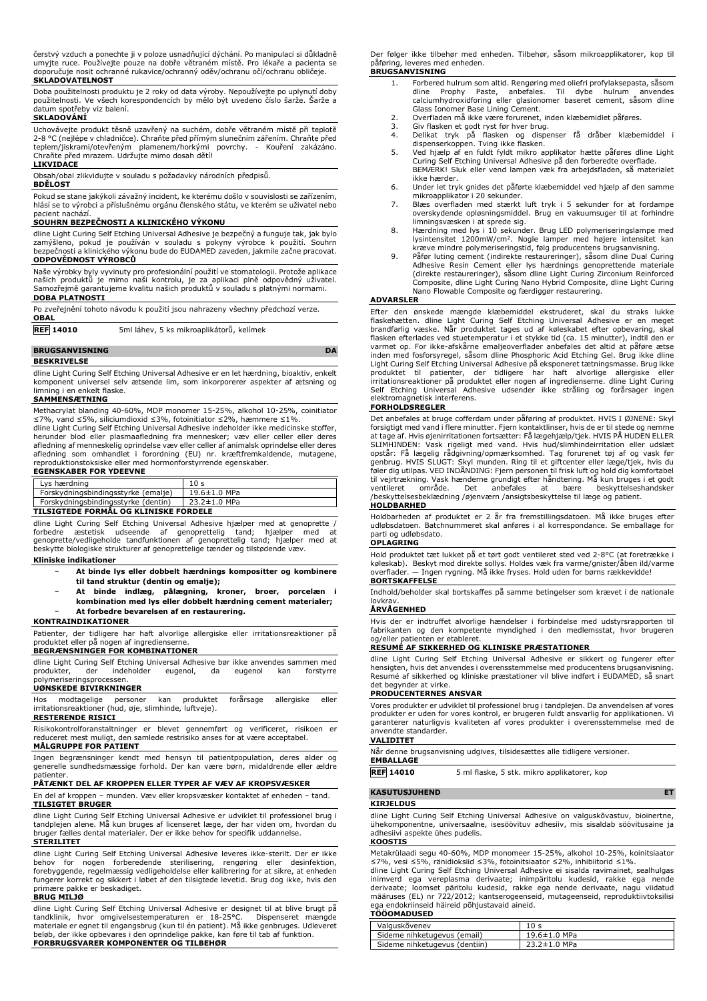čerstvý vzduch a ponechte ji v poloze usnadňující dýchání. Po manipulaci si důkladně umyjte ruce. Používejte pouze na dobře větraném místě. Pro lékaře a pacienta se doporučuje nosit ochranné rukavice/ochranný oděv/ochranu očí/ochranu obličeje.

**SKLADOVATELNOST**

Doba použitelnosti produktu je 2 roky od data výroby. Nepoužívejte po uplynutí doby použitelnosti. Ve všech korespondencích by mělo být uvedeno číslo šarže. Šarže a datum spotřeby viz balení. **SKLADOVÁNÍ**

Uchovavejte produkt tésné uzavřený na suchém, dobře větraném místě při teplotě<br>2-8 °C (nejlépe v chladničce). Chraňte před přímým slunečním zářením. Chraňte před<br>teplem/jiskrami/otevřeným plamenem/horkými povrchy. - Kouře

Obsah/obal zlikvidujte v souladu s požadavky národních předpisů.

#### **BDĚLOST**

Pokud se stane jakýkoli závažný incident, ke kterému došlo v souvislosti se zařízením, hlásí se to výrobci a příslušnému orgánu členského státu, ve kterém se uživatel nebo pacient nachází.

#### **SOUHRN BEZPEČNOSTI A KLINICKÉHO VÝKONU**

dline Light Curing Self Etching Universal Adhesive je bezpečný a funguje tak, jak bylo zamýšleno, pokud je používán v souladu s pokyny výrobce k použití. Souhrn bezpečnosti a klinického výkonu bude do EUDAMED zaveden, jakmile začne pracovat. **ODPOVĚDNOST VÝROBCŮ**

Naše výrobky byly vyvinuty pro profesionální použití ve stomatologii. Protože aplikace<br>našich produktů je mimo naši kontrolu, je za aplikaci plně odpovědný uživatel.<br>Samozřejmě garantujeme kvalitu naších produkt **DOBA PLATNOSTI**

| Po zveřejnění tohoto návodu k použití jsou nahrazeny všechny předchozí verze. |  |
|-------------------------------------------------------------------------------|--|
| <b>OBAL</b>                                                                   |  |

**REF 14010** 5ml láhev, 5 ks mikroaplikátorů, kelímek

### **BRUGSANVISNING DA**

#### **BESKRIVELSE**

dline Light Curing Self Etching Universal Adhesive er en let hærdning, bioaktiv, enkelt komponent universel selv ætsende lim, som inkorporerer aspekter af ætsning og limning i en enkelt flaske.

# **SAMMENSÆTNING**

Methacrylat blanding 40-60%, MDP monomer 15-25%, alkohol 10-25%, coinitiator ≤7%, vand ≤5%, siliciumdioxid ≤3%, fotoinitiator ≤2%, hæmmere ≤1%. dline Light Curing Self Etching Universal Adhesive indeholder ikke medicinske stoffer,

herunder blod eller plasmaafledning fra mennesker; væv eller celler eller deres afledning af menneskelig oprindelse væv eller celler af animalsk oprindelse eller deres<br>afledning som omhandlet i forordning (EU) nr. kræftfremkaldende, mutagene,<br>reproduktionstoksiske eller med hormonforstyrrende

# **EGENSKABER FOR YDEEVNE**

| Lys hærdning                           | 10 <sub>s</sub>    |  |
|----------------------------------------|--------------------|--|
| Forskydningsbindingsstyrke (emalje)    | $19.6 \pm 1.0$ MPa |  |
| Forskydningsbindingsstyrke (dentin)    | $23.2 \pm 1.0$ MPa |  |
| TH CICTERE FORMAL OC IN THICKE FORDELE |                    |  |

#### **TILSIGTEDE FORMÅL OG KLINISKE FORDELE**

dline Light Curing Self Etching Universal Adhesive hjælper med at genoprette / forbedre æstetisk udseende af genoprettelig tand; hjælper med at genoprette/vedligeholde tandfunktionen af genoprettelig tand; hjælper med at beskytte biologiske strukturer af genoprettelige tænder og tilstødende væv.

#### **Kliniske indikationer**

- − **At binde lys eller dobbelt hærdnings kompositter og kombinere til tand struktur (dentin og emalje);**
- − **At binde indlæg, pålægning, kroner, broer, porcelæn i**
- **kombination med lys eller dobbelt hærdning cement materialer;** − **At forbedre bevarelsen af en restaurering.**
- **KONTRAINDIKATIONER**

Patienter, der tidligere har haft alvorlige allergiske eller irritationsreaktioner på produktet eller på nogen af ingredienserne.

# **BEGRÆNSNINGER FOR KOMBINATIONER**

dline Light Curing Self Etching Universal Adhesive bør ikke anvendes sammen med<br>produkter, der indeholder eugenol, da eugenol kan forstyrre produkter, der indeholder eugenol, da eugenol kan forstyrre polymeriseringsprocessen.

# **UØNSKEDE BIVIRKNINGER**

Hos modtagelige personer kan produktet forårsage allergiske eller irritationsreaktioner (hud, øje, slimhinde, luftveje). **RESTERENDE RISICI**

# Risikokontrolforanstaltninger er blevet gennemført og verificeret, risikoen er reduceret mest muligt, den samlede restrisiko anses for at være acceptabel.

**MÅLGRUPPE FOR PATIENT**

Ingen begrænsninger kendt med hensyn til patientpopulation, deres alder og generelle sundhedsmæssige forhold. Der kan være børn, midaldrende eller ældre patienter.

# **PÅTÆNKT DEL AF KROPPEN ELLER TYPER AF VÆV AF KROPSVÆSKER**

En del af kroppen – munden. Væv eller kropsvæsker kontaktet af enheden – tand. **TILSIGTET BRUGER**

dline Light Curing Self Etching Universal Adhesive er udviklet til professionel brug i tandplejen alene. Må kun bruges af licenseret læge, der har viden om, hvordan du bruger fælles dental materialer. Der er ikke behov for specifik uddannelse. **STERILITET**

dline Light Curing Self Etching Universal Adhesive leveres ikke-sterilt. Der er ikke<br>behov for nogen forberedende sterilisering, rengøring eller desinfektion,<br>forebyggende, regelmæssig vedligeholdelse eller kalibrer fungerer korrekt og sikkert i løbet af den tilsigtede levetid. Brug dog ikke, hvis den primære pakke er beskadiget. **BRUG MILJØ**

dline Light Curing Self Etching Universal Adhesive er designet til at blive brugt på tandklinik, hvor omgivelsestemperaturen er 18-25°C. Dispenseret mængde<br>materiale er egnet til engangsbrug (kun til én patient). Må ikke genbruges. Udleveret<br>beløb, der ikke opbevares i den oprindelige pakke, kan føre til t

Der følger ikke tilbehør med enheden. Tilbehør, såsom mikroapplikatorer, kop til påføring, leveres med enheden. **BRUGSANVISNING**

- 1. Forbered hulrum som altid. Rengøring med oliefri profylaksepasta, såsom dline Prophy Paste, anbefales. Til dybe hulrum anvendes calciumhydroxidforing eller glasionomer baseret cement, såsom dline
- Glass Ionomer Base Lining Cement. 2. Overfladen må ikke være forurenet, inden klæbemidlet påføres.
- 3. Giv flasken et godt ryst før hver brug.
- 4. Delikat tryk på flasken og dispenser få dråber klæbemiddel i<br>dispenserkoppen. Tving ikke flasken.<br>5. Ved hjælp af en fuldt fyldt mikro applikator hætte påføres dline Light<br>Curing Self Etching Universal Adhesive på den f
- BEMÆRK! Sluk eller vend lampen væk fra arbejdsfladen, så materialet ikke hærder.
- 6. Under let tryk gnides det påførte klæbemiddel ved hjælp af den samme
- mikroapplikator i 20 sekunder. 7. Blæs overfladen med stærkt luft tryk i 5 sekunder for at fordampe overskydende opløsningsmiddel. Brug en vakuumsuger til at forhindre
- limningsvæsken i at sprede sig. 8. Hærdning med lys i 10 sekunder. Brug LED polymeriseringslampe med lysintensitet 1200mW/cm<sup>2</sup>. Nogle lamper med højere intensitet kan<br>kræve mindre polymeriseringstid, følg producentens brugsanvisning.
- 9. Påfør luting cement (indirekte restaureringer), såsom dline Dual Curing Adhesive Resin Cement eller lys hærdnings genoprettende materiale<br>(direkte restaureringer), såsom dline Light Curing Zirconium Reinforced<br>Composite, dline Light Curing Nano Hybrid Composite, dline Light Curing Nano Flowable Composite og færdiggør restaurering.

### **ADVARSLER**

Efter den ønskede mængde klæbemiddel ekstruderet, skal du straks lukke<br>flaskehætten. dline Light Curing Self Etching Universal Adhesive er en meget<br>brandfarlig væske. Når produktet tages ud af køleskabet efter opbevaring, varmet op. For ikke-afskårne emaljeoverflader anbefales det altid at påføre ætse inden med fosforsyregel, såsom dline Phosphoric Acid Etching Gel. Brug ikke dline Light Curing Self Etching Universal Adhesive på eksponeret tætningsmasse. Brug ikke produktet til patienter, der tidligere har haft alvorlige allergiske eller<br>irritationsreaktioner på produktet eller nogen af ingredienserne. dline Light Curing<br>Self Etching Universal Adhesive udsender ikke stråling og forå elektromagnetisk interferens.

#### **FORHOLDSREGLER**

Det anbefales at bruge cofferdam under påføring af produktet. HVIS I ØJNENE: Skyl<br>forsigtigt med vand i flere minutter. Fjern kontaktlinser, hvis de er til stede og nemme<br>at tage af. Hvis øjenirritationen fortsætter: Få læ opstär: Få lægelig rädgivning/opmærksomhed. Tag forurenet tøj af og vask før<br>genbrug. HVIS SLUGT: Skyl munden. Ring til et giftcenter eller læge/tjek, hvis du<br>føler dig utilpas. VED INDÅNDING: Fjern personen til frisk luft til vejrtrækning. Vask hænderne grundigt efter håndtering. Må kun bruges i et godt ventileret område. Det anbefales at bære beskyttelseshandsker /beskyttelsesbeklædning /øjenværn /ansigtsbeskyttelse til læge og patient. **HOLDBARHED**

Holdbarheden af produktet er 2 år fra fremstillingsdatoen. Må ikke bruges efter udløbsdatoen. Batchnummeret skal anføres i al korrespondance. Se emballage for parti og udløbsdato. **OPLAGRING**

Hold produktet tæt lukket på et tørt godt ventileret sted ved 2-8°C (at foretrække i køleskab). Beskyt mod direkte sollys. Holdes væk fra varme/gnister/åben ild/varme overflader. — Ingen rygning. Må ikke fryses. Hold uden for børns rækkevidde!

# **BORTSKAFFELSE**

Indhold/beholder skal bortskaffes på samme betingelser som krævet i de nationale lovkrav.

# **ÅRVÅGENHED**

Hvis der er indtruffet alvorlige hændelser i forbindelse med udstyrsrapporten til fabrikanten og den kompetente myndighed i den medlemsstat, hvor brugeren og/eller patienten er etableret.

# **RESUMÉ AF SIKKERHED OG KLINISKE PRÆSTATIONER**

dline Light Curing Self Etching Universal Adhesive er sikkert og fungerer efter hensigten, hvis det anvendes i overensstemmelse med producentens brugsanvisning. Resumé af sikkerhed og kliniske præstationer vil blive indført i EUDAMED, så snart det begynder at virke.

# **PRODUCENTERNES ANSVAR**

Vores produkter er udviklet til professionel brug i tandplejen. Da anvendelsen af vores produkter er uden for vores kontrol, er brugeren fuldt ansvarlig for applikationen. Vi garanterer naturligvis kvaliteten af vores produkter i overensstemmelse med de anvendte standarder.

# **VALIDITET**

Når denne brugsanvisning udgives, tilsidesættes alle tidligere versioner. **EMBALLAGE**

**REF 14010** 5 ml flaske, 5 stk. mikro applikatorer, kop

## **KASUTUSJUHEND ET**

#### **KIRJELDUS**

dline Light Curing Self Etching Universal Adhesive on valguskõvastuv, bioinertne, ühekomponentne, universaalne, isesöövituv adhesiiv, mis sisaldab söövitusaine ja adhesiivi aspekte ühes pudelis. **KOOSTIS**

Metakrülaadi segu 40-60%, MDP monomeer 15-25%, alkohol 10-25%, koinitsiaator<br>≤7%, vesi ≤5%, ränidioksiid ≤3%, fotoinitsiaator ≤2%, inhibiitorid ≤1%.

dline Light Curing Self Etching Universal Adhesive ei sisalda ravimainet, sealhulgas<br>inimverd ega vereplasma derivaate; inimpäritolu kudesid, rakke ega nende<br>derivaate; loomset päritolu kudesid, rakke ega nen määruses (EL) nr 722/2012; kantserogeenseid, mutageenseid, reproduktiivtoksilisi ega endokriinseid häireid põhjustavaid aineid. **TÖÖOMADUSED**

| 10 <sub>s</sub>    |
|--------------------|
| 19.6±1.0 MPa       |
| $23.2 \pm 1.0$ MPa |
|                    |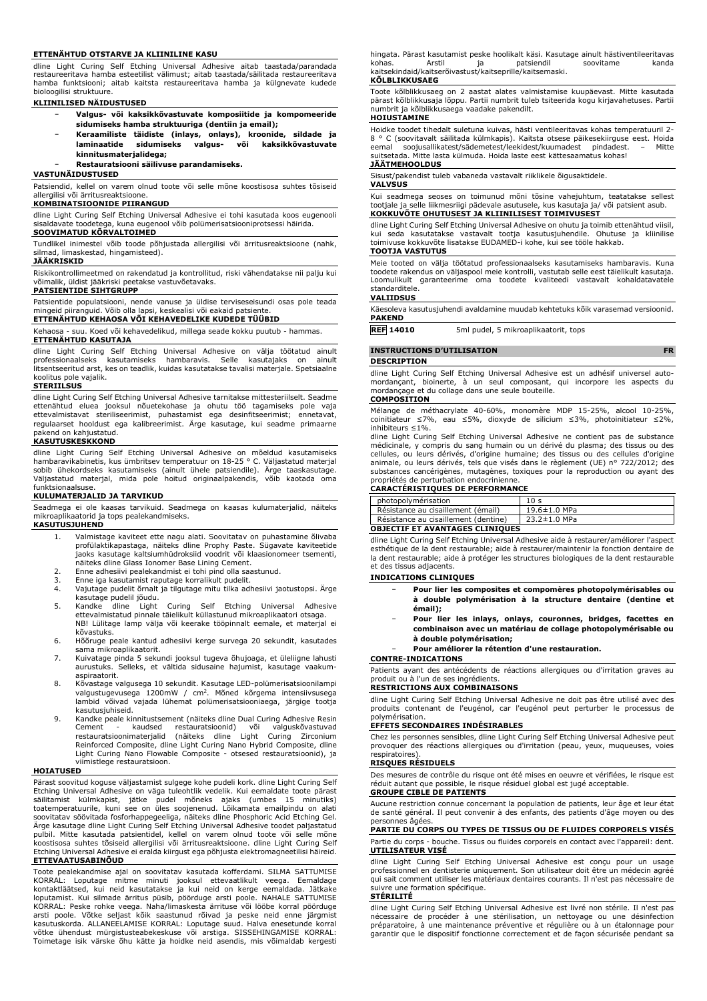#### **ETTENÄHTUD OTSTARVE JA KLIINILINE KASU**

dline Light Curing Self Etching Universal Adhesive aitab taastada/parandada restaureeritava hamba esteetilist välimust; aitab taastada/säilitada restaureeritava hamba funktsiooni; aitab kaitsta restaureeritava hamba ja külgnevate kudede bioloogilisi struktuure.

#### **KLIINILISED NÄIDUSTUSED**

- − **Valgus- või kaksikkõvastuvate komposiitide ja kompomeeride sidumiseks hamba struktuuriga (dentiin ja email);**
- − **Keraamiliste täidiste (inlays, onlays), kroonide, sildade ja laminaatide sidumiseks valgus- või kaksikkõvastuvate kinnitusmaterjalidega;**

− **Restauratsiooni säilivuse parandamiseks.**

# **VASTUNÄIDUSTUSED**

Patsiendid, kellel on varem olnud toote või selle mõne koostisosa suhtes tõsiseid allergilisi või ärritusreaktsioone.

# **KOMBINATSIOONIDE PIIRANGUD**

dline Light Curing Self Etching Universal Adhesive ei tohi kasutada koos eugenooli sisaldavate toodetega, kuna eugenool võib polümerisatsiooniprotsessi häirida.

# **SOOVIMATUD KÕRVALTOIMED**

Tundlikel inimestel võib toode põhjustada allergilisi või ärritusreaktsioone (nahk, silmad, limaskestad, hingamisteed).

#### **JÄÄKRISKID**

Riskikontrollimeetmed on rakendatud ja kontrollitud, riski vähendatakse nii palju kui võimalik, üldist jääkriski peetakse vastuvõetavaks.

## **PATSIENTIDE SIHTGRUPP**

Patsientide populatsiooni, nende vanuse ja üldise terviseseisundi osas pole teada mingeid piiranguid. Võib olla lapsi, keskealisi või eakaid patsiente.

# **ETTENÄHTUD KEHAOSA VÕI KEHAVEDELIKE KUDEDE TÜÜBID**

Kehaosa - suu. Koed või kehavedelikud, millega seade kokku puutub - hammas. **ETTENÄHTUD KASUTAJA**

dline Light Curing Self Etching Universal Adhesive on välja töötatud ainult<br>professionaalseks kasutamiseks hambaravis. Selle kasutajaks on ainult<br>litsentseeritud arst, kes on teadlik, kuidas kasutatakse tavalisi mate koolitus pole vajalik.

#### **STERIILSUS**

dline Light Curing Self Etching Universal Adhesive tarnitakse mittesteriilselt. Seadme ettenähtud eluea jooksul nõuetekohase ja ohutu töö tagamiseks pole vaja<br>ettevalmistavat steriliseerimist, puhastamist ega desinfitseerimist; ennetavat,<br>regulaarset hooldust ega kalibreerimist. Ärge kasutage, kui seadme pri pakend on kahjustatud.

# **KASUTUSKESKKOND**

dline Light Curing Self Etching Universal Adhesive on mõeldud kasutamiseks<br>hambaravikabinetis, kus-ümbritsev temperatuur on 18-25 °C. Väljastatud-materjal<br>sobib ühekordseks kasutamiseks (ainult ühele patsiendile). Ärge taa Väljastatud materjal, mida pole hoitud originaalpakendis, võib kaotada oma funktsionaalsuse.

### **KULUMATERJALID JA TARVIKUD**

Seadmega ei ole kaasas tarvikuid. Seadmega on kaasas kulumaterjalid, näiteks mikroaplikaatorid ja tops pealekandmiseks.

# **KASUTUSJUHEND**

- 1. Valmistage kaviteet ette nagu alati. Soovitatav on puhastamine õlivaba profülaktikapastaga, näiteks dline Prophy Paste. Sügavate kaviteetide jaoks kasutage kaltsiumhüdroksiid voodrit või klaasionomeer tsementi, näiteks dline Glass Ionomer Base Lining Cement.
- 2. Enne adhesiivi pealekandmist ei tohi pind olla saastunud.
- 3. Enne iga kasutamist raputage korralikult pudelit. 4. Vajutage pudelit õrnalt ja tilgutage mitu tilka adhesiivi jaotustopsi. Ärge
- kasutage pudelil jõudu. 5. Kandke dline Light Curing Self Etching Universal Adhesive ettevalmistatud pinnale täielikult küllastunud mikroaplikaatori otsaga. NB! Lülitage lamp välja või keerake tööpinnalt eemale, et materjal ei kõvastuks.
- 6. Hõõruge peale kantud adhesiivi kerge survega 20 sekundit, kasutades sama mikroaplikaatorit.
- 7. Kuivatage pinda 5 sekundi jooksul tugeva õhujoaga, et üleliigne lahusti aurustuks. Selleks, et vältida sidusaine hajumist, kasutage vaakumaspiraatorit.
- 8. Kõvastage valgusega 10 sekundit. Kasutage LED-polümerisatsioonilampi valgustugevusega 1200mW / cm<sup>2</sup> . Mõned kõrgema intensiivsusega lambid võivad vajada lühemat polümerisatsiooniaega, järgige tootja kasutusjuhiseid.
- 9. Kandke peale kinnitustsement (näiteks dline Dual Curing Adhesive Resin Cement kaudsed restauratsioonid) või valguskõvastuvad restauratsioonimaterjalid (näiteks dline Light Curing Zirconium Reinforced Composite, dline Light Curing Nano Hybrid Composite, dline Light Curing Nano Flowable Composite - otsesed restauratsioonid), ja viimistlege restauratsioon.

#### **HOIATUSED**

Pärast soovitud koguse väljastamist sulgege kohe pudeli kork. dline Light Curing Self<br>Etching Universal Adhesive on väga tuleohtlik vedelik. Kui eemaldate toote pärast<br>säilitamist külmkapist, jätke pudel mõneks a soovitatav söövitada fosforhappegeeliga, näiteks dline Phosphoric Acid Etching Gel. Ärge kasutage dline Light Curing Self Etching Universal Adhesive toodet paljastatud pulbil. Mitte kasutada patsientidel, kellel on varem olnud toote või selle mõne koostisosa suhtes tõsiseid allergilisi või ärritusreaktsioone. dline Light Curing Self Etching Universal Adhesive ei eralda kiirgust ega põhjusta elektromagneetilisi häireid. **ETTEVAATUSABINÕUD**

Toote pealekandmise ajal on soovitatav kasutada kofferdami. SILMA SATTUMISE KORRAL: Loputage mitme minuti jooksul ettevaatlikult veega. Eemaldage kontaktläätsed, kui neid kasutatakse ja kui neid on kerge eemaldada. Jätkake<br>loputamist. Kui silmade ärritus püsib, pöörduge arsti poole. NAHALE SATTUMISE<br>KORRAL: Peske rohke veega. Naha/limaskesta ärrituse või lööbe korra võtke ühendust mürgistusteabekeskuse või arstiga. SISSEHINGAMISE KORRAL: Toimetage isik värske õhu kätte ja hoidke neid asendis, mis võimaldab kergesti

hingata. Pärast kasutamist peske hoolikalt käsi. Kasutage ainult hästiventileeritavas kohas. Arstil ja patsiendil soovitame kanda kaitsekindaid/kaitserõivastust/kaitseprille/kaitsemaski.

#### **KÕLBLIKKUSAEG**

Toote kõlblikkusaeg on 2 aastat alates valmistamise kuupäevast. Mitte kasutada pärast kõlblikkusaja lõppu. Partii numbrit tuleb tsiteerida kogu kirjavahetuses. Partii numbrit ja kõlblikkusaega vaadake pakendilt. **HOIUSTAMINE**

Hoidke toodet tihedalt suletuna kuivas, hästi ventileeritavas kohas temperatuuril 2- 8 ° C (soovitavalt säilitada külmkapis). Kaitsta otsese päikesekiirguse eest. Hoida eemal soojusallikatest/sädemetest/leekidest/kuumadest pindadest. suitsetada. Mitte lasta külmuda. Hoida laste eest kättesaamatus kohas! **JÄÄTMEHOOLDUS**

Sisust/pakendist tuleb vabaneda vastavalt riiklikele õigusaktidele. **VALVSUS**

Kui seadmega seoses on toimunud mõni tõsine vahejuhtum, teatatakse sellest tootjale ja selle liikmesriigi pädevale asutusele, kus kasutaja ja/ või patsient asub. **KOKKUVÕTE OHUTUSEST JA KLIINILISEST TOIMIVUSEST**

dline Light Curing Self Etching Universal Adhesive on ohutu ja toimib ettenähtud viisil, kui seda kasutatakse vastavalt tootja kasutusjuhendile. Ohutuse ja kliinilise toimivuse kokkuvõte lisatakse EUDAMED-i kohe, kui see tööle hakkab.

#### **TOOTJA VASTUTUS**

Meie tooted on välja töötatud professionaalseks kasutamiseks hambaravis. Kuna toodete rakendus on väljaspool meie kontrolli, vastutab selle eest täielikult kasutaja. Loomulikult garanteerime oma toodete kvaliteedi vastavalt kohaldatavatele standarditele.

# **VALIIDSUS**

Käesoleva kasutusjuhendi avaldamine muudab kehtetuks kõik varasemad versioonid. **PAKEND**

**REF 14010** 5ml pudel, 5 mikroaplikaatorit, tops

## **INSTRUCTIONS D'UTILISATION FR**

#### **DESCRIPTION**

dline Light Curing Self Etching Universal Adhesive est un adhésif universel automordançant, bioinerte, à un seul composant, qui incorpore les aspects du mordançage et du collage dans une seule bouteille.

# **COMPOSITION**

Mélange de méthacrylate 40-60%, monomère MDP 15-25%, alcool 10-25%, coinitiateur ≤7%, eau ≤5%, dioxyde de silicium ≤3%, photoinitiateur ≤2%, inhibiteurs ≤1%.

dline Light Curing Self Etching Universal Adhesive ne contient pas de substance médicinale, y compris du sang humain ou un dérivé du plasma; des tissus ou des cellules, ou leurs dérivés, d'origine humaine; des tissus ou des cellules d'origine animale, ou leurs dérivés, tels que visés dans le règlement (UE) n° 722/2012; des substances cancérigènes, mutagènes, toxiques pour la reproduction ou ayant des

# propriétés de perturbation endocrinienne. **CARACTÉRISTIQUES DE PERFORMANCE**

| photopolymérisation                    | 10 <sub>s</sub> |  |  |
|----------------------------------------|-----------------|--|--|
| Résistance au cisaillement (émail)     | 19.6±1.0 MPa    |  |  |
| Résistance au cisaillement (dentine)   | 23.2±1.0 MPa    |  |  |
| <b>OBJECTIF ET AVANTAGES CLINIOUES</b> |                 |  |  |

dline Light Curing Self Etching Universal Adhesive aide à restaurer/améliorer l'aspect esthétique de la dent restaurable; aide à restaurer/maintenir la fonction dentaire de la dent restaurable; aide à protéger les structures biologiques de la dent restaurable et des tissus adjacents.

## **INDICATIONS CLINIQUES**

- − **Pour lier les composites et compomères photopolymérisables ou à double polymérisation à la structure dentaire (dentine et émail);**
- − **Pour lier les inlays, onlays, couronnes, bridges, facettes en combinaison avec un matériau de collage photopolymérisable ou à double polymérisation;**

# − **Pour améliorer la rétention d'une restauration.**

#### **CONTRE-INDICATIONS**

Patients ayant des antécédents de réactions allergiques ou d'irritation graves au produit ou à l'un de ses ingrédients.

#### **RESTRICTIONS AUX COMBINAISONS**

dline Light Curing Self Etching Universal Adhesive ne doit pas être utilisé avec des produits contenant de l'eugénol, car l'eugénol peut perturber le processus de polymérisation.

### **EFFETS SECONDAIRES INDÉSIRABLES**

Chez les personnes sensibles, dline Light Curing Self Etching Universal Adhesive peut provoquer des réactions allergiques ou d'irritation (peau, yeux, muqueuses, voies respiratoires).

# **RISQUES RÉSIDUELS**

Des mesures de contrôle du risque ont été mises en oeuvre et vérifiées, le risque est réduit autant que possible, le risque résiduel global est jugé acceptable.

#### **GROUPE CIBLE DE PATIENTS**

Aucune restriction connue concernant la population de patients, leur âge et leur état de santé général. Il peut convenir à des enfants, des patients d'âge moyen ou des personnes âgées.

# **PARTIE DU CORPS OU TYPES DE TISSUS OU DE FLUIDES CORPORELS VISÉS**

Partie du corps - bouche. Tissus ou fluides corporels en contact avec l'appareil: dent. **UTILISATEUR VISÉ**

dline Light Curing Self Etching Universal Adhesive est conçu pour un usage professionnel en dentisterie uniquement. Son utilisateur doit être un médecin agréé qui sait comment utiliser les matériaux dentaires courants. Il n'est pas nécessaire de suivre une formation spécifique.

# **STÉRILITÉ**

dline Light Curing Self Etching Universal Adhesive est livré non stérile. Il n'est pas nécessaire de procéder à une stérilisation, un nettoyage ou une désinfection préparatoire, à une maintenance préventive et régulière ou à un étalonnage pour garantir que le dispositif fonctionne correctement et de façon sécurisée pendant sa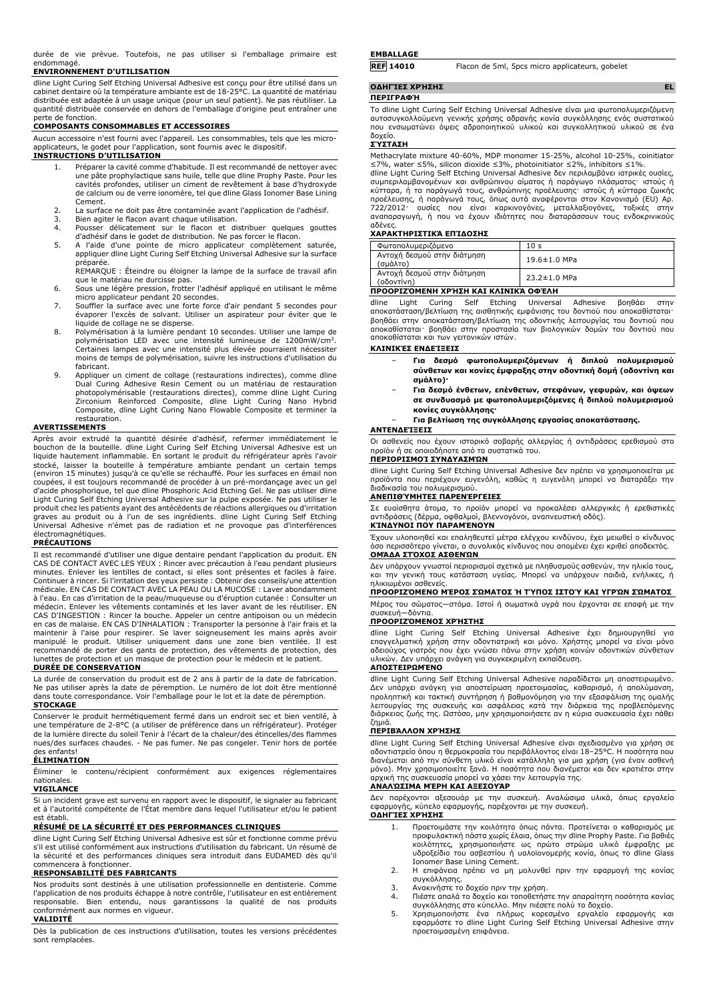durée de vie prévue. Toutefois, ne pas utiliser si l'emballage primaire est endommagé.

## **ENVIRONNEMENT D'UTILISATION**

dline Light Curing Self Etching Universal Adhesive est conçu pour être utilisé dans un cabinet dentaire où la température ambiante est de 18-25°C. La quantité de matériau distribuée est adaptée à un usage unique (pour un seul patient). Ne pas réutiliser. La quantité distribuée conservée en dehors de l'emballage d'origine peut entraîner une

# perte de fonction. **COMPOSANTS CONSOMMABLES ET ACCESSOIRES**

Aucun accessoire n'est fourni avec l'appareil. Les consommables, tels que les microapplicateurs, le godet pour l'application, sont fournis avec le dispositif.

# **INSTRUCTIONS D'UTILISATION**

- 1. Préparer la cavité comme d'habitude. Il est recommandé de nettoyer avec une pâte prophylactique sans huile, telle que dline Prophy Paste. Pour les cavités profondes, utiliser un ciment de revêtement à base d'hydroxyde de calcium ou de verre ionomère, tel que dline Glass Ionomer Base Lining Cement.
- 2. La surface ne doit pas être contaminée avant l'application de l'adhésif.<br>2. Bien agiter le flacon avant chaque utilisation.
- 3. Bien agiter le flacon avant chaque utilisation.<br>4. Pousser délicatement sur le flacon et di 4. Pousser délicatement sur le flacon et distribuer quelques gouttes
- d'adhésif dans le godet de distribution. Ne pas forcer le flacon.
- 5. A l'aide d'une pointe de micro applicateur complètement saturée, appliquer dline Light Curing Self Etching Universal Adhesive sur la surface préparée. REMARQUE : Éteindre ou éloigner la lampe de la surface de travail afin
- que le matériau ne durcisse pas.
- 6. Sous une légère pression, frotter l'adhésif appliqué en utilisant le même micro applicateur pendant 20 secondes. 7. Souffler la surface avec une forte force d'air pendant 5 secondes pour
- évaporer l'excès de solvant. Utiliser un aspirateur pour éviter que le liquide de collage ne se disperse.
- 8. Polymérisation à la lumière pendant 10 secondes. Utiliser une lampe de polymérisation LED avec une intensité lumineuse de 1200mW/cm<sup>2</sup> . Certaines lampes avec une intensité plus élevée pourraient nécessiter moins de temps de polymérisation, suivre les instructions d'utilisation du fabricant.
- 9. Appliquer un ciment de collage (restaurations indirectes), comme dline Dual Curing Adhesive Resin Cement ou un matériau de restauration photopolymérisable (restaurations directes), comme dline Light Curing<br>Zirconium Reinforced Composite, dline Light Curing Nano Hybrid<br>Composite, dline Light Curing Nano Flowable Composite et terminer la restauration.

#### **AVERTISSEMENTS**

Après avoir extrudé la quantité désirée d'adhésif, refermer immédiatement le bouchon de la bouteille. dline Light Curing Self Etching Universal Adhesive est un liquide hautement inflammable. En sortant le produit du réfrigérateur après l'avoir stocké, laisser la bouteille à température ambiante pendant un certain temps (environ 15 minutes) jusqu'à ce qu'elle se réchauffé. Pour les surfaces en émail non coupées, il est toujours recommandé de procéder à un pré-mordançage avec un gel d'acide phosphorique, tel que dline Phosphoric Acid Etching Gel. Ne pas utiliser dline Light Curing Self Etching Universal Adhesive sur la pulpe exposée. Ne pas utiliser le produit chez les patients ayant des antécédents de réactions allergiques ou d'irritation graves au produit ou à l'un de ses ingrédients. dline Light Curing Self Etching Universal Adhesive n'émet pas de radiation et ne provoque pas d'interférences électromagnétiques.

# **PRÉCAUTIONS**

Il est recommandé d'utiliser une digue dentaire pendant l'application du produit. EN CAS DE CONTACT AVEC LES YEUX : Rincer avec précaution à l'eau pendant plusieurs minutes. Enlever les lentilles de contact, si elles sont présentes et faciles à faire. Continuer à rincer. Si l'irritation des yeux persiste : Obtenir des conseils/une attention médicale. EN CAS DE CONTACT AVEC LA PEAU OU LA MUCOSE : Laver abondamment à l'eau. En cas d'irritation de la peau/muqueuse ou d'éruption cutanée : Consulter un médecin. Enlever les vêtements contaminés et les laver avant de les réutiliser. EN CAS D'INGESTION : Rincer la bouche. Appeler un centre antipoison ou un médecin en cas de malaise. EN CAS D'INHALATION : Transporter la personne à l'air frais et la maintenir à l'aise pour respirer. Se laver soigneusement les mains après avoir<br>manipulé le produit. Utiliser uniquement dans une zone bien ventilée. Il est<br>recommandé de porter des gants de protection, des vêtements de pro lunettes de protection et un masque de protection pour le médecin et le patient. **DURÉE DE CONSERVATION**

La durée de conservation du produit est de 2 ans à partir de la date de fabrication.<br>Ne pas utiliser après la date de péremption. Le numéro de lot doit être mentionné<br>dans toute correspondance. Voir l'emballage pour le lot **STOCKAGE**

Conserver le produit hermétiquement fermé dans un endroit sec et bien ventilé, à une température de 2-8°C (a utiliser de préférence dans un réfrigérateur). Protéger de la lumière directe du soleil Tenir à l'écart de la chaleur/des étincelles/des flammes nues/des surfaces chaudes. - Ne pas fumer. Ne pas congeler. Tenir hors de portée des enfants!

## **ÉLIMINATION**

Éliminer le contenu/récipient conformément aux exigences réglementaires nationale

### **VIGILANCE**

Si un incident grave est survenu en rapport avec le dispositif, le signaler au fabricant et à l'autorité compétente de l'État membre dans lequel l'utilisateur et/ou le patient est établi.

# **RÉSUMÉ DE LA SÉCURITÉ ET DES PERFORMANCES CLINIQUES**

dline Light Curing Self Etching Universal Adhesive est sûr et fonctionne comme prévu s'il est utilisé conformément aux instructions d'utilisation du fabricant. Un résumé de la sécurité et des performances cliniques sera introduit dans EUDAMED dès qu'il commencera à fonctionner.

#### **RESPONSABILITÉ DES FABRICANTS**

Nos produits sont destinés à une utilisation professionnelle en dentisterie. Comme l'application de nos produits échappe à notre contrôle, l'utilisateur en est entièrement responsable. Bien entendu, nous garantissons la qualité de nos produits conformément aux normes en vigueur.

### **VALIDITÉ**

Dès la publication de ces instructions d'utilisation, toutes les versions précédentes sont remplacées.

#### **EMBALLAGE**

| <b>REF 14010</b> |  |  |  | Flacon de 5ml, 5pcs micro applicateurs, gobelet |  |
|------------------|--|--|--|-------------------------------------------------|--|
|------------------|--|--|--|-------------------------------------------------|--|

# **ΟΔΗΓΊΕΣ ΧΡΉΣΗΣ EL**

### **ΠΕΡΙΓΡΑΦΉ**

Το dline Light Curing Self Etching Universal Adhesive είναι μια φωτοπολυμεριζόμενη αυτοσυγκολλούμενη γενικής χρήσης αδρανής κονία συγκόλλησης ενός συστατικού που ενσωματώνει όψεις αδροποιητικού υλικού και συγκολλητικού υλικού σε ένα δοχείο.

#### **ΣΎΣΤΑΣΗ**

Methacrylate mixture 40-60%, MDP monomer 15-25%, alcohol 10-25%, coinitiator ≤7%, water ≤5%, silicon dioxide ≤3%, photoinitiator ≤2%, inhibitors ≤1%.

dline Light Curing Self Etching Universal Adhesive δεν περιλαμβάνει ιατρικές ουσίες, συμπεριλαμβανομένων και ανθρώπινου αίματος ή παράγωγο πλάσματος· ιστούς ή κύτταρα, ή τα παράγωγά τους, ανθρώπινης προέλευσης· ιστούς ή κύτταρα ζωικής προέλευσης, ή παράγωγά τους, όπως αυτά αναφέρονται στον Κανονισμό (EU) Αρ.<br>722/2012· ουσίες που είναι καρκινογόνες, μεταλλαξιογόνες, τοξικές στην<br>αναπαραγωγή, ή που να έχουν ιδιότητες που διαταράσσο αδένες.

# **ΧΑΡΑΚΤΗΡΙΣΤΙΚΆ ΕΠΊΔΟΣΗΣ**

| Φωτοπολυμεριζόμενο                        | 10 <sub>s</sub>    |  |
|-------------------------------------------|--------------------|--|
| Αντοχή δεσμού στην διάτμηση<br>(σμάλτο)   | $19.6 \pm 1.0$ MPa |  |
| Αντοχή δεσμού στην διάτμηση<br>(οδοντίνη) | $23.2 \pm 1.0$ MPa |  |
| ΠΡΟΟΡΙΖΌΜΕΝΗ ΧΡΉΣΗ ΚΑΙ ΚΛΙΝΙΚΆ ΟΦΈΛΗ      |                    |  |

### **ΠΡΟΟΡΙΖΌΜΕΝΗ ΧΡΉΣΗ ΚΑΙ ΚΛΙΝΙΚΆ ΟΦΈΛΗ**

dline Light Curing Self Etching Universal Adhesive βοηθάει στην<br>αποκατάσταση/βελτίωση της αισθητικής εμφάνισης του δοντιού που αποκαθίσταται<br>βοηθάει στην αποκατάσταση/βελτίωση της οδοντικής λειτουργίας του δοντιού που<br>απο αποκαθίσταται και των γειτονικών ιστών.

# **ΚΛΙΝΙΚΈΣ ΕΝΔΕΊΞΕΙΣ**

- − **Για δεσμό φωτοπολυμεριζόμενων ή διπλού πολυμερισμού σύνθετων και κονίες έμφραξης στην οδοντική δομή (οδοντίνη και σμάλτο)·**
- − **Για δεσμό ένθετων, επένθετων, στεφάνων, γεφυρών, και όψεων σε συνδυασμό με φωτοπολυμεριζόμενες ή διπλού πολυμερισμού κονίες συγκόλλησης·**
- − **Για βελτίωση της συγκόλλησης εργασίας αποκατάστασης.**

#### **ΑΝΤΕΝΔΕΊΞΕΙΣ**

Οι ασθενείς που έχουν ιστορικό σοβαρής αλλεργίας ή αντιδράσεις ερεθισμού στο προϊόν ή σε οποιοδήποτε από τα συστατικά του. **ΠΕΡΙΟΡΙΣΜΟΊ ΣΥΝΔΥΑΣΜΏΝ**

# dline Light Curing Self Etching Universal Adhesive δεν πρέπει να χρησιμοποιείται με

προϊόντα που περιέχουν ευγενόλη, καθώς η ευγενόλη μπορεί να διαταράξει την διαδικασία του πολυμερισμού.

# **ΑΝΕΠΙΘΎΜΗΤΕΣ ΠΑΡΕΝΈΡΓΕΙΕΣ**

Σε ευαίσθητα άτομα, το προϊόν μπορεί να προκαλέσει αλλεργικές ή ερεθιστικές αντιδράσεις (δέρμα, οφθαλμοί, βλεννογόνοι, αναπνευστική οδός). **ΚΊΝΔΥΝΟΙ ΠΟΥ ΠΑΡΑΜΈΝΟΥΝ**

Έχουν υλοποιηθεί και επαληθευτεί μέτρα ελέγχου κινδύνου, έχει μειωθεί ο κίνδυνος όσο περισσότερο γίνεται, ο συνολικός κίνδυνος που απομένει έχει κριθεί αποδεκτός. **ΟΜΆΔΑ ΣΤΌΧΟΣ ΑΣΘΕΝΏΝ**

Δεν υπάρχουν γνωστοί περιορισμοί σχετικά με πληθυσμούς ασθενών, την ηλικία τους, και την γενική τους κατάσταση υγείας. Μπορεί να υπάρχουν παιδιά, ενήλικες, ή ηλικιωμένοι ασθενείς.

# **ΠΡΟΟΡΙΖΌΜΕΝΟ ΜΈΡΟΣ ΣΏΜΑΤΟΣ Ή ΤΎΠΟΣ ΙΣΤΟΎ ΚΑΙ ΥΓΡΏΝ ΣΏΜΑΤΟΣ**

Μέρος του σώματος—στόμα. Ιστοί ή σωματικά υγρά που έρχονται σε επαφή με την συσκευή—δόντια.

# **ΠΡΟΟΡΙΖΌΜΕΝΟΣ ΧΡΉΣΤΗΣ**

dline Light Curing Self Etching Universal Adhesive έχει δημιουργηθεί για επαγγελματική χρήση στην οδοντιατρική και μόνο. Χρήστης μπορεί να είναι μόνο αδειούχος γιατρός που έχει γνώσει πάνω στην χρήση κοινών οδοντικών σύνθετων υλικών. Δεν υπάρχει ανάγκη για συγκεκριμένη εκπαίδευση.

# **ΑΠΟΣΤΕΙΡΩΜΈΝΟ**

dline Light Curing Self Etching Universal Adhesive παραδίδεται μη αποστειρωμένο. Δεν υπάρχει ανάγκη για αποστείρωση προετοιμασίας, καθαρισμό, ή απολύμανση,<br>προληπτική και τακτική συντήρηση ή βαθμονόμηση για την εξασφάλιση της ομαλής<br>λειτουργίας της συσκευής και ασφάλειας κατά την διάρκεια της προβλεπό διάρκειας ζωής της. Ωστόσο, μην χρησιμοποιήσετε αν η κύρια συσκευασία έχει πάθει ζημιά.

# **ΠΕΡΙΒΆΛΛΟΝ ΧΡΉΣΗΣ**

dline Light Curing Self Etching Universal Adhesive είναι σχεδιασμένο για χρήση σε οδοντιατρείο όπου η θερμοκρασία του περιβάλλοντος είναι 18–25°C. Η ποσότητα που διανέμεται από την σύνθετη υλικό είναι κατάλληλη για μια χρήση (για έναν ασθενή μόνο). Μην χρησιμοποιείτε ξανά. Η ποσότητα που διανέμεται και δεν κρατιέται στην αρχική της συσκευασία μπορεί να χάσει την λειτουργία της.

## **ΑΝΑΛΏΣΙΜΑ ΜΈΡΗ ΚΑΙ ΑΞΕΣΟΥΆΡ**

Δεν παρέχονται αξεσουάρ με την συσκευή. Αναλώσιμα υλικά, όπως εργαλείο εφαρμογής, κύπελο εφαρμογής, παρέχονται με την συσκευή. **ΟΔΗΓΊΕΣ ΧΡΉΣΗΣ**

- 1. Προετοιμάστε την κοιλότητα όπως πάντα. Προτείνεται ο καθαρισμός με προφυλακτική πάστα χωρίς έλαια, όπως την dline Prophy Paste. Για βαθιές κοιλότητες, χρησιμοποιήστε ως πρώτο στρώμα υλικό έμφραξης με υδροξείδιο του ασβεστίου ή υαλοϊονομερής κονία, όπως το dline Glass
- Ionomer Base Lining Cement. 2. Η επιφάνεια πρέπει να μη μολυνθεί πριν την εφαρμογή της κονίας συγκόλλησης.
- 3. Ανακινήστε το δοχείο πριν την χρήση.<br>4. Πιέστε απαλά το δοχείο και τοποθετήσ
- 4. Πιέστε απαλά το δοχείο και τοποθετήστε την απαραίτητη ποσότητα κονίας συγκόλλησης στο κύπελλο. Μην πιέσετε πολύ το δοχείο.
- 5. Χρησιμοποιήστε ένα πλήρως κορεσμένο εργαλείο εφαρμογής και εφαρμόστε το dline Light Curing Self Etching Universal Adhesive στην προετοιμασμένη επιφάνεια.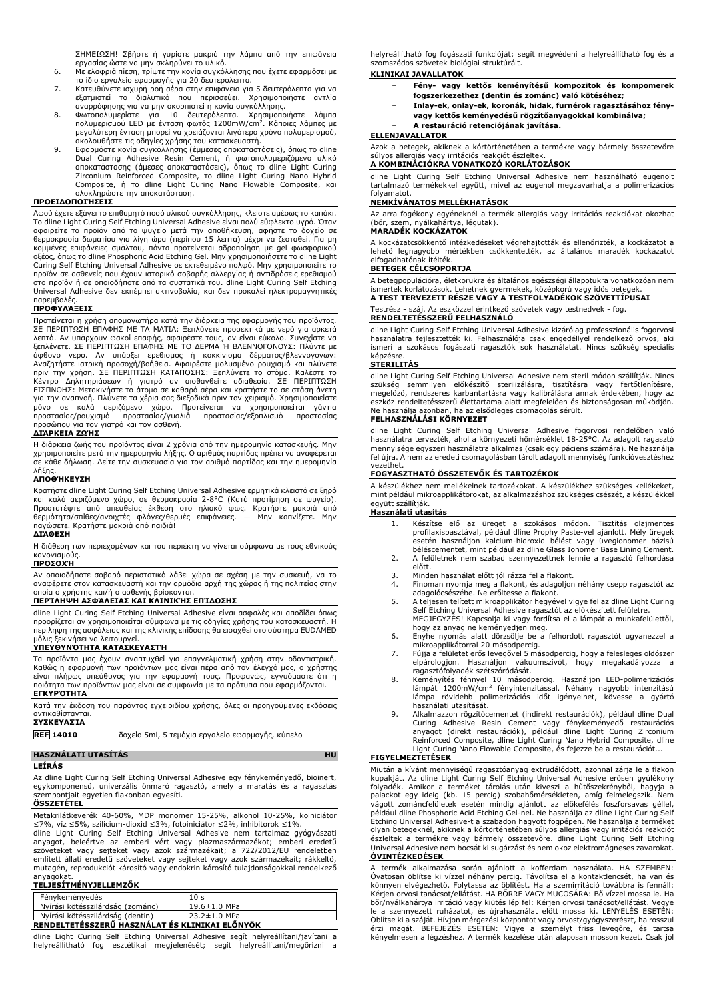ΣΗΜΕΙΩΣΗ! Σβήστε ή γυρίστε μακριά την λάμπα από την επιφάνεια

- εργασίας ώστε να μην σκληρύνει το υλικό. 6. Με ελαφριά πίεση, τρίψτε την κονία συγκόλλησης που έχετε εφαρμόσει με το ίδιο εργαλείο εφαρμογής για 20 δευτερόλεπτα.
- 7. Κατευθύνετε ισχυρή ροή αέρα στην επιφάνεια για 5 δευτερόλεπτα για να εξατμιστεί το διαλυτικό που περισσεύει. Χρησιμοποιήστε αντλία αναρρόφησης για να μην σκορπιστεί η κονία συγκόλλησης.
- 8. Φωτοπολυμερίστε για 10 δευτερόλεπτα. Χρησιμοποιήστε λάμπα πολυμερισμού LED με ένταση φωτός 1200mW/cm<sup>2</sup> . Κάποιες λάμπες με
- μεγαλύτερη ένταση μπορεί να χρειάζονται λιγότερο χρόνο πολυμερισμού,<br>ακολουθήστε τις οδηγίες χρήσης του κατασκευαστή.<br>9. Εφαρμόστε κονία συγκόλλησης (έμμεσες αποκαταστάσεις), όπως το dline<br>Dual Curing Adhesive Resin Cemen Zirconium Reinforced Composite, το dline Light Curing Nano Hybrid Composite, ή το dline Light Curing Nano Flowable Composite, και ολοκληρώστε την αποκατάσταση.

#### **ΠΡΟΕΙΔΟΠΟΙΉΣΕΙΣ**

Αφού έχετε εξάγει το επιθυμητό ποσό υλικού συγκόλλησης, κλείστε αμέσως το καπάκι. To dline Light Curing Self Etching Universal Adhesive είναι πολύ εύφλεκτο υγρό. Όταν αφαιρείτε το προϊόν από το ψυγείο μετά την αποθήκευση, αφήστε το δοχείο σε θερμοκρασία δωματίου για λίγη ώρα (περίπου 15 λεπτά) μέχρι να ζεσταθεί. Για μη<br>κομμένες επιφάνειες σμάλτου, πάντα προτείνεται αδροποίηση με gel φωσφορικού<br>οξέος, όπως το dline Phosphoric Acid Etching Gel. Μην χρησιμοποιήσ Curing Self Etching Universal Adhesive σε εκτεθειμένο πολφό. Μην χρησιμοποιείτε το<br>προϊόν σε ασθενείς που έχουν ιστορικό σοβαρής αλλεργίας ή αντιδράσεις ερεθισμού<br>στο προϊόν ή σε οποιοδήποτε από τα συστατικά του. dline Li

#### παρεμβολές. **ΠΡΟΦΥΛΆΞΕΙΣ**

Προτείνεται η χρήση απομονωτήρα κατά την διάρκεια της εφαρμογής του προϊόντος.<br>ΣΕ ΠΕΡΙΠΤΩΣΗ ΕΠΑΦΗΣ ΜΕ ΤΑ ΜΑΤΙΑ: Ξεπλύνετε προσεκτικά με νερό για αρκετά Σεπλένετε. ΣΕ ΠΕΡΙΠΤΩΣΗ ΕΠΑΦΗΣ ΜΕ ΤΟ ΔΕΡΜΑ 'Η ΒΛΕΝΝΟΓΟΝΟΥΣ: Πλύντε με

Η διάρκεια ζωής του προϊόντος είναι 2 χρόνια από την ημερομηνία κατασκευής. Μην χρησιμοποιείτε μετά την ημερομηνία λήξης. Ο αριθμός παρτίδας πρέπει να αναφέρεται σε κάθε δήλωση. Δείτε την συσκευασία για τον αριθμό παρτίδας και την ημερομηνία λήξης.

#### **ΑΠΟΘΉΚΕΥΣΗ**

Κρατήστε dline Light Curing Self Etching Universal Adhesive ερμητικά κλειστό σε ξηρό και καλά αεριζόμενο χώρο, σε θερμοκρασία 2-8°C (Κατά προτίμηση σε ψυγείο).<br>Προστατέψτε από απευθείας έκθεση στο ηλιακό φως. Κρατήστε μακριά<br>θερμότητα/σπίθες/ανοιχτές φλόγες/θερμές επιφάνειες. — Μην καπνίζετε. Μην παγώσετε. Κρατήστε μακριά από παιδιά!

# **ΔΙΆΘΕΣΗ**

Η διάθεση των περιεχομένων και του περιέκτη να γίνεται σύμφωνα με τους εθνικούς κανονισμούς.

### **ΠΡΟΣΟΧΉ**

Αν οποιοδήποτε σοβαρό περιστατικό λάβει χώρα σε σχέση με την συσκευή, να το αναφέρετε στον κατασκευαστή και την αρμόδια αρχή της χώρας ή της πολιτείας στην οποία ο χρήστης και/ή ο ασθενής βρίσκονται. **ΠΕΡΊΛΗΨΗ ΑΣΦΆΛΕΙΑΣ ΚΑΙ ΚΛΙΝΙΚΉΣ ΕΠΊΔΟΣΗΣ**

dline Light Curing Self Etching Universal Adhesive είναι ασφαλές και αποδίδει όπως προορίζεται αν χρησιμοποιείται σύμφωνα με τις οδηγίες χρήσης του κατασκευαστή. Η περίληψη της ασφάλειας και της κλινικής επίδοσης θα εισαχθεί στο σύστημα EUDAMED

# μόλις ξεκινήσει να λειτουργεί. **ΥΠΕΥΘΥΝΌΤΗΤΑ ΚΑΤΑΣΚΕΥΑΣΤΉ**

Τα προϊόντα μας έχουν αναπτυχθεί για επαγγελματική χρήση στην οδοντιατρική. Καθώς η εφαρμογή των προϊόντων μας είναι πέρα από τον έλεγχό μας, ο χρήστης είναι πλήρως υπεύθυνος για την εφαρμογή τους. Προφανώς, εγγυόμαστε ότι η ποιότητα των προϊόντων μας είναι σε συμφωνία με τα πρότυπα που εφαρμόζονται. **ΕΓΚΥΡΌΤΗΤΑ**

Κατά την έκδοση του παρόντος εγχειριδίου χρήσης, όλες οι προηγούμενες εκδόσεις αντικαθίστανται.

| ΣΥΣΚΕΥΑΣΊΑ |  |  |  |  |  |
|------------|--|--|--|--|--|
|            |  |  |  |  |  |

**REF 14010** δοχείο 5ml, 5 τεμάχια εργαλείο εφαρμογής, κύπελο

# **HASZNÁLATI UTASÍTÁS HU**

#### **LEÍRÁS**

Az dline Light Curing Self Etching Universal Adhesive egy fénykeményedő, bioinert, egykomponensű, univerzális önmaró ragasztó, amely a maratás és a ragasztás szempontjait egyetlen flakonban egyesíti.

# **ÖSSZETÉTEL**

Metakrilátkeverék 40-60%, MDP monomer 15-25%, alkohol 10-25%, koiniciátor ≤7%, víz ≤5%, szilícium-dioxid ≤3%, fotoiniciátor ≤2%, inhibitorok ≤1%.

dline Light Curing Self Etching Universal Adhesive nem tartalmaz gyógyászati<br>anyagot, beleértve az emberi vért vagy plazmaszármazékot; emberi eredetű<br>szöveteket vagy sejteket vagy azok származékait; a 722/2012/EU rendeletb említett állati eredetű szöveteket vagy sejteket vagy azok származékait; rákkeltő, mutagén, reprodukciót károsító vagy endokrin károsító tulajdonságokkal rendelkező anyagokat.

#### **TELJESÍTMÉNYJELLEMZŐK**

| Fénykeményedés                   |              |
|----------------------------------|--------------|
| Nyírási kötésszilárdság (zománc) | 19.6±1.0 MPa |
| Nyírási kötésszilárdság (dentin) | 23.2±1.0 MPa |
|                                  |              |

# **RENDELTETÉSSZERŰ HASZNÁLAT ÉS KLINIKAI ELŐNYÖK**

dline Light Curing Self Etching Universal Adhesive segít helyreállítani/javítani a helyreállítható fog esztétikai megjelenését; segít helyreállítani/megőrizni a

helyreállítható fog fogászati funkcióját; segít megvédeni a helyreállítható fog és a szomszédos szövetek biológiai struktúráit.

# **KLINIKAI JAVALLATOK**

- − **Fény- vagy kettős keményítésű kompozitok és kompomerek fogszerkezethez (dentin és zománc) való kötéséhez;**
- − **Inlay-ek, onlay-ek, koronák, hidak, furnérok ragasztásához fényvagy kettős keményedésű rögzítőanyagokkal kombinálva;**

# − **A restauráció retenciójának javítása.**

# **ELLENJAVALLATOK**

Azok a betegek, akiknek a kórtörténetében a termékre vagy bármely összetevőre súlyos allergiás vagy irritációs reakciót észleltek.

# **A KOMBINÁCIÓKRA VONATKOZÓ KORLÁTOZÁSOK**

dline Light Curing Self Etching Universal Adhesive nem használható eugenolt tartalmazó termékekkel együtt, mivel az eugenol megzavarhatja a polimerizációs folyamatot.

# **NEMKÍVÁNATOS MELLÉKHATÁSOK**

Az arra fogékony egyéneknél a termék allergiás vagy irritációs reakciókat okozhat (bőr, szem, nyálkahártya, légutak). **MARADÉK KOCKÁZATOK**

A kockázatcsökkentő intézkedéseket végrehajtották és ellenőrizték, a kockázatot a lehető legnagyobb mértékben csökkentették, az általános maradék kockázatot elfogadhatónak ítélték.

#### **BETEGEK CÉLCSOPORTJA**

A betegpopulációra, életkorukra és általános egészségi állapotukra vonatkozóan nem ismertek korlátozások. Lehetnek gyermekek, középkorú vagy idős betegek. **A TEST TERVEZETT RÉSZE VAGY A TESTFOLYADÉKOK SZÖVETTÍPUSAI**

# Testrész - száj. Az eszközzel érintkező szövetek vagy testnedvek - fog.

**RENDELTETÉSSZERŰ FELHASZNÁLÓ**

dline Light Curing Self Etching Universal Adhesive kizárólag professzionális fogorvosi használatra fejlesztették ki. Felhasználója csak engedéllyel rendelkező orvos, aki ismeri a szokásos fogászati ragasztók sok használatát. Nincs szükség speciális képzésre.

#### **STERILITÁS**

dline Light Curing Self Etching Universal Adhesive nem steril módon szállítják. Nincs szükség semmilyen előkészítő sterilizálásra, tisztításra vagy fertőtlenítésre, megelőző, rendszeres karbantartásra vagy kalibrálásra annak érdekében, hogy az eszköz rendeltetésszerű élettartama alatt megfelelően és biztonságosan működjön. Ne használja azonban, ha az elsődleges csomagolás sérült.

## **FELHASZNÁLÁSI KÖRNYEZET**

dline Light Curing Self Etching Universal Adhesive fogorvosi rendelőben való<br>használatra-tervezték, ahol a környezeti hőmérséklet 18-25°C. Az adagolt ragasztó<br>mennyisége-egyszeri-használatra-alkalmas (csak-egy-páciens-szám fel újra. A nem az eredeti csomagolásban tárolt adagolt mennyiség funkcióvesztéshez vezethet.

# **FOGYASZTHATÓ ÖSSZETEVŐK ÉS TARTOZÉKOK**

A készülékhez nem mellékelnek tartozékokat. A készülékhez szükséges kellékeket, mint például mikroapplikátorokat, az alkalmazáshoz szükséges csészét, a készülékkel együtt szállítják. **Használati utasítás**

- 1. Készítse elő az üreget a szokásos módon. Tisztítás olajmentes profilaxispasztával, például dline Prophy Paste-vel ajánlott. Mély üregek esetén használjon kalcium-hidroxid bélést vagy üvegionomer bázisú béléscementet, mint például az dline Glass Ionomer Base Lining Cement. 2. A felületnek nem szabad szennyezettnek lennie a ragasztó felhordása
- előtt.
- 
- 3. Minden használat előtt jól rázza fel a flakont.<br>4. Finoman nyomja meg a flakont, és adagoljon néhány csepp ragasztót az<br>adagolócsészébe. Ne erőltesse a flakont.<br>5. A teljesen telített mikroapplikátor hegyével vigye fel
- MEGJEGYZÉS! Kapcsolja ki vagy fordítsa el a lámpát a munkafelülettől, hogy az anyag ne keményedjen meg.
- 6. Enyhe nyomás alatt dörzsölje be a felhordott ragasztót ugyanezzel a
- mikroapplikátorral 20 másodpercig. 7. Fújja a felületet erős levegővel 5 másodpercig, hogy a felesleges oldószer elpárologjon. Használjon vákuumszívót, hogy megakadályozza a ragasztófolyadék szétszóródását.
- 8. Keményítés fénnyel 10 másodpercig. Használjon LED-polimerizációs lámpát 1200mW/cm<sup>2</sup> fényintenzitással. Néhány nagyobb intenzitású lámpa rövidebb polimerizációs időt igényelhet, kövesse a gyártó használati utasítását.
- 9. Alkalmazzon rögzítőcementet (indirekt restaurációk), például dline Dual<br>Curing Adhesive Resin Cement vagy fénykeményedő restaurációs<br>anyagot (direkt restaurációk), például dline Light Curing Zirconium<br>Reinforced Composi Light Curing Nano Flowable Composite, és fejezze be a restaurációt...

#### **FIGYELMEZTETÉSEK**

Miután a kívánt mennyiségű ragasztóanyag extrudálódott, azonnal zárja le a flakon<br>kupakját. Az dline Light Curing Self Etching Universal Adhesive erősen gyúlékony<br>folyadék. Amikor a terméket tárolás után kiveszi a hűtőszek például dline Phosphoric Acid Etching Gel-nel. Ne használja az dline Light Curing Self<br>Etching Universal Adhesive-t a szabadon hagyott fogpépen. Ne használja a terméket<br>olyan betegeknél, akiknek a kórtörténetében súlyos al Universal Adhesive nem bocsát ki sugárzást és nem okoz elektromágneses zavarokat. **ÓVINTÉZKEDÉSEK**

A termék alkalmazása során ajánlott a kofferdam használata. HA SZEMBEN:<br>Óvatosan öblítse ki vízzel néhány percig. Távolítsa el a kontaktlencsét, ha van és<br>könnyen elvégezhető. Folytassa az öblítést. Ha a szemirritáció tová Kérjen orvosi tanácsot/ellátást. HA BÖRRE VAGY MUCOSARA: Bő vízzel mossa le. Ha<br>bőr/nyálkahártya irritáció vagy kiütés lép fel: Kérjen orvosi tanácsot/ellátást. Vegye<br>le a szennyezett ruházatot, és újrahasználat előtt moss Öblítse ki a száját. Hívjon mérgezési központot vagy orvost/gyógyszerészt, ha rosszul<br>érzi magát. BEFEJEZÉS ESETÉN: Vigye a személyt friss levegőre, és tartsa<br>kényelmesen a légzéshez. A termék kezelése után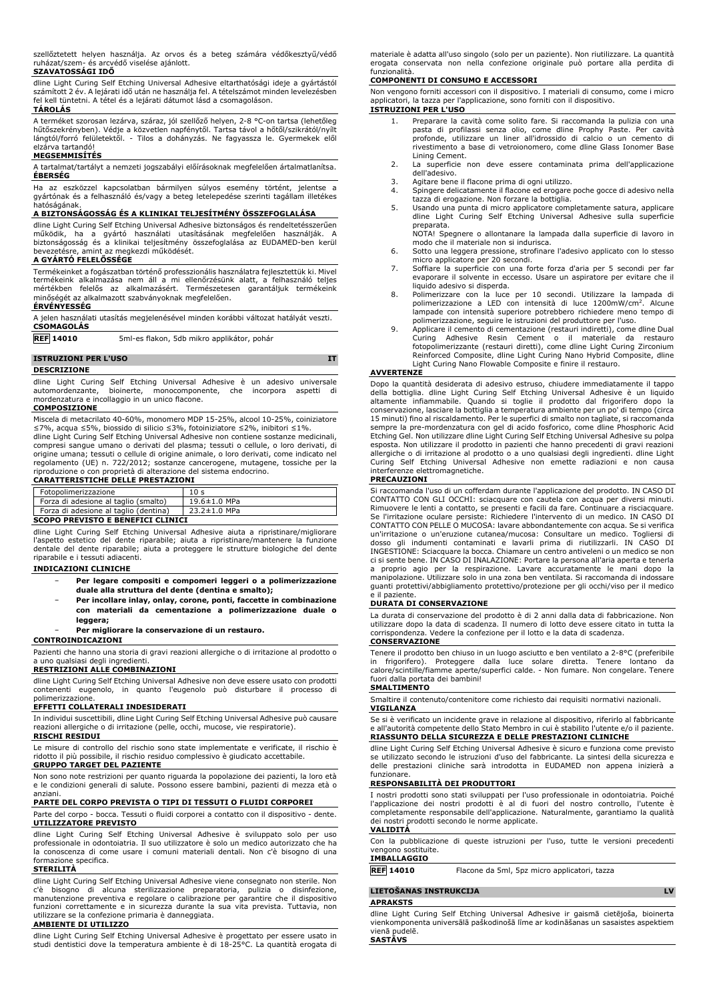szellőztetett helyen használja. Az orvos és a beteg számára védőkesztyű/védő ruházat/szem- és arcvédő viselése ajánlott.

# **SZAVATOSSÁGI IDŐ**

dline Light Curing Self Etching Universal Adhesive eltarthatósági ideje a gyártástól számított 2 év. A lejárati idő után ne használja fel. A tételszámot minden levelezésben fel kell tüntetni. A tétel és a lejárati dátumot lásd a csomagoláson.

# **TÁROLÁS**

A terméket szorosan lezárva, száraz, jól szellőző helyen, 2-8 °C-on tartsa (lehetőleg hűtőszekrényben). Védje a közvetlen napfénytől. Tartsa távol a hőtől/szikrától/nyílt lángtól/forró felületektől. - Tilos a dohányzás. Ne fagyassza le. Gyermekek elől elzárva tartandó!

#### **MEGSEMMISÍTÉS**

A tartalmat/tartályt a nemzeti jogszabályi előírásoknak megfelelően ártalmatlanítsa. **ÉBERSÉG**

Ha az eszközzel kapcsolatban bármilyen súlyos esemény történt, jelentse a gyártónak és a felhasználó és/vagy a beteg letelepedése szerinti tagállam illetékes hatóságának.

## **A BIZTONSÁGOSSÁG ÉS A KLINIKAI TELJESÍTMÉNY ÖSSZEFOGLALÁSA**

dline Light Curing Self Etching Universal Adhesive biztonságos és rendeltetésszerűen<br>működik, ha a gyártó használati utasításának megfelelően használják. A<br>biztonságosság és a klinikai teljesítmény össz

#### **A GYÁRTÓ FELELŐSSÉGE**

Termékeinket a fogászatban történő professzionális használatra fejlesztettük ki. Mivel<br>termékeink alkalmazása nem áll a mi ellenőrzésünk alatt, a felhasználó teljes<br>mértékben felelős az alkalmazásért. Ter minőségét az alkalmazott szabványoknak megfelelően.

### **ÉRVÉNYESSÉG**

| A jelen használati utasítás megjelenésével minden korábbi változat hatályát veszti. |  |
|-------------------------------------------------------------------------------------|--|
| <b>CSOMAGOLÁS</b>                                                                   |  |

| <b>REF 14010</b> | 5ml-es flakon, 5db mikro applikátor, pohár |
|------------------|--------------------------------------------|
|                  |                                            |

## **ISTRUZIONI PER L'USO IT**

**DESCRIZIONE**

dline Light Curing Self Etching Universal Adhesive è un adesivo universale automordenzante, bioinerte, monocomponente, che incorpora aspetti mordenzatura e incollaggio in un unico flacone.

#### **COMPOSIZIONE**

Miscela di metacrilato 40-60%, monomero MDP 15-25%, alcool 10-25%, coiniziatore ≤7%, acqua ≤5%, biossido di silicio ≤3%, fotoiniziatore ≤2%, inibitori ≤1%.

dline Light Curing Self Etching Universal Adhesive non contiene sostanze medicinali, compresi sangue umano o derivati del plasma; tessuti o cellule, o loro derivati, di origine umana; tessuti o cellule di origine animale, o loro derivati, come indicato nel regolamento (UE) n. 722/2012; sostanze cancerogene, mutagene, tossiche per la riproduzione o con proprietà di alterazione del sistema endocrino. **CARATTERISTICHE DELLE PRESTAZIONI**

| Fotopolimerizzazione                  | 10 <sub>s</sub>    |  |  |  |
|---------------------------------------|--------------------|--|--|--|
| Forza di adesione al taglio (smalto)  | $19.6 \pm 1.0$ MPa |  |  |  |
| Forza di adesione al taglio (dentina) | $23.2 \pm 1.0$ MPa |  |  |  |
| SCOPO PREVISTO E BENEFICI CLINICI     |                    |  |  |  |

### **SCOPO PREVISTO E BENEFICI CLINICI**

dline Light Curing Self Etching Universal Adhesive aiuta a ripristinare/migliorare l'aspetto estetico del dente riparabile; aiuta a ripristinare/mantenere la funzione dentale del dente riparabile; aiuta a proteggere le strutture biologiche del dente riparabile e i tessuti adiacenti.

### **INDICAZIONI CLINICHE**

- − **Per legare compositi e compomeri leggeri o a polimerizzazione duale alla struttura del dente (dentina e smalto);**
- − **Per incollare inlay, onlay, corone, ponti, faccette in combinazione con materiali da cementazione a polimerizzazione duale o leggera;**

### − **Per migliorare la conservazione di un restauro. CONTROINDICAZIONI**

Pazienti che hanno una storia di gravi reazioni allergiche o di irritazione al prodotto o a uno qualsiasi degli ingredienti.

## **RESTRIZIONI ALLE COMBINAZIONI**

dline Light Curing Self Etching Universal Adhesive non deve essere usato con prodotti contenenti eugenolo, in quanto l'eugenolo può disturbare il processo di polimerizzazione.

# **EFFETTI COLLATERALI INDESIDERATI**

In individui suscettibili, dline Light Curing Self Etching Universal Adhesive può causare reazioni allergiche o di irritazione (pelle, occhi, mucose, vie respiratorie).

# **RISCHI RESIDUI**

Le misure di controllo del rischio sono state implementate e verificate, il rischio è ridotto il più possibile, il rischio residuo complessivo è giudicato accettabile. **GRUPPO TARGET DEL PAZIENTE**

Non sono note restrizioni per quanto riguarda la popolazione dei pazienti, la loro età e le condizioni generali di salute. Possono essere bambini, pazienti di mezza età o anziani.

# **PARTE DEL CORPO PREVISTA O TIPI DI TESSUTI O FLUIDI CORPOREI**

Parte del corpo - bocca. Tessuti o fluidi corporei a contatto con il dispositivo - dente. **UTILIZZATORE PREVISTO**

dline Light Curing Self Etching Universal Adhesive è sviluppato solo per uso professionale in odontoiatria. Il suo utilizzatore è solo un medico autorizzato che ha la conoscenza di come usare i comuni materiali dentali. Non c'è bisogno di una formazione specifica.

## **STERILITÀ**

dline Light Curing Self Etching Universal Adhesive viene consegnato non sterile. Non c'è bisogno di alcuna sterilizzazione preparatoria, pulizia o disinfezione,<br>manutenzione-preventiva eregolare-o-calibrazione-per-garantire-che-il-dispositivo<br>funzioni-correttamente-e-in-sicurezza-durante-la-sua-vita-previs utilizzare se la confezione primaria è danneggiata.

## **AMBIENTE DI UTILIZZO**

dline Light Curing Self Etching Universal Adhesive è progettato per essere usato in studi dentistici dove la temperatura ambiente è di 18-25°C. La quantità erogata di

materiale è adatta all'uso singolo (solo per un paziente). Non riutilizzare. La quantità erogata conservata non nella confezione originale può portare alla perdita di funzionalità.

### **COMPONENTI DI CONSUMO E ACCESSORI**

Non vengono forniti accessori con il dispositivo. I materiali di consumo, come i micro applicatori, la tazza per l'applicazione, sono forniti con il dispositivo. **ISTRUZIONI PER L'USO**

- 1. Preparare la cavità come solito fare. Si raccomanda la pulizia con una pasta di profilassi senza olio, come dline Prophy Paste. Per cavità profonde, utilizzare un liner all'idrossido di calcio o un cemento di rivestimento a base di vetroionomero, come dline Glass Ionomer Base
- Lining Cement. 2. La superficie non deve essere contaminata prima dell'applicazione dell'adesivo.
- 3. Agitare bene il flacone prima di ogni utilizzo.<br>3. Spingere delicatamente il flacone ed erogare
- 4. Spingere delicatamente il flacone ed erogare poche gocce di adesivo nella
- tazza di erogazione. Non forzare la bottiglia. 5. Usando una punta di micro applicatore completamente satura, applicare dline Light Curing Self Etching Universal Adhesive sulla superficie preparata.

NOTA! Spegnere o allontanare la lampada dalla superficie di lavoro in modo che il materiale non si indurisca.

- 6. Sotto una leggera pressione, strofinare l'adesivo applicato con lo stesso micro applicatore per 20 secondi.
- 7. Soffiare la superficie con una forte forza d'aria per 5 secondi per far evaporare il solvente in eccesso. Usare un aspiratore per evitare che il
- liquido adesivo si disperda. 8. Polimerizzare con la luce per 10 secondi. Utilizzare la lampada di polimerizzazione a LED con intensità di luce 1200mW/cm<sup>2</sup> . Alcune lampade con intensità superiore potrebbero richiedere meno tempo di polimerizzazione, seguire le istruzioni del produttore per l'uso.
- 9. Applicare il cemento di cementazione (restauri indiretti), come dline Dual Curing Adhesive Resin Cement o il materiale da restauro fotopolimerizzante (restauri diretti), come dline Light Curing Zirconium<br>Reinforced Composite, dline Light Curing Nano Hybrid Composite, dline<br>Light Curing Nano Flowable Composite e finire il restauro.

# **AVVERTENZE**

Dopo la quantità desiderata di adesivo estruso, chiudere immediatamente il tappo della bottiglia. dline Light Curing Self Etching Universal Adhesive è un liquido<br>altamente infiammabile. Quando si toglie il prodotto dal frigorifero dopo la<br>conservazione,lasciarelabottiglia-a-temperatura-ambiente-per-un-15 minuti) fino al riscaldamento. Per le superfici di smalto non tagliate, si raccomanda sempre la pre-mordenzatura con gel di acido fosforico, come dline Phosphoric Acid Etching Gel. Non utilizzare dline Light Curing Self Etching Universal Adhesive su polpa esposta. Non utilizzare il prodotto in pazienti che hanno precedenti di gravi reazioni allergiche o di irritazione al prodotto o a uno qualsiasi degli ingredienti. dline Light Curing Self Etching Universal Adhesive non emette radiazioni e non causa interferenze elettromagnetiche.

# **PRECAUZIONI**

Si raccomanda l'uso di un cofferdam durante l'applicazione del prodotto. IN CASO DI CONTATTO CON GLI OCCHI: sciacquare con cautela con acqua per diversi minuti.<br>Rimuovere le lenti a contatto, se presenti e facili da fare. Continuare a risciacquare.<br>Se l'irritazione oculare persiste: Richiedere l'intervent CONTATTO CON PELLE O MUCOSA: lavare abbondantemente con acqua. Se si verifica un'irritazione o un'eruzione cutanea/mucosa: Consultare un medico. Togliersi di<br>dosso gli indumenti contaminati e lavarli prima di riutilizzarli. IN CASO DI<br>INGESTIONE: Sciacquarelabocca. Chiamare uncentro-antivelenio-un-m ci si sente bene. IN CASO DI INALAZIONE: Portare la persona all'aria aperta e tenerla a proprio agio per la respirazione. Lavare accuratamente le mani dopo la manipolazione. Utilizzare solo in una zona ben ventilata. Si raccomanda di indossare guanti protettivi/abbigliamento protettivo/protezione per gli occhi/viso per il medico e il paziente.

## **DURATA DI CONSERVAZIONE**

La durata di conservazione del prodotto è di 2 anni dalla data di fabbricazione. Non utilizzare dopo la data di scadenza. Il numero di lotto deve essere citato in tutta la corrispondenza. Vedere la confezione per il lotto e la data di scadenza.

# **CONSERVAZIONE**

Tenere il prodotto ben chiuso in un luogo asciutto e ben ventilato a 2-8°C (preferibile<br>in frigorifero). Proteggere dalla luce solare diretta. Tenere lontano da<br>calore/scintille/fiamme aperte/superfici ca fuori dalla portata dei bambini!

### **SMALTIMENTO**

Smaltire il contenuto/contenitore come richiesto dai requisiti normativi nazionali. **VIGILANZA**

Se si è verificato un incidente grave in relazione al dispositivo, riferirlo al fabbricante e all'autorità competente dello Stato Membro in cui è stabilito l'utente e/o il paziente. **RIASSUNTO DELLA SICUREZZA E DELLE PRESTAZIONI CLINICHE**

dline Light Curing Self Etching Universal Adhesive è sicuro e funziona come previsto se utilizzato secondo le istruzioni d'uso del fabbricante. La sintesi della sicurezza e delle prestazioni cliniche sarà introdotta in EUDAMED non appena inizierà a funzionare.

#### **RESPONSABILITÀ DEI PRODUTTORI**

I nostri prodotti sono stati sviluppati per l'uso professionale in odontoiatria. Poiché l'applicazione dei nostri prodotti è al di fuori del nostro controllo, l'utente è completamente responsabile dell'applicazione. Naturalmente, garantiamo la qualità dei nostri prodotti secondo le norme applicate.

### **VALIDITÀ**

Con la pubblicazione di queste istruzioni per l'uso, tutte le versioni precedenti vengono sostituite.

# **IMBALLAGGIO**

**REF 14010** Flacone da 5ml, 5pz micro applicatori, tazza

# **LIETOŠANAS INSTRUKCIJA LV**

**APRAKSTS**

dline Light Curing Self Etching Universal Adhesive ir gaismā cietējoša, bioinerta vienkomponenta universālā paškodinošā līme ar kodināšanas un sasaistes aspektiem vienā pudelē. **SASTĀVS**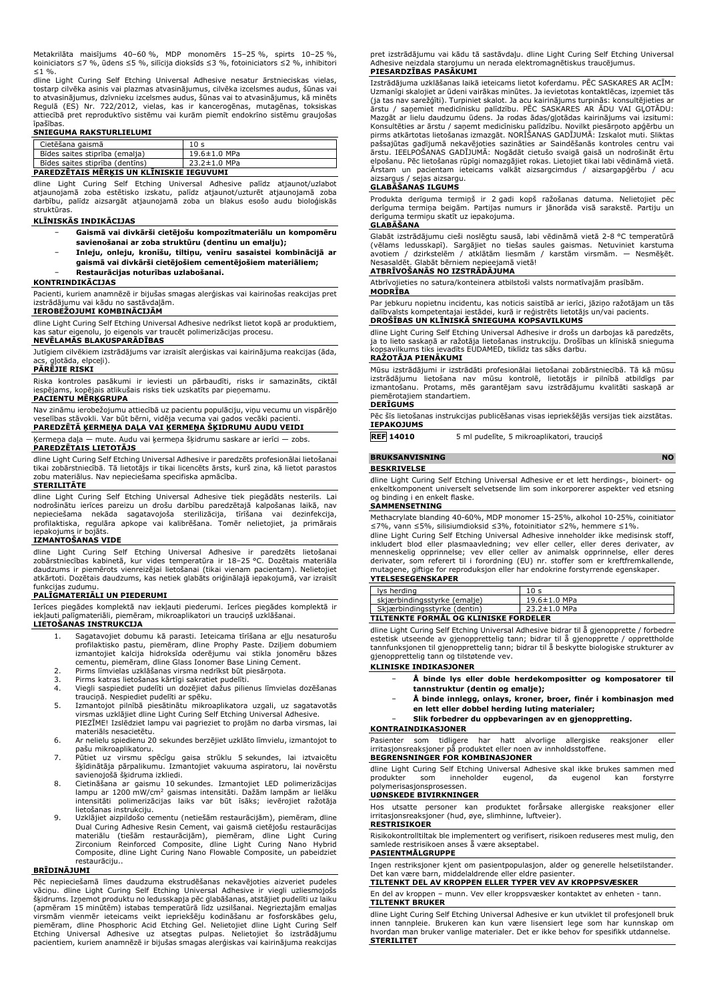Metakrilāta maisījums 40–60 %, MDP monomērs 15–25 %, spirts 10–25 %, koiniciators ≤7 %, ūdens ≤5 %, silīcija dioksīds ≤3 %, fotoiniciators ≤2 %, inhibitori  $≤1$  %.

dline Light Curing Self Etching Universal Adhesive nesatur ārstnieciskas vielas, tostarp cilvēka asinis vai plazmas atvasinājumus, cilvēka izcelsmes audus, šūnas vai<br>to atvasinājumus, dzīvnieku izcelsmes audus, šūnas vai to atvasinājumus, kā minēts<br>Regulā (ES) Nr. 722/2012, vielas, kas ir kancer īpašības.

#### **SNIEGUMA RAKSTURLIELUMI**

| Cietēšana gaismā                | 10 <sub>s</sub> |
|---------------------------------|-----------------|
| Bīdes saites stiprība (emalja)  | 19.6±1.0 MPa    |
| Bīdes saites stiprība (dentīns) | 23.2±1.0 MPa    |
|                                 |                 |

# **PAREDZĒTAIS MĒRĶIS UN KLĪNISKIE IEGUVUMI**

dline Light Curing Self Etching Universal Adhesive palīdz atjaunot/uzlabot atjaunojamā zoba estētisko izskatu, palīdz atjaunot/uzturēt atjaunojamā zoba darbību, palīdz aizsargāt atjaunojamā zoba un blakus esošo audu bioloģiskās struktūras.

#### **KLĪNISKĀS INDIKĀCIJAS**

- − **Gaismā vai divkārši cietējošu kompozītmateriālu un kompomēru savienošanai ar zoba struktūru (dentīnu un emalju);**
- − **Inleju, onleju, kronīšu, tiltiņu, venīru sasaistei kombinācijā ar gaismā vai divkārši cietējošiem cementējošiem materiāliem;** − **Restaurācijas noturības uzlabošanai.**

#### **KONTRINDIKĀCIJAS**

Pacienti, kuriem anamnēzē ir bijušas smagas alerģiskas vai kairinošas reakcijas pret izstrādājumu vai kādu no sastāvdaļām.

#### **IEROBEŽOJUMI KOMBINĀCIJĀM**

dline Light Curing Self Etching Universal Adhesive nedrīkst lietot kopā ar produktiem, kas satur eigenolu, jo eigenols var traucēt polimerizācijas procesu.

## **NEVĒLAMĀS BLAKUSPARĀDĪBAS**

Jutīgiem cilvēkiem izstrādājums var izraisīt alerģiskas vai kairinājuma reakcijas (āda, alotāda, elpceļi).

#### **PĀRĒJIE RISKI**

Riska kontroles pasākumi ir ieviesti un pārbaudīti, risks ir samazināts, ciktāl iespējams, kopējais atlikušais risks tiek uzskatīts par pieņemamu.

#### **PACIENTU MĒRĶGRUPA**

Nav zināmu ierobežojumu attiecībā uz pacientu populāciju, viņu vecumu un vispārējo veselības stāvokli. Var būt bērni, vidēja vecuma vai gados vecāki pacienti.

**PAREDZĒTĀ ĶERMEŅA DAĻA VAI ĶERMEŅA ŠĶIDRUMU AUDU VEIDI** Ķermeņa daļa — mute. Audu vai ķermeņa šķidrumu saskare ar ierīci — zobs.

## **PAREDZĒTAIS LIETOTĀJS**

dline Light Curing Self Etching Universal Adhesive ir paredzēts profesionālai lietošanai tikai zobārstniecībā. Tā lietotājs ir tikai licencēts ārsts, kurš zina, kā lietot parastos zobu materiālus. Nav nepieciešama specifiska apmācība.

## **STERILITĀTE**

dline Light Curing Self Etching Universal Adhesive tiek piegādāts nesterils. Lai<br>nodrošinātu ierīces pareizu un drošu darbību paredzētajā kalpošanas laikā, nav<br>nepieciešama - nekāda - sagatavojoša - sterilizācija, - tīrīša profilaktiska, regulāra apkope vai kalibrēšana. Tomēr nelietojiet, ja primārais iepakojums ir bojāts.

# **IZMANTOŠANAS VIDE**

dline Light Curing Self Etching Universal Adhesive ir paredzēts lietošanai zobārstniecības kabinetā, kur vides temperatūra ir 18–25 °C. Dozētais materiāla daudzums ir piemērots vienreizējai lietošanai (tikai vienam pacientam). Nelietojiet atkārtoti. Dozētais daudzums, kas netiek glabāts oriģinālajā iepakojumā, var izraisīt funkcijas zudumu.

#### **PALĪGMATERIĀLI UN PIEDERUMI**

Ierīces piegādes komplektā nav iekļauti piederumi. Ierīces piegādes komplektā ir iekļauti palīgmateriāli, piemēram, mikroaplikatori un trauciņš uzklāšanai. **LIETOŠANAS INSTRUKCIJA**

- 1. Sagatavojiet dobumu kā parasti. Ieteicama tīrīšana ar eļļu nesaturošu profilaktisko pastu, piemēram, dline Prophy Paste. Dziļiem dobumiem izmantojiet kalcija hidroksīda oderējumu vai stikla jonomēru bāzes cementu, piemēram, dline Glass Ionomer Base Lining Cement. 2. Pirms līmvielas uzklāšanas virsma nedrīkst būt piesārņota.
- 
- 3. Pirms katras lietošanas kārtīgi sakratiet pudelīti.
- 4. Viegli saspiediet pudelīti un dozējiet dažus pilienus līmvielas dozēšanas trauciņā. Nespiediet pudelīti ar spēku.
- 5. Izmantojot pilnībā piesātinātu mikroaplikatora uzgali, uz sagatavotās virsmas uzklājiet dline Light Curing Self Etching Universal Adhesive. PIEZĪME! Izslēdziet lampu vai pagrieziet to projām no darba virsmas, lai materiāls nesacietētu.
- 6. Ar nelielu spiedienu 20 sekundes berzējiet uzklāto līmvielu, izmantojot to pašu mikroaplikatoru.
- 7. Pūtiet uz virsmu spēcīgu gaisa strūklu 5 sekundes, lai iztvaicētu šķīdinātāja pārpalikumu. Izmantojiet vakuuma aspiratoru, lai novērstu savienojošā šķidruma izkliedi.
- 8. Cietināšana ar gaismu 10 sekundes. Izmantojiet LED polimerizācijas<br>lampu ar 1200 mW/cm<sup>2</sup> gaismas intensitāti. Dažām lampām ar lielāku<br>intensitāti polimerizācijas laiks var būt īsāks; ievērojiet ražotāja lietošanas instrukciju.
- 9. Uzklājiet aizpildošo cementu (netiešām restaurācijām), piemēram, dline Dual Curing Adhesive Resin Cement, vai gaismā cietējošu restaurācijas materiālu (tiešām restaurācijām), piemēram, dline Light Curing Zirconium Reinforced Composite, dline Light Curing Nano Hybrid Composite, dline Light Curing Nano Flowable Composite, un pabeidziet restaurāciju..

#### **BRĪDINĀJUMI**

Pēc nepieciešamā līmes daudzuma ekstrudēšanas nekavējoties aizveriet pudeles vāciņu. dline Light Curing Self Etching Universal Adhesive ir viegli uzliesmojošs šķidrums. Izņemot produktu no ledusskapja pēc glabāšanas, atstājiet pudelīti uz laiku (apmēram 15 minūtēm) istabas temperatūrā līdz uzsilšanai. Negrieztajām emaljas virsmām vienmēr ieteicams veikt iepriekšēju kodināšanu ar fosforskābes gelu,<br>piemēram, dline Phosphoric Acid Etching Gel. Nelietojiet dline Light Curing Self<br>Etching Universal Adhesive uz atsegtas pulpas. Nelietojiet šo iz

pret izstrādājumu vai kādu tā sastāvdaļu. dline Light Curing Self Etching Universal Adhesive neizdala starojumu un nerada elektromagnētiskus traucējumus. **PIESARDZĪBAS PASĀKUMI**

# Izstrādājuma uzklāšanas laikā ieteicams lietot koferdamu. PĒC SASKARES AR ACĪM: Uzmanīgi skalojiet ar ūdeni vairākas minūtes. Ja ievietotas kontaktlēcas, izņemiet tās (ja tas nav sarežģīti). Turpiniet skalot. Ja acu kairinājums turpinās: konsultējieties ar ārstu / saņemiet medicīnisku palīdzību. PĒC SASKARES AR ĀDU VAI GĻOTĀDU: Mazgāt ar lielu daudzumu ūdens. Ja rodas ādas/gļotādas kairinājums vai izsitumi: Konsultēties ar ārstu / saņemt medicīnisku palīdzību. Novilkt piesārņoto apģērbu un<br>pirms atkārtotas lietošanas izmazgāt. NORĪŠANAS GADĪJUMĀ: Izskalot muti. Sliktas<br>pašsajūtas gadījumā nekavējoties sazināties ar Saindēšanā ārstu. IEELPOSANAS GADIJUMA: Nogādāt cietušo svaigā gaisā un nodrošināt ērtu<br>elpošanu. Pēc lietošanas rūpīgi nomazgājiet rokas. Lietojiet tikai labi vēdināmā vietā. Ārstam un pacientam ieteicams valkāt aizsargcimdus / aizsargapģērbu / acu aizsargus / sejas aizsargu.

# **GLABĀŠANAS ILGUMS**

Produkta derīguma termiņš ir 2 gadi kopš ražošanas datuma. Nelietojiet pēc derīguma termiņa beigām. Partijas numurs ir jānorāda visā sarakstē. Partiju un derīguma termiņu skatīt uz iepakojuma. **GLABĀŠANA**

Glabāt izstrādājumu cieši noslēgtu sausā, labi vēdināmā vietā 2-8 °C temperatūrā (vēlams ledusskapī). Sargājiet no tiešas saules gaismas. Netuviniet karstuma avotiem / dzirkstelēm / atklātām liesmām / karstām virsmām. — Nesmēķēt. Nesasaldēt. Glabāt bērniem nepieejamā vietā! **ATBRĪVOŠANĀS NO IZSTRĀDĀJUMA**

Atbrīvojieties no satura/konteinera atbilstoši valsts normatīvajām prasībām. **MODRĪBA**

Par jebkuru nopietnu incidentu, kas noticis saistībā ar ierīci, jāziņo ražotājam un tās dalībvalsts kompetentajai iestādei, kurā ir reģistrēts lietotājs un/vai pacients. **DROŠĪBAS UN KLĪNISKĀ SNIEGUMA KOPSAVILKUMS**

dline Light Curing Self Etching Universal Adhesive ir drošs un darbojas kā paredzēts,<br>ja to lieto saskaņā ar ražotāja lietošanas instrukciju. Drošības un klīniskā snieguma<br>kopsavilkums tiks ievadīts EUDAMED, tiklīdz tas sā

# **RAŽOTĀJA PIENĀKUMI**

Mūsu izstrādājumi ir izstrādāti profesionālai lietošanai zobārstniecībā. Tā kā mūsu izstrādājumu lietošana nav mūsu kontrolē, lietotājs ir pilnībā atbildīgs par izmantošanu. Protams, mēs garantējam savu izstrādājumu kvalitāti saskaņā ar piemērotajiem standartiem.

### **DERĪGUMS**

Pēc šīs lietošanas instrukcijas publicēšanas visas iepriekšējās versijas tiek aizstātas. **IEPAKOJUMS**

**REF 14010** 5 ml pudelīte, 5 mikroaplikatori, trauciņš

# **BRUKSANVISNING NO**

## **BESKRIVELSE**

dline Light Curing Self Etching Universal Adhesive er et lett herdings-, bioinert- og enkeltkomponent universelt selvetsende lim som inkorporerer aspekter ved etsning og binding i en enkelt flaske.

### **SAMMENSETNING**

Methacrylate blanding 40-60%, MDP monomer 15-25%, alkohol 10-25%, coinitiator

≤7%, vann ≤5%, silisiumdioksid ≤3%, fotoinitiator ≤2%, hemmere ≤1%.<br>dline Light Curing Self Etching Universal Adhesive inneholder ikke medisinsk stoff,<br>inkludert blod eller plasmaavledning; vev eller celler, eller menneskelig opprinnelse; vev eller celler av animalsk opprinnelse, eller deres<br>derivater, som referert til i forordning (EU) nr. stoffer som er kreftfremkallende,<br>mutagene, giftige for reproduksjon eller har endokrine fors

| lys herding                           | 10 <sub>s</sub>    |  |  |
|---------------------------------------|--------------------|--|--|
| skjærbindingsstyrke (emalje)          | $19.6 \pm 1.0$ MPa |  |  |
| Skjærbindingsstyrke (dentin)          | 23.2±1.0 MPa       |  |  |
| TILTENKTE FORMÅL OG KLINISKE FORDELER |                    |  |  |

dline Light Curing Self Etching Universal Adhesive bidrar til å gjenopprette / forbedre estetisk utseende av gjenopprettelig tann; bidrar til å gjenopprette / opprettholde tannfunksjonen til gjenopprettelig tann; bidrar til å beskytte biologiske strukturer av gjenopprettelig tann og tilstøtende vev.

## **KLINISKE INDIKASJONER**

- − **Å binde lys eller doble herdekompositter og komposatorer til tannstruktur (dentin og emalje);**
- − **Å binde innlegg, onlays, kroner, broer, finér i kombinasjon med en lett eller dobbel herding luting materialer;**
- − **Slik forbedrer du oppbevaringen av en gjenoppretting.**

#### **KONTRAINDIKASJONER**

Pasienter som tidligere har hatt alvorlige allergiske reaksjoner eller irritasjonsreaksjoner på produktet eller noen av innholdsstoffene.

**BEGRENSNINGER FOR KOMBINASJONER**

dline Light Curing Self Etching Universal Adhesive skal ikke brukes sammen med produkter som inneholder eugenol, da eugenol kan forstyrre polymerisasjonsprosessen.

#### **UØNSKEDE BIVIRKNINGER**

Hos utsatte personer kan produktet forårsake allergiske reaksjoner eller irritasjonsreaksjoner (hud, øye, slimhinne, luftveier). **RESTRISIKOER**

Risikokontrolltiltak ble implementert og verifisert, risikoen reduseres mest mulig, den samlede restrisikoen anses å være akseptabel.

## **PASIENTMÅLGRUPPE**

Ingen restriksjoner kjent om pasientpopulasjon, alder og generelle helsetilstander. Det kan være barn, middelaldrende eller eldre pasienter

# **TILTENKT DEL AV KROPPEN ELLER TYPER VEV AV KROPPSVÆSKER**

En del av kroppen – munn. Vev eller kroppsvæsker kontaktet av enheten - tann. **TILTENKT BRUKER**

dline Light Curing Self Etching Universal Adhesive er kun utviklet til profesjonell bruk innen tannpleie. Brukeren kan kun være lisensiert lege som har kunnskap om hvordan man bruker vanlige materialer. Det er ikke behov for spesifikk utdannelse. **STERILITET**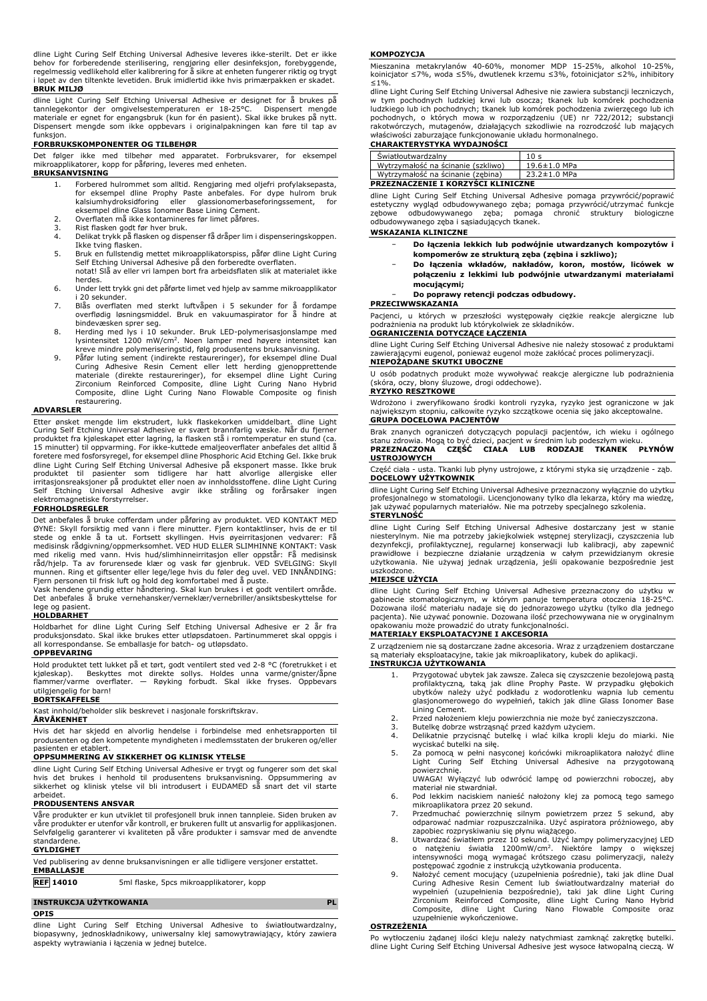dline Light Curing Self Etching Universal Adhesive leveres ikke-sterilt. Det er ikke<br>behov for forberedende sterilisering, rengjøring eller desinfeksjon, forebyggende,<br>regelmessig vedlikehold eller kalibrering forå sikre a i løpet av den tiltenkte levetiden. Bruk imidlertid ikke hvis primærpakken er skadet. **BRUK MILJØ**

dline Light Curing Self Etching Universal Adhesive er designet for å brukes på tannlegekontor der omgivelsestemperaturen er 18-25°C. Dispensert mengde materiale er egnet for engangsbruk (kun for én pasient). Skal ikke brukes på nytt. Dispensert mengde som ikke oppbevars i originalpakningen kan føre til tap av funksjon.

## **FORBRUKSKOMPONENTER OG TILBEHØR**

Det følger ikke med tilbehør med apparatet. Forbruksvarer, for eksempel mikroapplikatorer, kopp for påføring, leveres med enheten.

# **BRUKSANVISNING**

- 1. Forbered hulrommet som alltid. Rengjøring med oljefri profylaksepasta, for eksempel dline Prophy Paste anbefales. For dype hulrom bruk kalsiumhydroksidforing eller glassionomerbaseforingssement, for eksempel dline Glass Ionomer Base Lining Cement.
- 2. Overflaten må ikke kontamineres før limet påføres. 3. Rist flasken godt før hver bruk.
- 
- 4. Delikat trykk på flasken og dispenser få dråper lim i dispenseringskoppen. Ikke tving flasken.
- 5. Bruk en fullstendig mettet mikroapplikatorspiss, påfør dline Light Curing Self Etching Universal Adhesive på den forberedte overflaten. notat! Slå av eller vri lampen bort fra arbeidsflaten slik at materialet ikke herdes.
- 6. Under lett trykk gni det påførte limet ved hjelp av samme mikroapplikator i 20 sekunder.
- 7. Blås overflaten med sterkt luftvåpen i 5 sekunder for å fordampe overflødig løsningsmiddel. Bruk en vakuumaspirator for å hindre at bindevæsken sprer seg.
- 8. Herding med lys i 10 sekunder. Bruk LED-polymerisasjonslampe med lysintensitet 1200 mW/cm<sup>2</sup> . Noen lamper med høyere intensitet kan kreve mindre polymeriseringstid, følg produsentens bruksanvisning.
- 9. Păfør luting sement (indirekte restaureringer), for eksempel dline Dual<br>Curing Adhesive Resin Cement eller lett herding gjenopprettende<br>materiale (direkte restaureringer), for eksempel dline Light Curing<br>Zirconium Reinf Composite, dline Light Curing Nano Flowable Composite og finish restaurering.

#### **ADVARSLER**

Etter ønsket mengde lim ekstrudert, lukk flaskekorken umiddelbart. dline Light Curing Self Etching Universal Adhesive er svært brannfarlig væske. Når du fjerner produktet fra kjøleskapet etter lagring, la flasken stå i romtemperatur en stund (ca. 15 minutter) til oppvarming. For ikke-kuttede emaljeoverflater anbefales det alltid å foretere med fosforsyregel, for eksempel dline Phosphoric Acid Etching Gel. Ikke bruk dline Light Curing Self Etching Universal Adhesive på eksponert masse. Ikke bruk<br>produktet til pasienter som tidligere har hatt alvorlige allergiske eller<br>irritasjonsreaksjoner på produktet eller noen av innholdss elektromagnetiske forstyrrelser. **FORHOLDSREGLER**

Det anbefales å bruke cofferdam under påføring av produktet. VED KONTAKT MED ØYNE: Skyll forsiktig med vann i flere minutter. Fjern kontaktlinser, hvis de er til stede og enkle å ta ut. Fortsett skyllingen. Hvis øyeirritasjonen vedvarer: Få medisinsk rådgivning/oppmerksomhet. VED HUD ELLER SLIMHINNE KONTAKT: Vask med rikelig med vann. Hvis hud/slimhinneirritasjon eller oppstår: Få medisinsk råd/hjelp. Ta av forurensede klær og vask før gjenbruk. VED SVELGING: Skyll munnen. Ring et giftsenter eller lege/lege hvis du føler deg uvel. VED INNÅNDING: Fjern personen til frisk luft og hold deg komfortabel med å puste.

Vask hendene grundig etter håndtering. Skal kun brukes i et godt ventilert område. Det anbefales å bruke vernehansker/verneklær/vernebriller/ansiktsbeskyttelse for lege og pasient.

#### **HOLDBARHET**

Holdbarhet for dline Light Curing Self Etching Universal Adhesive er 2 år fra produksjonsdato. Skal ikke brukes etter utløpsdatoen. Partinummeret skal oppgis i all korrespondanse. Se emballasje for batch- og utløpsdato.

#### **OPPBEVARING**

Hold produktet tett lukket på et tørt, godt ventilert sted ved 2-8 °C (foretrukket i et kjøleskap). Beskyttes mot direkte sollys. Holdes unna varme/gnister/åpne flammer/varme overflater. — Røyking forbudt. Skal ikke fryses. Oppbevars utilgjengelig for barn!

#### **BORTSKAFFELSE**

Kast innhold/beholder slik beskrevet i nasjonale forskriftskrav.

#### **ÅRVÅKENHET**

Hvis det har skjedd en alvorlig hendelse i forbindelse med enhetsrapporten til produsenten og den kompetente myndigheten i medlemsstaten der brukeren og/eller pasienten er etablert.

#### **OPPSUMMERING AV SIKKERHET OG KLINISK YTELSE**

dline Light Curing Self Etching Universal Adhesive er trygt og fungerer som det skal<br>hvis det brukes i henhold til produsentens bruksanvisning. Oppsummering av<br>sikkerhet og klinisk ytelse vil bli introdusert arbeidet.

#### **PRODUSENTENS ANSVAR**

Văre produkter er kun utviklet til profesjonell bruk innen tannpleie. Siden bruken av<br>våre produkter er utenfor vår kontroll, er brukeren fullt ut ansvarlig for applikasjonen.<br>Selvfølgelig garanterer vi kvaliteten på våre standardene.

### **GYLDIGHET**

| <b>EMBALLASJE</b> | Ved publisering av denne bruksanvisningen er alle tidligere versjoner erstattet. |
|-------------------|----------------------------------------------------------------------------------|
| <b>REF 14010</b>  | 5ml flaske, 5pcs mikroapplikatorer, kopp                                         |

# **INSTRUKCJA UŻYTKOWANIA PL**

**OPIS** dline Light Curing Self Etching Universal Adhesive to światłoutwardzalny,

biopasywny, jednoskładnikowy, uniwersalny klej samowytrawiający, który zawiera aspekty wytrawiania i łączenia w jednej butelce.

#### **KOMPOZYCJA**

Mieszanina metakrylanów 40-60%, monomer MDP 15-25%, alkohol 10-25%, koinicjator ≤7%, woda ≤5%, dwutlenek krzemu ≤3%, fotoinicjator ≤2%, inhibitory ≤1%.

dline Light Curing Self Etching Universal Adhesive nie zawiera substancji leczniczych, w tym pochodnych ludzkiej krwi lub osocza; tkanek lub komórek pochodzenia ludzkiego lub ich pochodnych; tkanek lub komórek pochodzenia zwierzęcego lub ich pochodnych, o których mowa w rozporządzeniu (UE) nr 722/2012; substancji rakotwórczych, mutagenów, działających szkodliwie na rozrodczość lub mających właściwości zaburzające funkcjonowanie układu hormonalnego. **CHARAKTERYSTYKA WYDAJNOŚCI**

| Swiatłoutwardzalny                        | 10 s         |
|-------------------------------------------|--------------|
| Wytrzymałość na ścinanie (szkliwo)        | 19.6±1.0 MPa |
| Wytrzymałość na ścinanie (zębina)         | 23.2±1.0 MPa |
| <b>PRZEZNACZENIE I KORZYŚCI KLINICZNE</b> |              |

dline Light Curing Self Etching Universal Adhesive pomaga przywrócić/poprawić<br>estetyczny wygląd odbudowywanego zęba; pomaga przywrócić/utrzymać funkcje<br>zębowe - odbudowywanego - zęba; - pomaga - chronić - struktury - biolo

### **WSKAZANIA KLINICZNE**

- − **Do łączenia lekkich lub podwójnie utwardzanych kompozytów i kompomerów ze strukturą zęba (zębina i szkliwo);**
- − **Do łączenia wkładów, nakładów, koron, mostów, licówek w połączeniu z lekkimi lub podwójnie utwardzanymi materiałami mocującymi;**

## − **Do poprawy retencji podczas odbudowy.**

**PRZECIWWSKAZANIA**

Pacjenci, u których w przeszłości występowały ciężkie reakcje alergiczne lub podrażnienia na produkt lub którykolwiek ze składników.

# **OGRANICZENIA DOTYCZĄCE ŁĄCZENIA**

dline Light Curing Self Etching Universal Adhesive nie należy stosować z produktami zawierającymi eugenol, ponieważ eugenol może zakłócać proces polimeryzacji. **NIEPOŻĄDANE SKUTKI UBOCZNE**

U osób podatnych produkt może wywoływać reakcje alergiczne lub podrażnienia (skóra, oczy, błony śluzowe, drogi oddechowe).

#### **RYZYKO RESZTKOWE**

Wdrożono i zweryfikowano środki kontroli ryzyka, ryzyko jest ograniczone w jak największym stopniu, całkowite ryzyko szczątkowe ocenia się jako akceptowalne. **GRUPA DOCELOWA PACJENTÓW**

Brak znanych ograniczeń dotyczących populacji pacjentów, ich wieku i ogólnego stanu zdrowia. Mogą to być dzieci, pacjent w średnim lub podeszłym wieku. **PRZEZNACZONA CZĘŚĆ CIAŁA LUB RODZAJE TKANEK PŁYNÓW USTROJOWYCH**

Część ciała - usta. Tkanki lub płyny ustrojowe, z którymi styka się urządzenie - ząb. **DOCELOWY UŻYTKOWNIK**

dline Light Curing Self Etching Universal Adhesive przeznaczony wyłącznie do użytku profesjonalnego w stomatologii. Licencjonowany tylko dla lekarza, który ma wiedzę, jak używać popularnych materiałów. Nie ma potrzeby specjalnego szkolenia.

# **STERYLNOŚĆ**

dline Light Curing Self Etching Universal Adhesive dostarczany jest w stanie niesterylnym. Nie ma potrzeby jakiejkolwiek wstępnej sterylizacji, czyszczenia lub<br>dezynfekcji, profilaktycznej, regularnej konserwacji lub kalibracji, aby zapewnić<br>prawidłowe i bezpieczne działanie urządzenia w całym prze użytkowania. Nie używaj jednak urządzenia, jeśli opakowanie bezpośrednie jest uszkodzone.

## **MIEJSCE UŻYCIA**

dline Light Curing Self Etching Universal Adhesive przeznaczony do użytku w gabinecie stomatologicznym, w którym panuje temperatura otoczenia 18-25°C. Dozowana ilość materiału nadaje się do jednorazowego użytku (tylko dla jednego pacjenta). Nie używać ponownie. Dozowana ilość przechowywana nie w oryginalnym opakowaniu może prowadzić do utraty funkcjonalności.

### **MATERIAŁY EKSPLOATACYJNE I AKCESORIA**

Z urządzeniem nie są dostarczane żadne akcesoria. Wraz z urządzeniem dostarczane są materiały eksploatacyjne, takie jak mikroaplikatory, kubek do aplikacji.

# **INSTRUKCJA UŻYTKOWANIA**

- 1. Przygotować ubytek jak zawsze. Zaleca się czyszczenie bezolejową pastą profilaktyczną, taką jak dline Prophy Paste. W przypadku głębokich<br>ubytków należy użyć podkładu z wodorotlenku wapnia lub cementu<br>glasjonomerowego do wypełnień, takich jak dline Glass Ionomer Base Lining Cement.
- 2. Przed nałożeniem kleju powierzchnia nie może być zanieczyszczona.
- 3. Butelkę dobrze wstrząsnąć przed każdym użyciem. 4. Delikatnie przycisnąć butelkę i wlać kilka kropli kleju do miarki. Nie
- wyciskać butelki na siłę.
- 5. Za pomocą w pełni nasyconej końcówki mikroaplikatora nałożyć dline Light Curing Self Etching Universal Adhesive na przygotowaną powierzchnię. UWAGA! Wyłączyć lub odwrócić lampę od powierzchni roboczej, aby
- materiał nie stwardniał. 6. Pod lekkim naciskiem nanieść nałożony klej za pomocą tego samego mikroaplikatora przez 20 sekund.
- 7. Przedmuchać powierzchnię silnym powietrzem przez 5 sekund, aby odparować nadmiar rozpuszczalnika. Użyć aspiratora próżniowego, aby zapobiec rozpryskiwaniu się płynu wiążącego.
- 8. Utwardzać światłem przez 10 sekund. Użyć lampy polimeryzacyjnej LED<br>o natężeniu światła 1200mW/cm<sup>2</sup>. Niektóre lampy o większej<br>intensywności mogą wymagać krótszego czasu polimeryzacji, należy<br>postępować zgodnie z instr
- 9. Nałożyć cement mocujący (uzupełnienia pośrednie), taki jak dline Dual Curing Adhesive Resin Cement lub światłoutwardzalny materiał do<br>wypełnień (uzupełnienia bezpośrednie), taki jak dline Light Curing<br>Zirconium Reinforced Composite, dline Light Curing Nano Hybrid<br>Composite, dline Light Curin

#### **OSTRZEŻENIA**

Po wytłoczeniu żądanej ilości kleju należy natychmiast zamknąć zakrętkę butelki. dline Light Curing Self Etching Universal Adhesive jest wysoce łatwopalną cieczą. W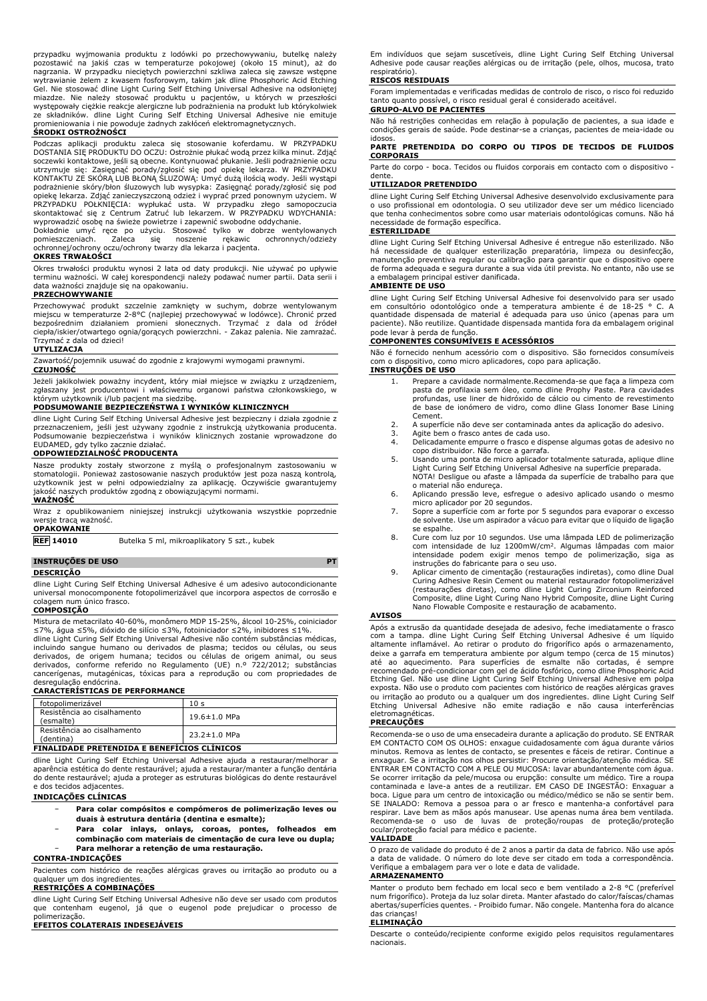przypadku wyjmowania produktu z lodówki po przechowywaniu, butelkę należy pozostawić na jakiś czas w temperaturze pokojowej (około 15 minut), aż do nagrzania. W przypadku nieciętych powierzchni szkliwa zaleca się zawsze wstępne wytrawianie żelem z kwasem fosforowym, takim jak dline Phosphoric Acid Etching Gel. Nie stosować dline Light Curing Self Etching Universal Adhesive na odsłoniętej miazdze. Nie należy stosować produktu u pacjentów, u których w przeszłości występowały ciężkie reakcje alergiczne lub podrażnienia na produkt lub którykolwiek ze składników. dline Light Curing Self Etching Universal Adhesive nie emituje promieniowania i nie powoduje żadnych zakłóceń elektromagnetycznych.

#### **ŚRODKI OSTROŻNOŚCI**

Podczas aplikacji produktu zaleca się stosowanie koferdamu. W PRZYPADKU DOSTANIA SIĘ PRODUKTU DO OCZU: Ostrożnie płukać wodą przez kilka minut. Zdjąć soczewki kontaktowe, jeśli są obecne. Kontynuować płukanie. Jeśli podrażnienie oczu utrzymuje się: Zasięgnąć porady/zgłosić się pod opiekę lekarza. W PRZYPADKU<br>KONTAKTU ZE SKÓRĄ LUB BŁONĄ SLUZOWĄ: Umyć dużą ilością wody. Jeśli wystąpi<br>podrażnienie skóry/błon śluzowych lub wysypka: Zasięgnąć porady/zgłosić opiekę lekarza. Zdjąć zanieczyszczoną odzież i wyprać przed ponownym użyciem. W<br>PRZYPADKU POŁKNIĘCIA: wypłukać usta. W przypadku złego samopoczucia<br>skontaktować się z Centrum Zatruć lub lekarzem. W wyprowadzić osobę na świeże powietrze i zapewnić swobodne oddychanie.

Dokładnie umyć ręce po użyciu. Stosować tylko w dobrze wentylowanych pomieszczeniach. Zaleca się noszenie rękawic ochronnych/odzieży ochronnej/ochrony oczu/ochrony twarzy dla lekarza i pacjenta.

# **OKRES TRWAŁOŚCI**

Okres trwałości produktu wynosi 2 lata od daty produkcji. Nie używać po upływie terminu ważności. W całej korespondencji należy podawać numer partii. Data serii i data ważności znajduje się na opakowaniu. **PRZECHOWYWANIE**

Przechowywać produkt szczelnie zamknięty w suchym, dobrze wentylowanym<br>miejscu w temperaturze 2-8°C (najlepiej przechowywać w lodówce). Chronić przed<br>bezpośrednim działaniem promieni słonecznych. Trzymać z dala od źródeł ciepła/iskier/otwartego ognia/gorących powierzchni. - Zakaz palenia. Nie zamrażać. Trzymać z dala od dzieci!

# **UTYLIZACJA**

Zawartość/pojemnik usuwać do zgodnie z krajowymi wymogami prawnymi. **CZUJNOŚĆ**

Jeżeli jakikolwiek poważny incydent, który miał miejsce w związku z urządzeniem, zgłaszany jest producentowi i właściwemu organowi państwa członkowskiego, w którym użytkownik i/lub pacjent ma siedzibę.

#### **PODSUMOWANIE BEZPIECZEŃSTWA I WYNIKÓW KLINICZNYCH**

dline Light Curing Self Etching Universal Adhesive jest bezpieczny i działa zgodnie z przeznaczeniem, jeśli jest używany zgodnie z instrukcją użytkowania producenta. Podsumowanie bezpieczeństwa i wyników klinicznych zostanie wprowadzone do EUDAMED, gdy tylko zacznie działać.

# **ODPOWIEDZIALNOŚĆ PRODUCENTA**

Nasze produkty zostały stworzone z myślą o profesjonalnym zastosowaniu w stomatologii. Ponieważ zastosowanie naszych produktów jest poza naszą kontrolą, użytkownik jest w pełni odpowiedzialny za aplikację. Oczywiście gwarantujemy jakość naszych produktów zgodną z obowiązującymi normami. **WAŻNOŚĆ**

Wraz z opublikowaniem niniejszej instrukcji użytkowania wszystkie poprzednie wersie traca ważność. **OPAKOWANIE**

**REF 14010** Butelka 5 ml, mikroaplikatory 5 szt., kubek

# **INSTRUÇÕES DE USO PT**

**DESCRIÇÃO**

dline Light Curing Self Etching Universal Adhesive é um adesivo autocondicionante universal monocomponente fotopolimerizável que incorpora aspectos de corrosão e colagem num único frasco.

# **COMPOSIÇÃO**

Mistura de metacrilato 40-60%, monômero MDP 15-25%, álcool 10-25%, coiniciador<br>≤7%, água ≤5%, dióxido de silício ≤3%, fotoiniciador ≤2%, inibidores ≤1%.

dline Light Curing Self Etching Universal Adhesive não contém substâncias médicas, incluindo sangue humano ou derivados de plasma; tecidos ou células, ou seus derivados, de origem humana; tecidos ou células de origem animal, ou seus derivados, conforme referido no Regulamento (UE) n.º 722/2012; substâncias cancerígenas, mutagénicas, tóxicas para a reprodução ou com propriedades de desregulação endócrina.

# **CARACTERÍSTICAS DE PERFORMANCE**

| fotopolimerizável                        | 10 s               |
|------------------------------------------|--------------------|
| Resistência ao cisalhamento<br>(esmalte) | $19.6 \pm 1.0$ MPa |
| Resistência ao cisalhamento<br>(dentina) | $23.2 \pm 1.0$ MPa |

# **FINALIDADE PRETENDIDA E BENEFÍCIOS CLÍNICOS**

dline Light Curing Self Etching Universal Adhesive ajuda a restaurar/melhorar a aparência estética do dente restaurável; ajuda a restaurar/manter a função dentária do dente restaurável; ajuda a proteger as estruturas biológicas do dente restaurável e dos tecidos adjacentes.

# **INDICAÇÕES CLÍNICAS**

- − **Para colar compósitos e compómeros de polimerização leves ou duais à estrutura dentária (dentina e esmalte);**
- − **Para colar inlays, onlays, coroas, pontes, folheados em**
- **combinação com materiais de cimentação de cura leve ou dupla;** − **Para melhorar a retenção de uma restauração.**

# **CONTRA-INDICAÇÕES**

Pacientes com histórico de reações alérgicas graves ou irritação ao produto ou a qualquer um dos ingredientes.

# **RESTRIÇÕES A COMBINAÇÕES**

dline Light Curing Self Etching Universal Adhesive não deve ser usado com produtos que contenham eugenol, já que o eugenol pode prejudicar o processo de polimerização.

# **EFEITOS COLATERAIS INDESEJÁVEIS**

Em indivíduos que sejam suscetíveis, dline Light Curing Self Etching Universal Adhesive pode causar reações alérgicas ou de irritação (pele, olhos, mucosa, trato respiratório).

### **RISCOS RESIDUAIS**

Foram implementadas e verificadas medidas de controlo de risco, o risco foi reduzido tanto quanto possível, o risco residual geral é considerado aceitável. **GRUPO-ALVO DE PACIENTES**

Não há restrições conhecidas em relação à população de pacientes, a sua idade e condições gerais de saúde. Pode destinar-se a crianças, pacientes de meia-idade ou idosos.

**PARTE PRETENDIDA DO CORPO OU TIPOS DE TECIDOS DE FLUIDOS CORPORAIS**

Parte do corpo - boca. Tecidos ou fluidos corporais em contacto com o dispositivo dente.

# **UTILIZADOR PRETENDIDO**

dline Light Curing Self Etching Universal Adhesive desenvolvido exclusivamente para o uso profissional em odontologia. O seu utilizador deve ser um médico licenciado que tenha conhecimentos sobre como usar materiais odontológicas comuns. Não há necessidade de formação específica.

# **ESTERILIDADE**

dline Light Curing Self Etching Universal Adhesive é entregue não esterilizado. Não há necessidade de qualquer esterilização preparatória, limpeza ou desinfecção, manutenção preventiva regular ou calibração para garantir que o dispositivo opere de forma adequada e segura durante a sua vida útil prevista. No entanto, não use se a embalagem principal estiver danificada.

#### **AMBIENTE DE USO**

dline Light Curing Self Etching Universal Adhesive foi desenvolvido para ser usado em consultório odontológico onde a temperatura ambiente é de 18-25 ° C. A quantidade dispensada de material é adequada para uso único (apenas para um paciente). Não reutilize. Quantidade dispensada mantida fora da embalagem original pode levar à perda de função.

# **COMPONENTES CONSUMÍVEIS E ACESSÓRIOS**

Não é fornecido nenhum acessório com o dispositivo. São fornecidos consumíveis com o dispositivo, como micro aplicadores, copo para aplicação. **INSTRUÇÕES DE USO**

- 1. Prepare a cavidade normalmente.Recomenda-se que faça a limpeza com pasta de profilaxia sem óleo, como dline Prophy Paste. Para cavidades profundas, use liner de hidróxido de cálcio ou cimento de revestimento de base de ionómero de vidro, como dline Glass Ionomer Base Lining Cement.
- 2. A superfície não deve ser contaminada antes da aplicação do adesivo.
- 3. Agite bem o frasco antes de cada uso.<br>4. Delicadamente empurre o frasco e disp
- 4. Delicadamente empurre o frasco e dispense algumas gotas de adesivo no copo distribuidor. Não force a garrafa.
- 5. Usando uma ponta de micro aplicador totalmente saturada, aplique dline Light Curing Self Etching Universal Adhesive na superfície preparada. NOTA! Desligue ou afaste a lâmpada da superfície de trabalho para que
- o material não endureça. 6. Aplicando pressão leve, esfregue o adesivo aplicado usando o mesmo micro aplicador por 20 segundos.
- 7. Sopre a superfície com ar forte por 5 segundos para evaporar o excesso de solvente. Use um aspirador a vácuo para evitar que o líquido de ligação se espalhe.
- 8. Cure com luz por 10 segundos. Use uma lâmpada LED de polimerização com intensidade de luz 1200mW/cm<sup>2</sup>. Algumas lâmpadas com maior intensidade podem exigir menos tempo de polimerização, siga as instruções do fabricante para o seu uso.
- 9. Aplicar cimento de cimentação (restaurações indiretas), como dline Dual Curing Adhesive Resin Cement ou material restaurador fotopolimerizável (restaurações diretas), como dline Light Curing Zirconium Reinforced Composite, dline Light Curing Nano Hybrid Composite, dline Light Curing Nano Flowable Composite e restauração de acabamento.

## **AVISOS**

Após a extrusão da quantidade desejada de adesivo, feche imediatamente o frasco<br>com a tampa. dline Light Curing Self Etching Universal Adhesive é um líquido<br>altamente inflamável. Ao retirar o produto do fr deixe a garrafa em temperatura ambiente por algum tempo (cerca de 15 minutos) até ao aquecimento. Para superfícies de esmalte não cortadas, é sempre recomendado pré-condicionar com gel de ácido fosfórico, como dline Phosphoric Acid Etching Gel. Não use dline Light Curing Self Etching Universal Adhesive em polpa exposta. Não use o produto com pacientes com histórico de reações alérgicas graves ou irritação ao produto ou a qualquer um dos ingredientes. dline Light Curing Self Etching Universal Adhesive não emite radiação e não causa interferências eletromagnéticas.

#### **PRECAUÇÕES**

Recomenda-se o uso de uma ensecadeira durante a aplicação do produto. SE ENTRAR EM CONTACTO COM OS OLHOS: enxague cuidadosamente com água durante vários<br>minutos. Remova as lentes de contacto, se presentes e fáceis de retirar. Continue a<br>enxaguar. Se a irritação nos olhos persistir: Procure orientação/ ENTRAR EM CONTACTO COM A PELE OU MUCOSA: lavar abundantemente com água.<br>Se ocorrer irritação da pele/mucosa ou erupção: consulte um médico. Tire a roupa<br>contaminada e lave-a antes de a reutilizar. EM CASO DE INGESTÃO: Enxa SE INALADO: Remova a pessoa para o ar fresco e mantenha-a confortável para respirar. Lave bem as mãos após manusear. Use apenas numa área bem ventilada. Recomenda-se o uso de luvas de proteção/roupas de proteção/proteção ocular/proteção facial para médico e paciente.

### **VALIDADE**

O prazo de validade do produto é de 2 anos a partir da data de fabrico. Não use após a data de validade. O número do lote deve ser citado em toda a correspondência. Verifique a embalagem para ver o lote e data de validade.

#### **ARMAZENAMENTO**

Manter o produto bem fechado em local seco e bem ventilado a 2-8 °C (preferível num frigorífico). Proteja da luz solar direta. Manter afastado do calor/faíscas/chamas abertas/superfícies quentes. - Proibido fumar. Não congele. Mantenha fora do alcance das crianças!

#### **ELIMINAÇÃO**

Descarte o conteúdo/recipiente conforme exigido pelos requisitos regulamentares nacionais.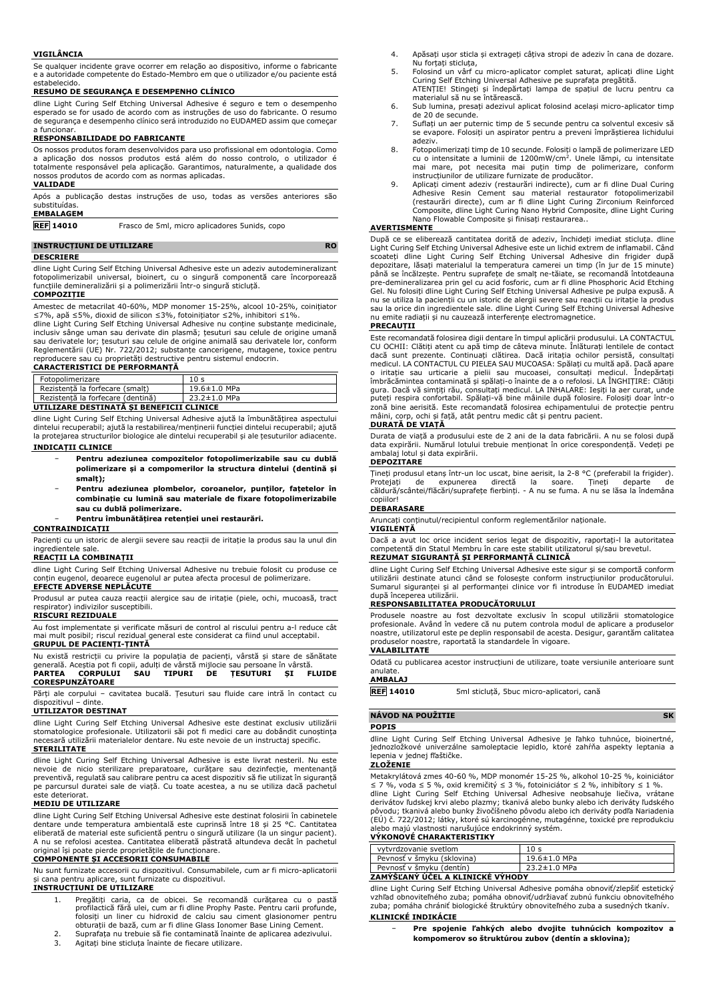### **VIGILÂNCIA**

Se qualquer incidente grave ocorrer em relação ao dispositivo, informe o fabricante e a autoridade competente do Estado-Membro em que o utilizador e/ou paciente está estabelecido.

### **RESUMO DE SEGURANÇA E DESEMPENHO CLÍNICO**

dline Light Curing Self Etching Universal Adhesive é seguro e tem o desempenho esperado se for usado de acordo com as instruções de uso do fabricante. O resumo de segurança e desempenho clínico será introduzido no EUDAMED assim que começar

# a funcionar. **RESPONSABILIDADE DO FABRICANTE**

Os nossos produtos foram desenvolvidos para uso profissional em odontologia. Como a aplicação dos nossos produtos está além do nosso controlo, o utilizador é totalmente responsável pela aplicação. Garantimos, naturalmente, a qualidade dos nossos produtos de acordo com as normas aplicadas.

## **VALIDADE**

Após a publicação destas instruções de uso, todas as versões anteriores são substituídas.

# **EMBALAGEM**

**REF 14010** Frasco de 5ml, micro aplicadores 5unids, copo

## **INSTRUCȚIUNI DE UTILIZARE RO**

#### **DESCRIERE**

dline Light Curing Self Etching Universal Adhesive este un adeziv autodemineralizant fotopolimerizabil universal, bioinert, cu o singură componentă care încorporează funcțiile demineralizării și a polimerizării într-o singură sticluță.

#### **COMPOZIȚIE**

Amestec de metacrilat 40-60%, MDP monomer 15-25%, alcool 10-25%, coinițiator

≤7%, apă ≤5%, dioxid de silicon ≤3%, fotoinițiator ≤2%, inhibitori ≤1%. dline Light Curing Self Etching Universal Adhesive nu conține substanțe medicinale, inclusiv sânge uman sau derivate din plasmă; țesuturi sau celule de origine umană sau derivatele lor; țesuturi sau celule de origine animală sau derivatele lor, conform Reglementării (UE) Nr. 722/2012; substanțe cancerigene, mutagene, toxice pentru reproducere sau cu proprietăți destructive pentru sistemul endocrin.

# **CARACTERISTICI DE PERFORMANȚĂ**

| Fotopolimerizare                         | 10 <sub>s</sub> |
|------------------------------------------|-----------------|
| Rezistentă la forfecare (smalt)          | 19.6±1.0 MPa    |
| Rezistentă la forfecare (dentină)        | 23.2±1.0 MPa    |
| UTILIZARE DESTINATĂ SI BENEFICII CLINICE |                 |

dline Light Curing Self Etching Universal Adhesive ajută la îmbunătățirea aspectului dintelui recuperabil; ajută la restabilirea/menținerii funcției dintelui recuperabil; ajută la protejarea structurilor biologice ale dintelui recuperabil și ale țesuturilor adiacente.

# **INDICAȚII CLINICE**

- − **Pentru adeziunea compozitelor fotopolimerizabile sau cu dublă polimerizare și a compomerilor la structura dintelui (dentină și smalț);**
- − **Pentru adeziunea plombelor, coroanelor, punților, fațetelor în combinație cu lumină sau materiale de fixare fotopolimerizabile sau cu dublă polimerizare.**
	- − **Pentru îmbunătățirea retenției unei restaurări.**

#### **CONTRAINDICAȚII**

Pacienți cu un istoric de alergii severe sau reacții de iritație la produs sau la unul din ingredientele sale.

### **REACȚII LA COMBINAȚII**

dline Light Curing Self Etching Universal Adhesive nu trebuie folosit cu produse ce conțin eugenol, deoarece eugenolul ar putea afecta procesul de polimerizare.

# **EFECTE ADVERSE NEPLĂCUTE**

Produsul ar putea cauza reacții alergice sau de iritație (piele, ochi, mucoasă, tract respirator) indivizilor susceptibili. **RISCURI REZIDUALE**

Au fost implementate și verificate măsuri de control al riscului pentru a-l reduce cât mai mult posibil; riscul rezidual general este considerat ca fiind unul acceptabil. **GRUPUL DE PACIENȚI-ȚINTĂ**

| <b>CORESPUNZĂTOARE</b>                                                                |
|---------------------------------------------------------------------------------------|
| PARTEA CORPULUI SAU TIPURI DE TESUTURI SI FLUIDE                                      |
| generală. Acestia pot fi copii, adulti de vârstă miilocie sau persoane în vârstă.     |
| Nu există restrictii cu privire la populatia de pacienti, vârstă și stare de sănătate |

Părți ale corpului – cavitatea bucală. Țesuturi sau fluide care intră în contact cu dispozitivul – dinte.

### **UTILIZATOR DESTINAT**

dline Light Curing Self Etching Universal Adhesive este destinat exclusiv utilizării stomatologice profesionale. Utilizatorii săi pot fi medici care au dobândit cunoștința necesară utilizării materialelor dentare. Nu este nevoie de un instructaj specific. **STERILITATE**

dline Light Curing Self Etching Universal Adhesive is este livrat nesteril. Nu este nevoie de nicio sterilizare preparatoare, curățare sau dezinfecție, mentenanță preventivă, regulată sau calibrare pentru ca acest dispozitiv să fie utilizat în siguranță pe parcursul duratei sale de viață. Cu toate acestea, a nu se utiliza dacă pachetul este deteriorat.

## **MEDIU DE UTILIZARE**

dline Light Curing Self Etching Universal Adhesive este destinat folosirii în cabinetele dentare unde temperatura ambientală este cuprinsă între 18 și 25 °C. Cantitatea eliberată de material este suficientă pentru o singură utilizare (la un singur pacient). A nu se refolosi acestea. Cantitatea eliberată păstrată altundeva decât în pachetul original își poate pierde proprietățile de funcționare.

# **COMPONENTE ȘI ACCESORII CONSUMABILE**

Nu sunt furnizate accesorii cu dispozitivul. Consumabilele, cum ar fi micro-aplicatorii și cana pentru aplicare, sunt furnizate cu dispozitivul.

# **INSTRUCȚIUNI DE UTILIZARE**

- 1. Pregătiți caria, ca de obicei. Se recomandă curățarea cu o pastă profilactică fără ulei, cum ar fi dline Prophy Paste. Pentru carii profunde, folosiți un liner cu hidroxid de calciu sau ciment glasionomer pentru obturații de bază, cum ar fi dline Glass Ionomer Base Lining Cement.
- 2. Suprafața nu trebuie să fie contaminată înainte de aplicarea adezivului.<br>3. Agitati bine sticluta înainte de fiecare utilizare. Agitați bine sticluța înainte de fiecare utilizare.
- 4. Apăsați ușor sticla și extrageți câțiva stropi de adeziv în cana de dozare.
- Nu forțați sticluța, 5. Folosind un vârf cu micro-aplicator complet saturat, aplicați dline Light Curing Self Etching Universal Adhesive pe suprafața pregătită.
- ATENȚIE! Stingeți și îndepărtați lampa de spațiul de lucru pentru ca materialul să nu se întărească. 6. Sub lumina, presați adezivul aplicat folosind același micro-aplicator timp de 20 de secunde.
- 7. Suflați un aer puternic timp de 5 secunde pentru ca solventul excesiv să se evapore. Folosiți un aspirator pentru a preveni împrăștierea lichidului adeziv
- adeziv. 8. Fotopolimerizați timp de 10 secunde. Folosiți o lampă de polimerizare LED cu o intensitate a luminii de 1200mW/cm<sup>2</sup> . Unele lămpi, cu intensitate mai mare, pot necesita mai puțin timp de polimerizare, conform
- instrucțiunilor de utilizare furnizate de producător.<br>
9. Aplicați ciment adeziv (restaurări indirecte), cum ar fi dline Dual Curing<br>
Adhesive Resin Cement sau material restaurator fotopolimerizabil<br>
(restaurări directe), Nano Flowable Composite și finisați restaurarea..

#### **AVERTISMENTE**

După ce se eliberează cantitatea dorită de adeziv, închideți imediat sticluța. dline Light Curing Self Etching Universal Adhesive este un lichid extrem de inflamabil. Când scoateți dline Light Curing Self Etching Universal Adhesive din frigider după depozitare, lăsați materialul la temperatura camerei un timp (în jur de 15 minute)<br>până se încălzește. Pentru suprafețe de smalț ne-tăiate, se recomandă întotdeauna<br>pre-demineralizarea prin gel cu acid fosforic, cum ar fi nu emite radiații și nu cauzează interferențe electromagnetice.

### **PRECAUȚII**

Este recomandată folosirea digii dentare în timpul aplicării produsului. LA CONTACTUL CU OCHII: Clătiți atent cu apă timp de câteva minute. Înlăturați lentilele de contact dacă sunt prezente. Continuați clătirea. Dacă iritația ochilor persistă, consultați medicul. LA CONTACTUL CU PIELEA SAU MUCOASA: Spălați cu multă apă. Dacă apare<br>o iritație sau urticarie a pielii sau mucoasei, consultați medicul. Îndepărtați<br>îmbrăcămintea contaminată și spălați-o înainte de a o gura. Dacă vă simțiți rău, consultați medicul. LA INHALARE: Ieșiți la aer curat, unde puteți respira confortabil. Spălați-vă bine mâinile după folosire. Folosiți doar într-o zonă bine aerisită. Este recomandată folosirea echipamentului de protecție pentru mâini, corp, ochi și față, atât pentru medic cât și pentru pacient.

# **DURATĂ DE VIAȚĂ**

Durata de viață a produsului este de 2 ani de la data fabricării. A nu se folosi după data expirării. Numărul lotului trebuie menționat în orice corespondență. Vedeți pe ambalaj lotul și data expirării.

#### **DEPOZITARE**

Țineți produsul etanș într-un loc uscat, bine aerisit, la 2-8 °C (preferabil la frigider). Protejați de expunerea directă la soare. Țineți departe de căldură/scântei/flăcări/suprafețe fierbinți. - A nu se fuma. A nu se lăsa la îndemâna copiilor!

#### **DEBARASARE**

Aruncați conținutul/recipientul conform reglementărilor naționale.

**VIGILENȚĂ** Dacă a avut loc orice incident serios legat de dispozitiv, raportați-l la autoritatea

competentă din Statul Membru în care este stabilit utilizatorul și/sau brevetul. **REZUMAT SIGURANȚĂ ȘI PERFORMANȚĂ CLINICĂ**

dline Light Curing Self Etching Universal Adhesive este sigur și se comportă conform utilizării destinate atunci când se folosește conform instrucțiunilor producătorului. Sumarul siguranței și al performanței clinice vor fi introduse în EUDAMED imediat după începerea utilizării.

# **RESPONSABILITATEA PRODUCĂTORULUI**

Produsele noastre au fost dezvoltate exclusiv în scopul utilizării stomatologice profesionale. Având în vedere că nu putem controla modul de aplicare a produselor noastre, utilizatorul este pe deplin responsabil de acesta. Desigur, garantăm calitatea produselor noastre, raportată la standardele în vigoare.

# **VALABILITATE**

Odată cu publicarea acestor instrucțiuni de utilizare, toate versiunile anterioare sunt anulate.

# **AMBALAJ**

**REF 14010** 5ml sticluță, 5buc micro-aplicatori, cană

# **NÁVOD NA POUŽITIE SK**

### **POPIS**

dline Light Curing Self Etching Universal Adhesive je ľahko tuhnúce, bioinertné, jednozložkové univerzálne samoleptacie lepidlo, ktoré zahŕňa aspekty leptania a lepenia v jednej fľaštičke.

### **ZLOŽENIE**

Metakrylátová zmes 40-60 %, MDP monomér 15-25 %, alkohol 10-25 %, koiniciátor ≤ 7 %, voda ≤ 5 %, oxid kremičitý ≤ 3 %, fotoiniciátor ≤ 2 %, inhibítory ≤ 1 %.<br>dline Light Curing Self Etching Universal Adhesive neobsahuje liečiva, vrátane<br>derivátov ľudskej krvi alebo plazmy; tkanivá alebo bu (EÚ) č. 722/2012; látky, ktoré sú karcinogénne, mutagénne, toxické pre reprodukciu alebo majú vlastnosti narušujúce endokrinný systém.

# **VÝKONOVÉ CHARAKTERISTIKY**

| vytyrdzovanie svetlom            | 10 s               |
|----------------------------------|--------------------|
| Pevnosť v šmyku (sklovina)       | 19.6±1.0 MPa       |
| Pevnosť v šmyku (dentín)         | $23.2 \pm 1.0$ MPa |
| ZAMYSĽANY UCEL A KLINICKE VYHODY |                    |

#### **ZAMÝŠĽANÝ ÚČEL A KLINICKÉ VÝHODY**

dline Light Curing Self Etching Universal Adhesive pomáha obnoviť/zlepšiť estetický vzhľad obnoviteľného zuba; pomáha obnoviť/udržiavať zubnú funkciu obnoviteľného zuba; pomáha chrániť biologické štruktúry obnoviteľného zuba a susedných tkanív.

# **KLINICKÉ INDIKÁCIE**

− **Pre spojenie ľahkých alebo dvojite tuhnúcich kompozitov a kompomerov so štruktúrou zubov (dentín a sklovina);**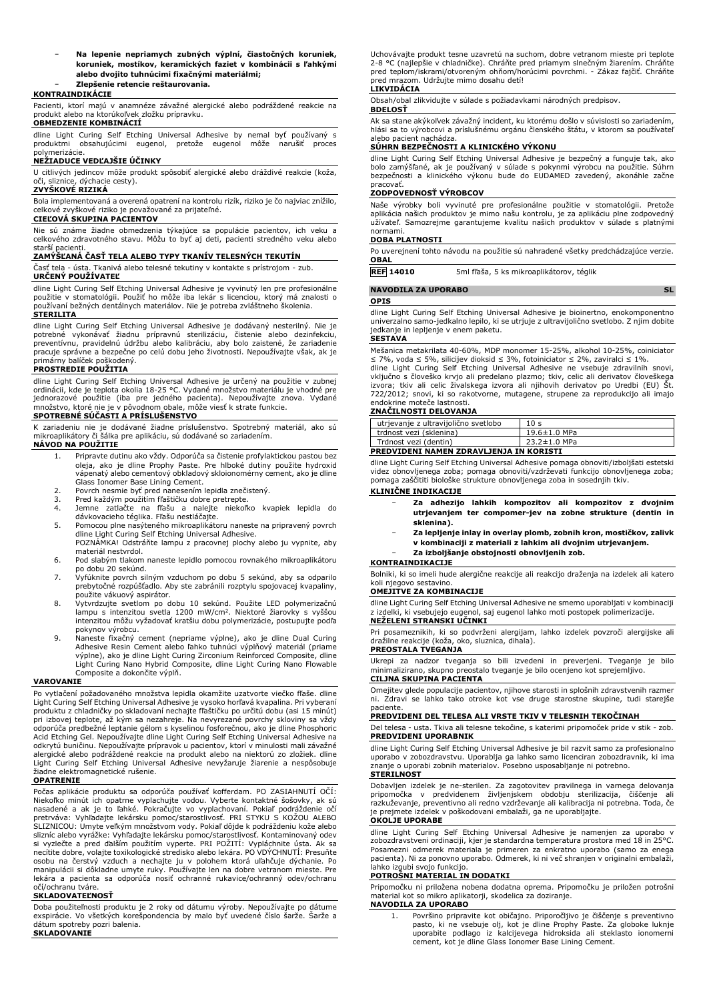− **Na lepenie nepriamych zubných výplní, čiastočných koruniek, koruniek, mostíkov, keramických faziet v kombinácii s ľahkými alebo dvojito tuhnúcimi fixačnými materiálmi;** − **Zlepšenie retencie reštaurovania.**

### **KONTRAINDIKÁCIE**

Pacienti, ktorí majú v anamnéze závažné alergické alebo podráždené reakcie na produkt alebo na ktorúkoľvek zložku prípravku. **OBMEDZENIE KOMBINÁCIÍ**

dline Light Curing Self Etching Universal Adhesive by nemal byť používaný s produktmi obsahujúcimi eugenol, pretože eugenol môže narušiť proces polymerizácie.

# **NEŽIADUCE VEDĽAJŠIE ÚČINKY**

U citlivých jedincov môže produkt spôsobiť alergické alebo dráždivé reakcie (koža, oči, sliznice, dýchacie cesty).

# **ZVYŠKOVÉ RIZIKÁ**

Bola implementovaná a overená opatrení na kontrolu rizík, riziko je čo najviac znížilo, celkové zvyškové riziko je považované za prijateľné.

# **CIEĽOVÁ SKUPINA PACIENTOV**

Nie sú známe žiadne obmedzenia týkajúce sa populácie pacientov, ich veku a celkového zdravotného stavu. Môžu to byť aj deti, pacienti stredného veku alebo starší pacienti.

## **ZAMÝŠĽANÁ ČASŤ TELA ALEBO TYPY TKANÍV TELESNÝCH TEKUTÍN**

Časť tela - ústa. Tkanivá alebo telesné tekutiny v kontakte s prístrojom - zub. **URČENÝ POUŽÍVATEĽ**

dline Light Curing Self Etching Universal Adhesive je vyvinutý len pre profesionálne použitie v stomatológii. Použiť ho môže iba lekár s licenciou, ktorý má znalosti o používaní bežných dentálnych materiálov. Nie je potreba zvláštneho školenia. **STERILITA**

dline Light Curing Self Etching Universal Adhesive je dodávaný nesterilný. Nie je potrebné vykonávať žiadnu prípravnú sterilizáciu, čistenie alebo dezinfekciu, preventívnu, pravidelnú údržbu alebo kalibráciu, aby bolo zaistené, že zariadenie pracuje správne a bezpečne po celú dobu jeho životnosti. Nepoužívajte však, ak je primárny balíček poškodený.

# **PROSTREDIE POUŽITIA**

dline Light Curing Self Etching Universal Adhesive je určený na použitie v zubnej ordinácii, kde je teplota okolia 18-25 °C. Vydané množstvo materiálu je vhodné pre jednorazové použitie (iba pre jedného pacienta). Nepoužívajte znova. Vydané množstvo, ktoré nie je v pôvodnom obale, môže viesť k strate funkcie. **SPOTREBNÉ SÚČASTI A PRÍSLUŠENSTVO**

K zariadeniu nie je dodávané žiadne príslušenstvo. Spotrebný materiál, ako sú mikroaplikátory či šálka pre aplikáciu, sú dodávané so zariadením. **NÁVOD NA POUŽITIE**

- 1. Pripravte dutinu ako vždy. Odporúča sa čistenie profylaktickou pastou bez oleja, ako je dline Prophy Paste. Pre hlboké dutiny použite hydroxid vápenatý alebo cementový obkladový skloionomérny cement, ako je dline
- Glass Ionomer Base Lining Cement. 2. Povrch nesmie byť pred nanesením lepidla znečistený.
- 
- 3. Pred každým použitím fľaštičku dobre pretrepte. 4. Jemne zatlačte na fľašu a nalejte niekoľko kvapiek lepidla do dávkovacieho téglika. Fľašu nestláčajte.
- 5. Pomocou plne nasýteného mikroaplikátoru naneste na pripravený povrch dline Light Curing Self Etching Universal Adhesive. POZNÁMKA! Odstráňte lampu z pracovnej plochy alebo ju vypnite, aby
- materiál nestvrdol. 6. Pod slabým tlakom naneste lepidlo pomocou rovnakého mikroaplikátoru
- po dobu 20 sekúnd. 7. Vyfúknite povrch silným vzduchom po dobu 5 sekúnd, aby sa odparilo
- prebytočné rozpúšťadlo. Aby ste zabránili rozptylu spojovacej kvapaliny,
- použite vákuový aspirátor. 8. Vytvrdzujte svetlom po dobu 10 sekúnd. Použite LED polymerizačnú lampu s intenzitou svetla 1200 mW/cm<sup>2</sup> . Niektoré žiarovky s vyššou intenzitou môžu vyžadovať kratšiu dobu polymerizácie, postupujte podľa
- pokynov výrobcu. 9. Naneste fixačný cement (nepriame výplne), ako je dline Dual Curing Adhesive Resin Cement alebo ľahko tuhnúci výplňový materiál (priame výplne), ako je dline Light Curing Zirconium Reinforced Composite, dline Light Curing Nano Hybrid Composite, dline Light Curing Nano Flowable Composite a dokončite výplň.

#### **VAROVANIE**

Po vytlačení požadovaného množstva lepidla okamžite uzatvorte viečko fľaše. dline Light Curing Self Etching Universal Adhesive je vysoko horľavá kvapalina. Pri vyberaní produktu z chladničky po skladovaní nechajte fľaštičku po určitú dobu (asi 15 minút) pri izbovej teplote, až kým sa nezahreje. Na nevyrezané povrchy skloviny sa vždy odporúča predbežné leptanie gélom s kyselinou fosforečnou, ako je dline Phosphoric Acid Etching Gel. Nepoužívajte dline Light Curing Self Etching Universal Adhesive na odkrytú buničinu. Nepoužívajte prípravok u pacientov, ktorí v minulosti mali závažné alergické alebo podráždené reakcie na produkt alebo na niektorú zo zložiek. dline Light Curing Self Etching Universal Adhesive nevyžaruje žiarenie a nespôsobuje žiadne elektromagnetické rušenie.

#### **OPATRENIE**

Počas aplikácie produktu sa odporúča používať kofferdam. PO ZASIAHNUTÍ OČÍ: Niekoľko minút ich opatrne vyplachujte vodou. Vyberte kontaktné šošovky, ak sú nasadené a ak je to ľahké. Pokračujte vo vyplachovaní. Pokiaľ podráždenie očí<br>pretrváva: Vyhľadajte lekársku pomoc/starostlivosť. PRI STYKU S KOŽOU ALEBO<br>SLIZNICOU: Umyte veľkým množstvom vody. Pokiaľ dôjde k podráždeniu k si vyzlečte a pred ďalším použitím vyperte. PRI POZITI: Vypláchnite ústa. Ak sa<br>necítite dobre, volajte toxikologické stredisko alebo lekára. PO VDÝCHNUTÍ: Presuňte osobu na čerstvý vzduch a nechajte ju v polohem ktorá uľahčuje dýchanie. Po manipulácii si dôkladne umyte ruky. Používajte len na dobre vetranom mieste. Pre lekára a pacienta sa odporúča nosiť ochranné rukavice/ochranný odev/ochranu očí/ochranu tváre.

# **SKLADOVATEĽNOSŤ**

Doba použiteľnosti produktu je 2 roky od dátumu výroby. Nepoužívajte po dátume exspirácie. Vo všetkých korešpondencia by malo byť uvedené číslo šarže. Šarže a dátum spotreby pozri balenia. **SKLADOVANIE**

Uchovávajte produkt tesne uzavretú na suchom, dobre vetranom mieste pri teplote 2-8 °C (najlepšie v chladničke). Chráňte pred priamym slnečným žiarením. Chráňte<br>pred teplom/iskrami/otvoreným ohňom/horúcimi povrchmi. - Zákaz fajčiť. Chráňte pred mrazom. Udržujte mimo dosahu detí! **LIKVIDÁCIA**

Obsah/obal zlikvidujte v súlade s požiadavkami národných predpisov. **BDELOSŤ**

Ak sa stane akýkoľvek závažný incident, ku ktorému došlo v súvislosti so zariadením, hlási sa to výrobcovi a príslušnému orgánu členského štátu, v ktorom sa používateľ alebo pacient nachádza.

# **SÚHRN BEZPEČNOSTI A KLINICKÉHO VÝKONU**

dline Light Curing Self Etching Universal Adhesive je bezpečný a funguje tak, ako bolo zamýšľané, ak je používaný v súlade s pokynmi výrobcu na použitie. Súhrn bezpečnosti a klinického výkonu bude do EUDAMED zavedený, akonáhle začne pracovať.

#### **ZODPOVEDNOSŤ VÝROBCOV**

Naše výrobky boli vyvinuté pre profesionálne použitie v stomatológii. Pretože aplikácia našich produktov je mimo našu kontrolu, je za aplikáciu plne zodpovedný užívateľ. Samozrejme garantujeme kvalitu našich produktov v súlade s platnými normami.

#### **DOBA PLATNOSTI**

Po uverejnení tohto návodu na použitie sú nahradené všetky predchádzajúce verzie. **OBAL**

**REF 14010** 5ml fľaša, 5 ks mikroaplikátorov, téglik

#### **NAVODILA ZA UPORABO SL OPIS**

dline Light Curing Self Etching Universal Adhesive je bioinertno, enokomponentno univerzalno samo-jedkalno lepilo, ki se utrjuje z ultravijolično svetlobo. Z njim dobite jedkanje in lepljenje v enem paketu.

#### **SESTAVA**

Mešanica metakrilata 40-60%, MDP monomer 15-25%, alkohol 10-25%, coiniciator

≤ 7%, voda ≤ 5%, silicijev dioksid ≤ 3%, fotoiniciator ≤ 2%, zaviralci ≤ 1%.<br>dline Light Curing Self Etching Universal Adhesive ne vsebuje zdravilnih snovi,<br>vključno s človeško krvjo ali predelano plazmo; tkiv, celic ali 722/2012; snovi, ki so rakotvorne, mutagene, strupene za reprodukcijo ali imajo

# endokrine moteče lastnosti. **ZNAČILNOSTI DELOVANJA**

| utrjevanje z ultravijolično svetlobo    | 10 <sub>s</sub> |  |
|-----------------------------------------|-----------------|--|
| trdnost vezi (sklenina)                 | 19.6±1.0 MPa    |  |
| Trdnost vezi (dentin)                   | 23.2±1.0 MPa    |  |
| PREDVIDENI NAMEN ZDRAVLJENJA IN KORISTI |                 |  |

dline Light Curing Self Etching Universal Adhesive pomaga obnoviti/izboljšati estetski videz obnovljenega zoba; pomaga obnoviti/vzdrževati funkcijo obnovljenega zoba; pomaga zaščititi biološke strukture obnovljenega zoba in sosednjih tkiv.

# **KLINIČNE INDIKACIJE**

- − **Za adhezijo lahkih kompozitov ali kompozitov z dvojnim utrjevanjem ter compomer-jev na zobne strukture (dentin in sklenina).**
- − **Za lepljenje inlay in overlay plomb, zobnih kron, mostičkov, zalivk v kombinaciji z materiali z lahkim ali dvojnim utrjevanjem.**
- − **Za izboljšanje obstojnosti obnovljenih zob.**

#### **KONTRAINDIKACIJE**

Bolniki, ki so imeli hude alergične reakcije ali reakcijo draženja na izdelek ali katero koli njegovo sestavino.

# **OMEJITVE ZA KOMBINACIJE**

dline Light Curing Self Etching Universal Adhesive ne smemo uporabljati v kombinaciji z izdelki, ki vsebujejo eugenol, saj eugenol lahko moti postopek polimerizacije. **NEŽELENI STRANSKI UČINKI**

Pri posameznikih, ki so podvrženi alergijam, lahko izdelek povzroči alergijske ali dražilne reakcije (koža, oko, sluznica, dihala).

# **PREOSTALA TVEGANJA**

Ukrepi za nadzor tveganja so bili izvedeni in preverjeni. Tveganje je bilo minimalizirano, skupno preostalo tveganje je bilo ocenjeno kot sprejemljivo. **CILJNA SKUPINA PACIENTA**

Omejitev glede populacije pacientov, njihove starosti in splošnih zdravstvenih razmer ni. Zdravi se lahko tako otroke kot vse druge starostne skupine, tudi starejše paciente.

### **PREDVIDENI DEL TELESA ALI VRSTE TKIV V TELESNIH TEKOČINAH**

Del telesa - usta. Tkiva ali telesne tekočine, s katerimi pripomoček pride v stik - zob. **PREDVIDENI UPORABNIK**

dline Light Curing Self Etching Universal Adhesive je bil razvit samo za profesionalno uporabo v zobozdravstvu. Uporablja ga lahko samo licenciran zobozdravnik, ki ima znanje o uporabi zobnih materialov. Posebno usposabljanje ni potrebno. **STERILNOST**

Dobavljen izdelek je ne-sterilen. Za zagotovitev pravilnega in varnega delovanja<br>pripomočka - v - predvidenem - življenjskem - obdobju - sterilizacija, - čiščenje - ali<br>razkuževanje, preventivno ali redno vzdrževanje ali k je prejmete izdelek v poškodovani embalaži, ga ne uporabljajte.

# **OKOLJE UPORABE**

dline Light Curing Self Etching Universal Adhesive je namenjen za uporabo v zobozdravstveni ordinaciji, kjer je standardna temperatura prostora med 18 in 25°C. Posamezni odmerek materiala je primeren za enkratno uporabo (samo za enega pacienta). Ni za ponovno uporabo. Odmerek, ki ni več shranjen v originalni embalaži, ubi svojo funkcijo.

# **POTROŠNI MATERIAL IN DODATKI**

Pripomočku ni priložena nobena dodatna oprema. Pripomočku je priložen potrošni material kot so mikro aplikatorji, skodelica za doziranje. **NAVODILA ZA UPORABO**

1. Površino pripravite kot običajno. Priporočljivo je čiščenje s preventivno pasto, ki ne vsebuje olj, kot je dline Prophy Paste. Za globoke luknje uporabite podlago iz kalcijevega hidroksida ali steklasto ionomerni cement, kot je dline Glass Ionomer Base Lining Cement.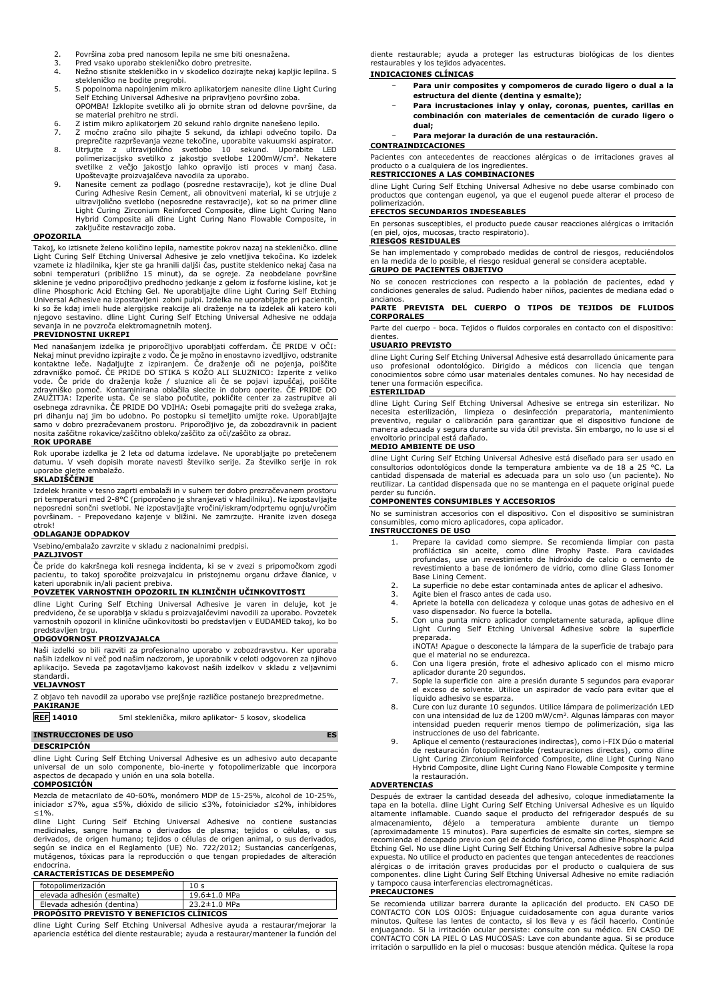- 
- Pred vsako uporabo stekleničko dobro pretresite.
- 2. Površina zoba pred nanosom lepila ne sme biti onesnažena.<br>3. Pred vsako uporabo stekleničko dobro pretresite.<br>4. Nežno stisnite stekleničko in v skodelico dozirajte nekaj kap 4. Nežno stisnite stekleničko in v skodelico dozirajte nekaj kapljic lepilna. S stekleničko ne bodite pregrobi.
- 5. S popolnoma napolnjenim mikro aplikatorjem nanesite dline Light Curing Self Etching Universal Adhesive na pripravljeno površino zoba. OPOMBA! Izklopite svetilko ali jo obrnite stran od delovne površine, da se material prehitro ne strdi.
- 6. Z istim mikro aplikatorjem 20 sekund rahlo drgnite nanešeno lepilo.
- 
- 7. Z močno zračno silo pihajte 5 sekund, da izhlapi odvečno topilo. Da preprečite razprševanja vezne tekočine, uporabite vakuumski aspirator. 8. Utrjujte z ultravijolično svetlobo 10 sekund. Uporabite LED
- polimerizacijsko svetliko z jakostjo svetlobe 1200mW/cm<sup>2</sup>. Nekatere<br>svetlike z večjo jakostjo lahko opravijo isti proces v manj časa.<br>Upoštevajte proizvajalčeva navodila za uporabo.<br>9. Nanesite cement za podlago (posredne Hybrid Composite ali dline Light Curing Nano Flowable Composite, in zaključite restavracijo zoba.

#### **OPOZORILA**

Takoj, ko iztisnete želeno količino lepila, namestite pokrov nazaj na stekleničko. dline Light Curing Self Etching Universal Adhesive je zelo vnetljiva tekočina. Ko izdelek vzamete iz hladilnika, kjer ste ga hranili daljši čas, pustite steklenico nekaj časa na sobni temperaturi (približno 15 minut), da se ogreje. Za neobdelane površine<br>sklenine je vedno priporočljivo predhodno jedkanje z gelo sevanja in ne povzroča elektromagnetnih motenj.

### **PREVIDNOSTNI UKREPI**

Med nanašanjem izdelka je priporočljivo uporabljati cofferdam. ČE PRIDE V OČI: Nekaj minut previdno izpirajte z vodo. Če je možno in enostavno izvedljivo, odstranite kontaktne leče. Nadaljujte z izpiranjem. Če draženje oči ne pojenja, poiščite zdravniško pomoč. CE PRIDE DO STIKA S KOZO ALI SLUZNICO: Izperite z veliko<br>zdee. Če pride do draženja kože / sluznice ali če se pojavi izpuščaj, poiščito<br>zdravniško pomoč. Kontaminirana oblačila slecite in dobro operite. Č pri dihanju naj jim bo udobno. Po postopku si temeljito umijte roke. Uporabljajte samo v dobro prezračevanem prostoru. Priporočljivo je, da zobozdravnik in pacient nosita zaščitne rokavice/zaščitno obleko/zaščito za oči/zaščito za obraz.

#### **ROK UPORABE**

Rok uporabe izdelka je 2 leta od datuma izdelave. Ne uporabljajte po pretečenem datumu. V vseh dopisih morate navesti številko serije. Za številko serije in rok uporabe glejte embalažo.

### **SKLADIŠČENJE**

Izdelek hranite v tesno zaprti embalaži in v suhem ter dobro prezračevanem prostoru pri temperaturi med 2-8°C (priporočeno je shranjevati v hladilniku). Ne izpostavljajte neposredni sončni svetlobi. Ne izpostavljajte vročini/iskram/odprtemu ognju/vročim površinam. - Prepovedano kajenje v bližini. Ne zamrzujte. Hranite izven dosega otrok!

#### **ODLAGANJE ODPADKOV**

Vsebino/embalažo zavrzite v skladu z nacionalnimi predpisi.

## **PAZLJIVOST**

Če pride do kakršnega koli resnega incidenta, ki se v zvezi s pripomočkom zgodi pacientu, to takoj sporočite proizvajalcu in pristojnemu organu države članice, v kateri uporabnik in/ali pacient prebiva.

#### **POVZETEK VARNOSTNIH OPOZORIL IN KLINIČNIH UČINKOVITOSTI**

dline Light Curing Self Etching Universal Adhesive je varen in deluje, kot je predvideno, če se uporablja v skladu s proizvajalčevimi navodili za uporabo. Povzetek varnostnih opozoril in klinične učinkovitosti bo predstavljen v EUDAMED takoj, ko bo predstavljen trgu.

#### **ODGOVORNOST PROIZVAJALCA**

Naši izdelki so bili razviti za profesionalno uporabo v zobozdravstvu. Ker uporaba naših izdelkov ni več pod našim nadzorom, je uporabnik v celoti odgovoren za njihovo aplikacijo. Seveda pa zagotavljamo kakovost naših izdelkov v skladu z veljavnimi

# standardi. **VELJAVNOST**

| Z objavo teh navodil za uporabo vse prejšnje različice postanejo brezpredmetne. |                                                      |  |
|---------------------------------------------------------------------------------|------------------------------------------------------|--|
| <b>PAKIRANJE</b>                                                                |                                                      |  |
| <b>DEE</b> 14010                                                                | 5ml steklenička, mikro anlikator- 5 kosov, skodeljca |  |

| <b>REF 14010</b>            | 5ml steklenička, mikro aplikator- 5 kosov, skodelica |           |
|-----------------------------|------------------------------------------------------|-----------|
| <b>INSTRUCCIONES DE USO</b> |                                                      | <b>ES</b> |

# **DESCRIPCIÓN**

dline Light Curing Self Etching Universal Adhesive es un adhesivo auto decapante universal de un solo componente, bio-inerte y fotopolimerizable que incorpora aspectos de decapado y unión en una sola botella.

# **COMPOSICIÓN**

Mezcla de metacrilato de 40-60%, monómero MDP de 15-25%, alcohol de 10-25%, iniciador ≤7%, agua ≤5%, dióxido de silicio ≤3%, fotoiniciador ≤2%, inhibidores ≤1%.

dline Light Curing Self Etching Universal Adhesive no contiene sustancias medicinales, sangre humana o derivados de plasma; tejidos o células, o sus derivados, de origen humano; tejidos o células de origen animal, o sus derivados, según se indica en el Reglamento (UE) No. 722/2012; Sustancias cancerígenas, mutágenos, tóxicas para la reproducción o que tengan propiedades de alteración

# endocrina. **CARACTERÍSTICAS DE DESEMPEÑO**

| fotopolimerización                              | 10 <sub>s</sub> |  |
|-------------------------------------------------|-----------------|--|
| elevada adhesión (esmalte)                      | 19.6±1.0 MPa    |  |
| Elevada adhesión (dentina)                      | 23.2±1.0 MPa    |  |
| <b>PROPOSITO PREVISTO Y BENEFICIOS CLÍNICOS</b> |                 |  |

dline Light Curing Self Etching Universal Adhesive ayuda a restaurar/mejorar la apariencia estética del diente restaurable; ayuda a restaurar/mantener la función del diente restaurable; ayuda a proteger las estructuras biológicas de los dientes restaurables y los tejidos adyacentes.

#### **INDICACIONES CLÍNICAS**

- − **Para unir composites y compomeros de curado ligero o dual a la estructura del diente (dentina y esmalte);**
- − **Para incrustaciones inlay y onlay, coronas, puentes, carillas en combinación con materiales de cementación de curado ligero o dual;**

## − **Para mejorar la duración de una restauración.**

#### **CONTRAINDICACIONES**

Pacientes con antecedentes de reacciones alérgicas o de irritaciones graves al producto o a cualquiera de los ingredientes.

# **RESTRICCIONES A LAS COMBINACIONES**

dline Light Curing Self Etching Universal Adhesive no debe usarse combinado con productos que contengan eugenol, ya que el eugenol puede alterar el proceso de polimerización.

# **EFECTOS SECUNDARIOS INDESEABLES**

En personas susceptibles, el producto puede causar reacciones alérgicas o irritación (en piel, ojos, mucosas, tracto respiratorio). **RIESGOS RESIDUALES**

Se han implementado y comprobado medidas de control de riesgos, reduciéndolos en la medida de lo posible, el riesgo residual general se considera aceptable.

# **GRUPO DE PACIENTES OBJETIVO**

No se conocen restricciones con respecto a la población de pacientes, edad y condiciones generales de salud. Pudiendo haber niños, pacientes de mediana edad o

# ancianos. **PARTE PREVISTA DEL CUERPO O TIPOS DE TEJIDOS DE FLUIDOS CORPORALES**

Parte del cuerpo - boca. Tejidos o fluidos corporales en contacto con el dispositivo: dientes.

#### **USUARIO PREVISTO**

dline Light Curing Self Etching Universal Adhesive está desarrollado únicamente para uso profesional odontológico. Dirigido a médicos con licencia que tengan conocimientos sobre cómo usar materiales dentales comunes. No hay necesidad de tener una formación específica.

#### **ESTERILIDAD**

dline Light Curing Self Etching Universal Adhesive se entrega sin esterilizar. No<br>necesita esterilización, limpieza o desinfección preparatoria, mantenimiento<br>preventivo, regular o calibración para garantizar que el dispos manera adecuada y segura durante su vida útil prevista. Sin embargo, no lo use si el envoltorio principal está dañado.

## **MEDIO AMBIENTE DE USO**

dline Light Curing Self Etching Universal Adhesive está diseñado para ser usado en consultorios odontológicos donde la temperatura ambiente va de 18 a 25 °C. La cantidad dispensada de material es adecuada para un solo uso (un paciente). No reutilizar. La cantidad dispensada que no se mantenga en el paquete original puede perder su función.

# **COMPONENTES CONSUMIBLES Y ACCESORIOS**

No se suministran accesorios con el dispositivo. Con el dispositivo se suministran consumibles, como micro aplicadores, copa aplicador. **INSTRUCCIONES DE USO**

- 1. Prepare la cavidad como siempre. Se recomienda limpiar con pasta profiláctica sin aceite, como dline Prophy Paste. Para cavidades profundas, use un revestimiento de hidróxido de calcio o cemento de revestimiento a base de ionómero de vidrio, como dline Glass Ionomer Base Lining Cement.
- 2. La superficie no debe estar contaminada antes de aplicar el adhesivo.
- 3. Agite bien el frasco antes de cada uso.<br>4. Apriete la botella con delicadeza y colo
- 4. Apriete la botella con delicadeza y coloque unas gotas de adhesivo en el vaso dispensador. No fuerce la botella.
- 5. Con una punta micro aplicador completamente saturada, aplique dline Light Curing Self Etching Universal Adhesive sobre la superficie

preparada. ¡NOTA! Apague o desconecte la lámpara de la superficie de trabajo para que el material no se endurezca.

- 6. Con una ligera presión, frote el adhesivo aplicado con el mismo micro aplicador durante 20 segundos. 7. Sople la superficie con aire a presión durante 5 segundos para evaporar
- el exceso de solvente. Utilice un aspirador de vacío para evitar que el líquido adhesivo se esparza.
- 8. Cure con luz durante 10 segundos. Utilice lámpara de polimerización LED con una intensidad de luz de 1200 mW/cm<sup>2</sup>. Algunas lámparas con mayor<br>intensidad pueden requerir menos tiempo de polimerización, siga las instrucciones de uso del fabricante.
- 9. Aplique el cemento (restauraciones indirectas), como i-FIX Dúo o material de restauración fotopolimerizable (restauraciones directas), como dline Light Curing Zirconium Reinforced Composite, dline Light Curing Nano Hybrid Composite, dline Light Curing Nano Flowable Composite y termine la restauración.

#### **ADVERTENCIAS**

Después de extraer la cantidad deseada del adhesivo, coloque inmediatamente la tapa en la botella. dline Light Curing Self Etching Universal Adhesive es un líquido altamente inflamable. Cuando saque el producto del refrigerador después de su almacenamiento, déjelo a temperatura ambiente durante un tiempo<br>(aproximadamente 15 minutos). Para-superficies de esmalte sin cortes, siempre se<br>recomienda-el-decapado-previo-con-gel-de-ácido-fosfórico, como-dline-Phosphor expuesta. No utilice el producto en pacientes que tengan antecedentes de reacciones alérgicas o de irritación graves producidas por el producto o cualquiera de sus componentes. dline Light Curing Self Etching Universal Adhesive no emite radiación y tampoco causa interferencias electromagnéticas.

#### **PRECAUCIONES**

Se recomienda utilizar barrera durante la aplicación del producto. EN CASO DE CONTACTO CON LOS OJOS: Enjuague cuidadosamente con agua durante varios minutos. Quítese las lentes de contacto, si los lleva y es fácil hacerlo. Continúe enjuagando. Si la irritación ocular persiste: consulte con su médico. EN CASO DE CONTACTO CON LA PIEL O LAS MUCOSAS: Lave con abundante agua. Si se produce irritación o sarpullido en la piel o mucosas: busque atención médica. Quítese la ropa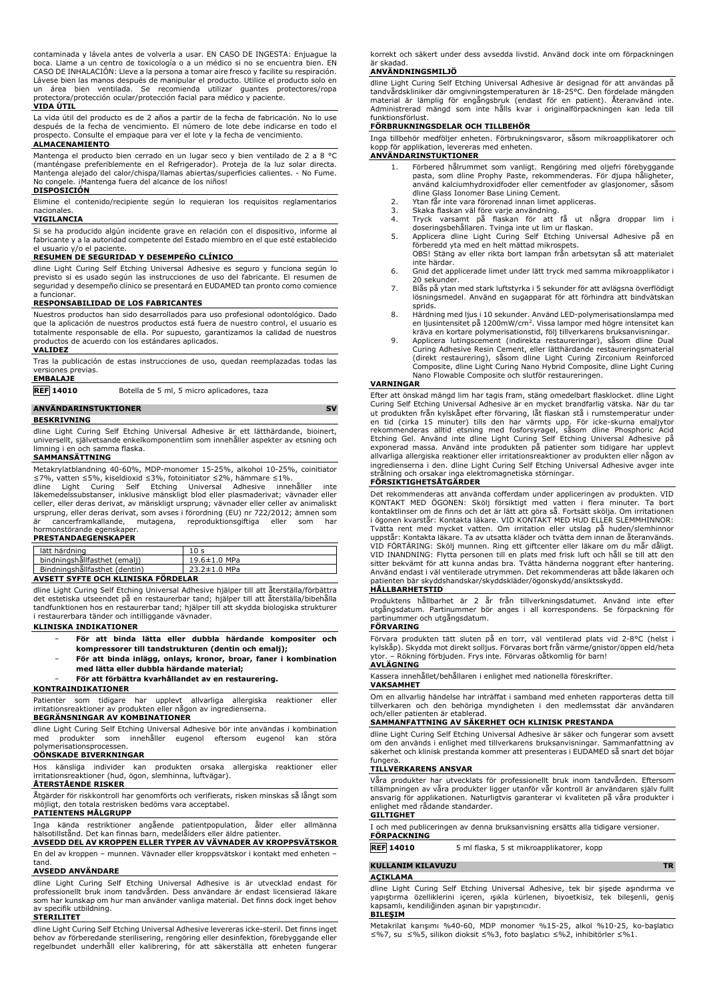contaminada y lávela antes de volverla a usar. EN CASO DE INGESTA: Enjuague la boca. Llame a un centro de toxicología o a un médico si no se encuentra bien. EN CASO DE INHALACIÓN: Lleve a la persona a tomar aire fresco y facilite su respiración. Lávese bien las manos después de manipular el producto. Utilice el producto solo en un área bien ventilada. Se recomienda utilizar guantes protectores/ropa protectora/protección ocular/protección facial para médico y paciente. **VIDA ÚTIL**

La vida útil del producto es de 2 años a partir de la fecha de fabricación. No lo use después de la fecha de vencimiento. El número de lote debe indicarse en todo el prospecto. Consulte el empaque para ver el lote y la fecha de vencimiento.

# **ALMACENAMIENTO**

Mantenga el producto bien cerrado en un lugar seco y bien ventilado de 2 a 8 °C (manténgase preferiblemente en el Refrigerador). Proteja de la luz solar directa. Mantenga alejado del calor/chispa/llamas abiertas/superficies calientes. - No Fume. No congele. ¡Mantenga fuera del alcance de los niños!

# **DISPOSICIÓN**

Elimine el contenido/recipiente según lo requieran los requisitos reglamentarios nacionales.

#### **VIGILANCIA**

Si se ha producido algún incidente grave en relación con el dispositivo, informe al fabricante y a la autoridad competente del Estado miembro en el que esté establecido el usuario y/o el paciente.

# **RESUMEN DE SEGURIDAD Y DESEMPEÑO CLÍNICO**

dline Light Curing Self Etching Universal Adhesive es seguro y funciona según lo previsto si es usado según las instrucciones de uso del fabricante. El resumen de seguridad y desempeño clínico se presentará en EUDAMED tan pronto como comience a funciona

#### **RESPONSABILIDAD DE LOS FABRICANTES**

Nuestros productos han sido desarrollados para uso profesional odontológico. Dado que la aplicación de nuestros productos está fuera de nuestro control, el usuario es totalmente responsable de ella. Por supuesto, garantizamos la calidad de nuestros productos de acuerdo con los estándares aplicados. **VALIDEZ**

Tras la publicación de estas instrucciones de uso, quedan reemplazadas todas las versiones previas.

# **EMBALAJE**

**REF 14010** Botella de 5 ml, 5 micro aplicadores, taza

# **ANVÄNDARINSTUKTIONER** SV

**BESKRIVNING**

dline Light Curing Self Etching Universal Adhesive är ett lätthärdande, bioinert, universellt, självetsande enkelkomponentlim som innehåller aspekter av etsning och limning i en och samma flaska. **SAMMANSÄTTNING**

Metakrylatblandning 40-60%, MDP-monomer 15-25%, alkohol 10-25%, coinitiator<br>≤7%, vatten ≤5%, kiseldioxid ≤3%, fotoinitiator ≤2%, hämmare ≤1%.<br>dline – Light – Curing – Self – Etching – Universal – Adhesive – innehåller – i

celler, eller deras derivat, av mänskligt ursprung; vävnader eller celler av animaliskt ursprung, eller deras derivat, som avses i förordning (EU) nr 722/2012; ämnen som<br>är cancerframkallande, mutagena, reproduktionsgiftiga eller som har är cancerframkallande, mutagena, reproduktionsgiftiga eller som har<br>hormonstörande egenskaper.<br>**PRESTANDAEGENSKAPER** 

| lätt härdning                      | 10 <sub>s</sub>    |  |
|------------------------------------|--------------------|--|
| bindningshållfasthet (emalj)       | $19.6 \pm 1.0$ MPa |  |
| Bindningshållfasthet (dentin)      | 23.2±1.0 MPa       |  |
| AVSETT SYFTE OCH KLINISKA FÖRDELAR |                    |  |

dline Light Curing Self Etching Universal Adhesive hjälper till att återställa/förbättra det estetiska utseendet på en restaurerbar tand; hjälper till att återställa/bibehålla tandfunktionen hos en restaurerbar tand; hjälper till att skydda biologiska strukturer i restaurerbara tänder och intilliggande vävnader.

# **KLINISKA INDIKATIONER**

- − **För att binda lätta eller dubbla härdande kompositer och kompressorer till tandstrukturen (dentin och emalj);**
- − **För att binda inlägg, onlays, kronor, broar, faner i kombination med lätta eller dubbla härdande material;**
	- − **För att förbättra kvarhållandet av en restaurering.**

#### **KONTRAINDIKATIONER**

Patienter som tidigare har upplevt allvarliga allergiska reaktioner eller irritationsreaktioner av produkten eller någon av ingredienserna. **BEGRÄNSNINGAR AV KOMBINATIONER**

dline Light Curing Self Etching Universal Adhesive bör inte användas i kombination med produkter som innehåller eugenol eftersom eugenol kan störa olymerisationsprocessen

#### **OÖNSKADE BIVERKNINGAR**

Hos känsliga individer kan produkten orsaka allergiska reaktioner eller irritationsreaktioner (hud, ögon, slemhinna, luftvägar). **ÅTERSTÅENDE RISKER**

Åtgärder för riskkontroll har genomförts och verifierats, risken minskas så långt som möjligt, den totala restrisken bedöms vara acceptabel.

# **PATIENTENS MÅLGRUPP**

Inga kända restriktioner angående patientpopulation, ålder eller allmänna hälsotillstånd. Det kan finnas barn, medelålders eller äldre patienter. **AVSEDD DEL AV KROPPEN ELLER TYPER AV VÄVNADER AV KROPPSVÄTSKOR**

En del av kroppen – munnen. Vävnader eller kroppsvätskor i kontakt med enheten –

#### tand. **AVSEDD ANVÄNDARE**

dline Light Curing Self Etching Universal Adhesive is är utvecklad endast för professionellt bruk inom tandvården. Dess användare är endast licensierad läkare som har kunskap om hur man använder vanliga material. Det finns dock inget behov av specifik utbildning.

**STERILITET**

dline Light Curing Self Etching Universal Adhesive levereras icke-steril. Det finns inget behov av förberedande sterilisering, rengöring eller desinfektion, förebyggande eller regelbundet underhåll eller kalibrering, för att säkerställa att enheten fungerar korrekt och säkert under dess avsedda livstid. Använd dock inte om förpackningen är skadad.

## **ANVÄNDNINGSMILJÖ**

dline Light Curing Self Etching Universal Adhesive är designad för att användas på tandvårdskliniker där omgivningstemperaturen är 18-25°C. Den fördelade mängden material är lämplig för engångsbruk (endast för en patient). Återanvänd inte. Administrerad mängd som inte hålls kvar i originalförpackningen kan leda till funktionsförlust.

### **FÖRBRUKNINGSDELAR OCH TILLBEHÖR**

Inga tillbehör medföljer enheten. Förbrukningsvaror, såsom mikroapplikatorer och kopp för applikation, levereras med enheten. **ANVÄNDARINSTUKTIONER**

- 1. Förbered hålrummet som vanligt. Rengöring med oljefri förebyggande pasta, som dline Prophy Paste, rekommenderas. För djupa håligheter, använd kalciumhydroxidfoder eller cementfoder av glasjonomer, såsom dline Glass Ionomer Base Lining Cement.
- 
- 
- 2. Ytan får inte vara förorenad innan limet appliceras.<br>3. Skaka flaskan väl före varje användning.<br>4. Tryck varsamt på flaskan för att få ut några droppar lim i<br>doseringsbehållaren. Tvinga inte ut lim ur flaskan.
- 5. Applicera dline Light Curing Self Etching Universal Adhesive på en förberedd yta med en helt mättad mikrospets. OBS! Stäng av eller rikta bort lampan från arbetsytan så att materialet
- inte härdar. 6. Gnid det applicerade limet under lätt tryck med samma mikroapplikator i 20 sekunder.
- 7. Blås på ytan med stark luftstyrka i 5 sekunder för att avlägsna överflödigt lösningsmedel. Använd en sugapparat för att förhindra att bindvätskan sprids.
- 8. Härdning med ljus i 10 sekunder. Använd LED-polymerisationslampa med en ljusintensitet på 1200mW/cm<sup>2</sup>. Vissa lampor med högre intensitet kan
- kräva en kortare polymerisationstid, följ tillverkarens bruksanvisningar. 9. Applicera lutingscement (indirekta restaureringar), såsom dline Dual Curing Adhesive Resin Cement, eller lätthärdande restaureringsmaterial (direkt restaurering), såsom dline Light Curing Zirconium Reinforced Composite, dline Light Curing Nano Hybrid Composite, dline Light Curing Nano Flowable Composite och slutför restaureringen.

#### **VARNINGAR**

Efter att önskad mängd lim har tagis fram, stäng omedelbart flasklocket. dline Light Curing Self Etching Universal Adhesive är en mycket brandfarlig vätska. När du tar ut produkten från kylskåpet efter förvaring, låt flaskan stå i rumstemperatur under en tid (cirka 15 minuter) tills den har värmts upp. För icke-skurna emaljytor<br>rekommenderas alltid etsning med fosforsyragel, såsom dline Phosphoric Acid<br>Etching Gel. Använd inte dline Light Curing Self Etching Universal A allvarliga allergiska reaktioner eller irritationsreaktioner av produkten eller någon av ingredienserna i den. dline Light Curing Self Etching Universal Adhesive avger inte strålning och orsakar inga elektromagnetiska störningar. **FÖRSIKTIGHETSÅTGÄRDER**

Det rekommenderas att använda cofferdam under appliceringen av produkten. VID KONTAKT MED OGONEN: Skölj försiktigt med vatten i flera minuter. Ta bort<br>kontaktlinser om de finns och det är lätt att göra så. Fortsätt skölja. Om irritationen<br>i ögonen kvarstär: Kontakta läkare. VID KONTAKT MED HUD ELLER VID FORTARING: Skölj munnen. Ring ett giftcenter eller läkare om du mär däligt.<br>VID INANDNING: Flytta personen till en plats med frisk luft och håll se till att den<br>sitter bekvämt för att kunna andas bra. Tvätta händerna n Använd endast i väl ventilerade utrymmen. Det rekommenderas att både läkaren och patienten bär skyddshandskar/skyddskläder/ögonskydd/ansiktsskydd.

## **HÅLLBARHETSTID**

Produktens hållbarhet är 2 år från tillverkningsdatumet. Använd inte efter utgångsdatum. Partinummer bör anges i all korrespondens. Se förpackning för partinummer och utgångsdatum. **FÖRVARING**

Förvara produkten tätt sluten på en torr, väl ventilerad plats vid 2-8°C (helst i kylskåp). Skydda mot direkt solljus. Förvaras bort från värme/gnistor/öppen eld/heta ytor. – Rökning förbjuden. Frys inte. Förvaras oåtkomlig för barn!

#### **AVLÄGNING**

Kassera innehållet/behållaren i enlighet med nationella föreskrifter. **VAKSAMHET**

#### Om en allvarlig händelse har inträffat i samband med enheten rapporteras detta till tillverkaren och den behöriga myndigheten i den medlemsstat där användaren och/eller patienten är etablerad.

# **SAMMANFATTNING AV SÄKERHET OCH KLINISK PRESTANDA**

dline Light Curing Self Etching Universal Adhesive är säker och fungerar som avsett om den används i enlighet med tillverkarens bruksanvisningar. Sammanfattning av säkerhet och klinisk prestanda kommer att presenteras i EUDAMED så snart det böjar fungera.

# **TILLVERKARENS ANSVAR**

Våra produkter har utvecklats för professionellt bruk inom tandvården. Eftersom tillämpningen av våra produkter ligger utanför vår kontroll är användaren själv fullt ansvarig för applikationen. Naturligtvis garanterar vi kvaliteten på våra produkter i enlighet med rådande standarder. **GILTIGHET**

# I och med publiceringen av denna bruksanvisning ersätts alla tidigare versioner.

**FÖRPACKNING**

**REF 14010** 5 ml flaska, 5 st mikroapplikatorer, kopp

# **KULLANIM KILAVUZU TR**

# **AÇIKLAMA**

dline Light Curing Self Etching Universal Adhesive, tek bir şişede aşındırma ve<br>yapıştırma özelliklerini içeren, ışıkla kürlenen, biyoetkisiz, tek bileşenli, geniş<br>kapsamlı, kendiliğinden aşınan bir yapıştırıcıdır. **BILEŞIM**

Metakrilat karışımı %40-60, MDP monomer %15-25, alkol %10-25, ko-başlatıcı ≤%7, su ≤%5, silikon dioksit ≤%3, foto başlatıcı ≤%2, inhibitörler ≤%1.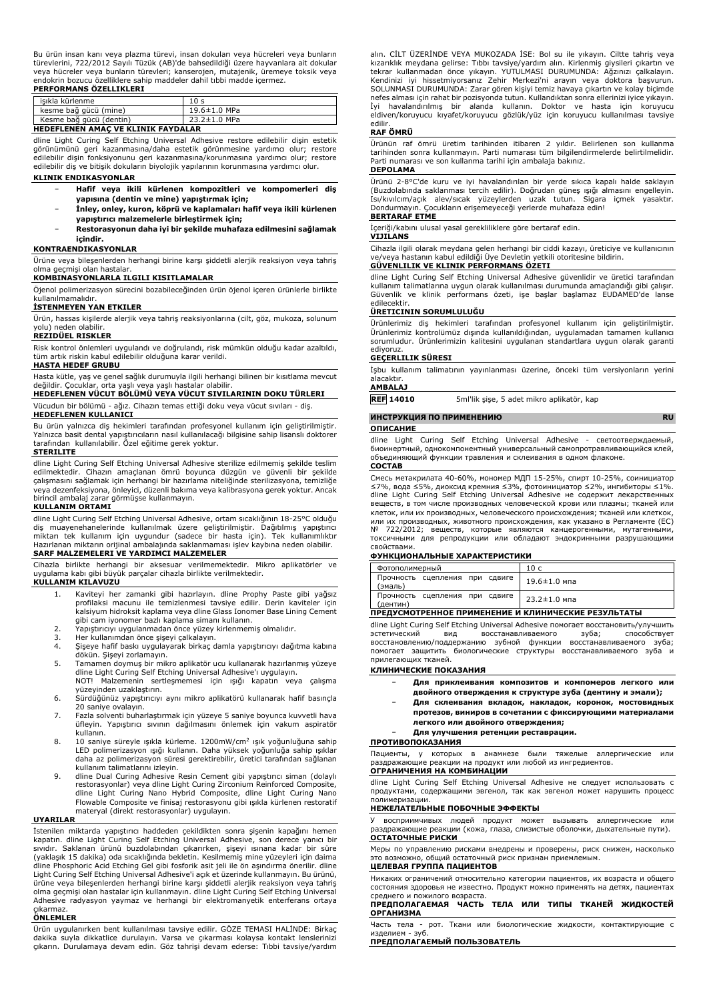Bu ürün insan kanı veya plazma türevi, insan dokuları veya hücreleri veya bunların türevlerini, 722/2012 Sayılı Tüzük (AB)'de bahsedildiği üzere hayvanlara ait dokular veya hücreler veya bunların türevleri; kanserojen, mutajenik, üremeye toksik veya endokrin bozucu özelliklere sahip maddeler dahil tıbbi madde içermez.

# **PERFORMANS ÖZELLIKLERI**

| isıkla kürlenme                           | 10 <sub>s</sub> |
|-------------------------------------------|-----------------|
| kesme bağ gücü (mine)                     | 19.6±1.0 MPa    |
| Kesme bağ gücü (dentin)                   | 23.2±1.0 MPa    |
| <b>UEBEELEMEN AMAC VE VITNTY EAVBALAD</b> |                 |

**HEDEFLENEN AMAÇ VE KLINIK FAYDALAR** dline Light Curing Self Etching Universal Adhesive restore edilebilir dişin estetik

görünümünü geri kazanmasına/daha estetik görünmesine yardımcı olur; restore edilebilir dişin fonksiyonunu geri kazanmasına/korunmasına yardımcı olur; restore edilebilir diş ve bitişik dokuların biyolojik yapılarının korunmasına yardımcı olur. **KLINIK ENDIKASYONLAR**

- − **Hafif veya ikili kürlenen kompozitleri ve kompomerleri diş yapısına (dentin ve mine) yapıştırmak için;**
- − **İnley, onley, kuron, köprü ve kaplamaları hafif veya ikili kürlenen yapıştırıcı malzemelerle birleştirmek için;**
- − **Restorasyonun daha iyi bir şekilde muhafaza edilmesini sağlamak içindir.**

#### **KONTRAENDIKASYONLAR**

Ürüne veya bileşenlerden herhangi birine karşı şiddetli alerjik reaksiyon veya tahriş olma geçmişi olan hastalar.

# **KOMBINASYONLARLA ILGILI KISITLAMALAR**

Öjenol polimerizasyon sürecini bozabileceğinden ürün öjenol içeren ürünlerle birlikte kullanılmamalıdır.

# **İSTENMEYEN YAN ETKILER**

Ürün, hassas kişilerde alerjik veya tahriş reaksiyonlarına (cilt, göz, mukoza, solunum yolu) neden olabilir.

# **REZIDÜEL RISKLER**

Risk kontrol önlemleri uygulandı ve doğrulandı, risk mümkün olduğu kadar azaltıldı, tüm artık riskin kabul edilebilir olduğuna karar verildi. **HASTA HEDEF GRUBU**

Hasta kütle, yaş ve genel sağlık durumuyla ilgili herhangi bilinen bir kısıtlama mevcut

# değildir. Çocuklar, orta yaşlı veya yaşlı hastalar olabilir. **HEDEFLENEN VÜCUT BÖLÜMÜ VEYA VÜCUT SIVILARININ DOKU TÜRLERI**

Vücudun bir bölümü - ağız. Cihazın temas ettiği doku veya vücut sıvıları - diş. **HEDEFLENEN KULLANICI**

Bu ürün yalnızca diş hekimleri tarafından profesyonel kullanım için geliştirilmiştir. Yalnızca basit dental yapıştırıcıların nasıl kullanılacağı bilgisine sahip lisanslı doktorer tarafından kullanılabilir. Özel eğitime gerek yoktur.

# **STERILITE**

dline Light Curing Self Etching Universal Adhesive sterilize edilmemiş şekilde teslim edilmektedir. Cihazın amaçlanan ömrü boyunca düzgün ve güvenli bir şekilde çalışmasını sağlamak için herhangi bir hazırlama niteliğinde sterilizasyona, temizliğe veya dezenfeksiyona, önleyici, düzenli bakıma veya kalibrasyona gerek yoktur. Ancak birincil ambalaj zarar görmüşse kullanmayın.

### **KULLANIM ORTAMI**

dline Light Curing Self Etching Universal Adhesive, ortam sıcaklığının 18-25°C olduğu diş muayenehanelerinde kullanılmak üzere geliştirilmiştir. Dağıtılmış yapıştırıcı<br>miktarı tek kullanım için uygundur (sadece bir hasta için). Tek kullanımlıktır<br>Hazırlanan miktarın orijinal ambalajında saklanmaması işlev k **SARF MALZEMELERI VE YARDIMCI MALZEMELER**

Cihazla birlikte herhangi bir aksesuar verilmemektedir. Mikro aplikatörler ve uygulama kabı gibi büyük parçalar cihazla birlikte verilmektedir.

# **KULLANIM KILAVUZU**

- 1. Kaviteyi her zamanki gibi hazırlayın. dline Prophy Paste gibi yağsız profilaksi macunu ile temizlenmesi tavsiye edilir. Derin kaviteler için kalsiyum hidroksit kaplama veya dline Glass Ionomer Base Lining Cement gibi cam iyonomer bazlı kaplama simanı kullanın.
- 2. Yapıştırıcıyı uygulanmadan önce yüzey kirlenmemiş olmalıdır.
- 3. Her kullanımdan önce şişeyi çalkalayın.<br>4. Şişeye hafif baskı uygulayarak birkaç d
- 4. Şişeye hafif baskı uygulayarak birkaç damla yapıştırıcıyı dağıtma kabına dökün. Şişeyi zorlamayın.
- 5. Tamamen doymuş bir mikro aplikatör ucu kullanarak hazırlanmış yüzeye dline Light Curing Self Etching Universal Adhesive'ı uygulayın. NOT! Malzemenin sertleşmemesi için ışığı kapatın veya çalışma
- yüzeyinden uzaklaştırın. 6. Sürdüğünüz yapıştırıcıyı aynı mikro aplikatörü kullanarak hafif basınçla 20 saniye ovalayın.
- 7. Fazla solventi buharlaştırmak için yüzeye 5 saniye boyunca kuvvetli hava üfleyin. Yapıştırıcı sıvının dağılmasını önlemek için vakum aspiratör kullanın.
- 8. 10 saniye süreyle ışıkla kürleme. 1200mW/cm<sup>2</sup> ışık yoğunluğuna sahip LED polimerizasyon ışığı kullanın. Daha yüksek yoğunluğa sahip ışıklar daha az polimerizasyon süresi gerektirebilir, üretici tarafından sağlanan kullanım talimatlarını izleyin.
- 9. dline Dual Curing Adhesive Resin Cement gibi yapıştırıcı siman (dolaylı restorasyonlar) veya dline Light Curing Zirconium Reinforced Composite, dline Light Curing Nano Hybrid Composite, dline Light Curing Nano Flowable Composite ve finisaj restorasyonu gibi ışıkla kürlenen restoratif materyal (direkt restorasyonlar) uygulayın.

# **UYARILAR**

İstenilen miktarda yapıştırıcı haddeden çekildikten sonra şişenin kapağını hemen kapatın. dline Light Curing Self Etching Universal Adhesive, son derece yanıcı bir sıvıdır. Saklanan ürünü buzdolabından çıkarırken, şişeyi ısınana kadar bir süre<br>(yaklaşık 15 dakika) oda sıcaklığında bekletin. Kesilmemiş mine yüzeyleri için daima<br>dline Phosphoric Acid Etching Gel gibi fosforik asit jeli Light Curing Self Etching Universal Adhesive'i açık et üzerinde kullanmayın. Bu ürünü, ürüne veya bileşenlerden herhangi birine karşı şiddetli alerjik reaksiyon veya tahriş olma geçmişi olan hastalar için kullanmayın. dline Light Curing Self Etching Universal Adhesive radyasyon yaymaz ve herhangi bir elektromanyetik enterferans ortaya

# çıkarmaz. **ÖNLEMLER**

Ürün uygulanırken bent kullanılması tavsiye edilir. GÖZE TEMASI HALİNDE: Birkaç dakika suyla dikkatlice durulayın. Varsa ve çıkarması kolaysa kontakt lenslerinizi çıkarın. Durulamaya devam edin. Göz tahrişi devam ederse: Tıbbi tavsiye/yardım alın. CİLT ÜZERİNDE VEYA MUKOZADA İSE: Bol su ile yıkayın. Ciltte tahriş veya kızarıklık meydana gelirse: Tıbbı tavsiye/yardım alın. Kirlenmiş giysileri çıkartın ve<br>tekrar kullanmadan önce yıkayın. YUTULMASI DURUMUNDA: Ağzınızı çalkalayın.<br>Kendinizi iyi hissetmiyorsanız Zehir Merkezi'ni arayın veya SOLUNMASI DURUMUNDA: Zarar gören kişiyi temiz havaya çıkartın ve kolay biçimde nefes alması için rahat bir pozisyonda tutun. Kullandıktan sonra ellerinizi iyice yıkayın.<br>İyi havalandırılmış bir alanda kullanın. Doktor ve hasta için koruyucu<br>eldiven/koruyucu kıyafet/koruyucu gözl edilir.

#### **RAF ÖMRÜ**

Ürünün raf ömrü üretim tarihinden itibaren 2 yıldır. Belirlenen son kullanma tarihinden sonra kullanmayın. Parti numarası tüm bilgilendirmelerde belirtilmelidir. Parti numarası ve son kullanma tarihi için ambalaja bakınız. **DEPOLAMA**

Ürünü 2-8°C'de kuru ve iyi havalandırılan bir yerde sıkıca kapalı halde saklayın (Buzdolabında saklanması tercih edilir). Doğrudan güneş ışığı almasını engelleyin.<br>Isı/kıvılcım/açık alev/sıcak yüzeylerden uzak tutun. Sigara içmek yasaktır.<br>Dondurmayın. Çocukların erişemeyeceği yerlerde muhafaza **BERTARAF ETME**

İçeriği/kabını ulusal yasal gerekliliklere göre bertaraf edin.

# **VIJILANS**

Cihazla ilgili olarak meydana gelen herhangi bir ciddi kazayı, üreticiye ve kullanıcının ve/veya hastanın kabul edildiği Üye Devletin yetkili otoritesine bildirin.

# **GÜVENLILIK VE KLINIK PERFORMANS ÖZETI**

dline Light Curing Self Etching Universal Adhesive güvenlidir ve üretici tarafından kullanım talimatlarına uygun olarak kullanılması durumunda amaçlandığı gibi çalışır. Güvenlik ve klinik performans özeti, işe başlar başlamaz EUDAMED'de lanse edilecektir.

# **ÜRETICININ SORUMLULUĞU**

Ürünlerimiz diş hekimleri tarafından profesyonel kullanım için geliştirilmiştir. Ürünlerimiz kontrolümüz dışında kullanıldığından, uygulamadan tamamen kullanıcı sorumludur. Ürünlerimizin kalitesini uygulanan standartlara uygun olarak garanti ediyoruz.

# **GEÇERLILIK SÜRESI**

İşbu kullanım talimatının yayınlanması üzerine, önceki tüm versiyonların yerini alacaktır.

# **AMBALAJ**

**ОПИСАНИЕ**

**REF 14010** 5ml'lik şişe, 5 adet mikro aplikatör, kap

**ИНСТРУКЦИЯ ПО ПРИМЕНЕНИЮ RU**

dline Light Curing Self Etching Universal Adhesive - светоотверждаемый, биоинертный, однокомпонентный универсальный самопротравливающийся клей, объединяющий функции травления и склеивания в одном флаконе. **СОСТАВ**

#### Смесь метакрилата 40-60%, мономер МДП 15-25%, спирт 10-25%, соинициатор ≤7%, вода ≤5%, диоксид кремния ≤3%, фотоинициатор ≤2%, ингибиторы ≤1%. dline Light Curing Self Etching Universal Adhesive не содержит лекарственных веществ, в том числе производных человеческой крови или плазмы; тканей или клеток, или их производных, человеческого происхождения; тканей или клеткок, или их производных, животного происхождения, как указано в Регламенте (ЕС) № 722/2012; веществ, которые являются канцерогенными, мутагенными, токсичными для репродукции или обладают эндокринными разрушающими свойствами.

#### **ФУНКЦИОНАЛЬНЫЕ ХАРАКТЕРИСТИКИ**

| Фотополимерный                             | 10 c               |
|--------------------------------------------|--------------------|
| Прочность сцепления при сдвиге<br>(эмаль)  | $19.6 \pm 1.0$ мпа |
| Прочность сцепления при сдвиге<br>(дентин) | $23.2 \pm 1.0$ мпа |

#### **ПРЕДУСМОТРЕННОЕ ПРИМЕНЕНИЕ И КЛИНИЧЕСКИЕ РЕЗУЛЬТАТЫ**

dline Light Curing Self Etching Universal Adhesive помогает восстановить/улучшить эстетический вид восстанавливаемого зуба; способствует восстановлению/поддержанию зубной функции восстанавливаемого зуба; помогает защитить биологические структуры восстанавливаемого зуба и прилегающих тканей.

## **КЛИНИЧЕСКИЕ ПОКАЗАНИЯ**

- − **Для приклеивания композитов и компомеров легкого или двойного отверждения к структуре зуба (дентину и эмали);**
	-
- − **Для склеивания вкладок, накладок, коронок, мостовидных протезов, виниров в сочетании с фиксирующими материалами легкого или двойного отверждения;**
- − **Для улучшения ретенции реставрации.**

#### **ПРОТИВОПОКАЗАНИЯ**

Пациенты, у которых в анамнезе были тяжелые аллергические или раздражающие реакции на продукт или любой из ингредиентов.

#### **ОГРАНИЧЕНИЯ НА КОМБИНАЦИИ**

dline Light Curing Self Etching Universal Adhesive не следует использовать с продуктами, содержащими эвгенол, так как эвгенол может нарушить процесс полимеризации.

#### **НЕЖЕЛАТЕЛЬНЫЕ ПОБОЧНЫЕ ЭФФЕКТЫ**

У восприимчивых людей продукт может вызывать аллергические или раздражающие реакции (кожа, глаза, слизистые оболочки, дыхательные пути). **ОСТАТОЧНЫЕ РИСКИ**

# Меры по управлению рисками внедрены и проверены, риск снижен, насколько это возможно, общий остаточный риск признан приемлемым. **ЦЕЛЕВАЯ ГРУППА ПАЦИЕНТОВ**

Никаких ограничений относительно категории пациентов, их возраста и общего состояния здоровья не известно. Продукт можно применять на детях, пациентах среднего и пожилого возраста.

#### **ПРЕДПОЛАГАЕМАЯ ЧАСТЬ ТЕЛА ИЛИ ТИПЫ ТКАНЕЙ ЖИДКОСТЕЙ ОРГАНИЗМА**

Часть тела - рот. Ткани или биологические жидкости, контактирующие с изделием - зуб.

**ПРЕДПОЛАГАЕМЫЙ ПОЛЬЗОВАТЕЛЬ**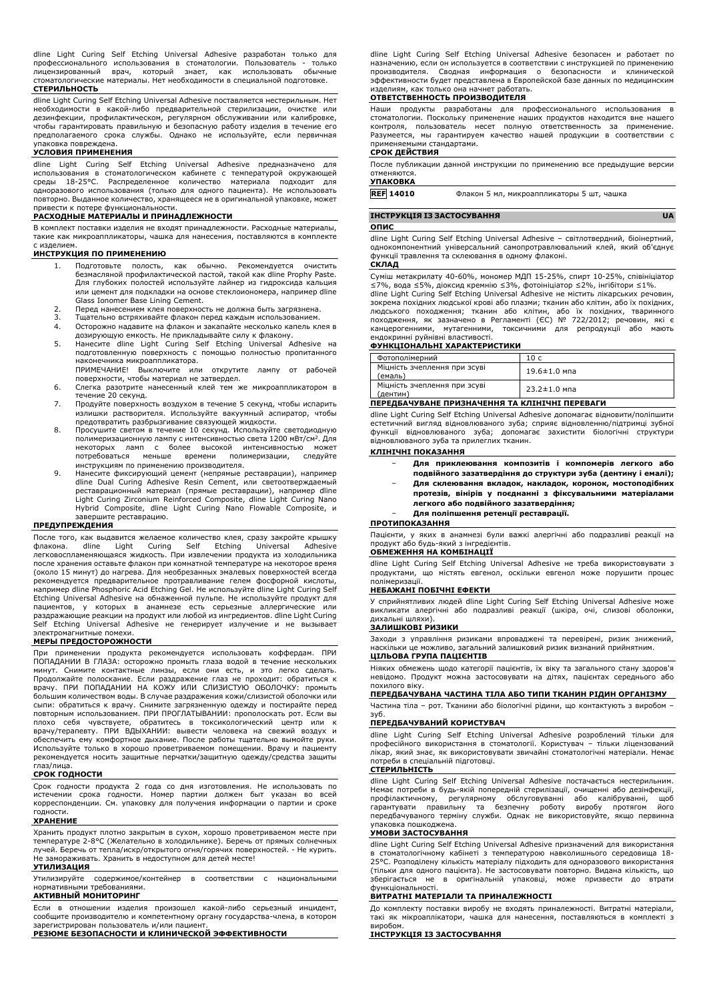dline Light Curing Self Etching Universal Adhesive разработан только для профессионального использования в стоматологии. Пользователь - только лицензированный врач, который знает, как использовать обычные стоматологические материалы. Нет необходимости в специальной подготовке. **СТЕРИЛЬНОСТЬ**

dline Light Curing Self Etching Universal Adhesive поставляется нестерильным. Нет необходимости в какой-либо предварительной стерилизации, очистке или дезинфекции, профилактическом, регулярном обслуживании или калибровке, чтобы гарантировать правильную и безопасную работу изделия в течение его предполагаемого срока службы. Однако не используйте, если первичная

# упаковка повреждена. **УСЛОВИЯ ПРИМЕНЕНИЯ**

dline Light Curing Self Etching Universal Adhesive предназначено для использования в стоматологическом кабинете с температурой окружающей среды 18-25°C. Распределенное количество материала подходит для одноразового использования (только для одного пациента). Не использовать повторно. Выданное количество, хранящееся не в оригинальной упаковке, может привести к потере функциональности.

## **РАСХОДНЫЕ МАТЕРИАЛЫ И ПРИНАДЛЕЖНОСТИ**

В комплект поставки изделия не входят принадлежности. Расходные материалы, такие как микроаппликаторы, чашка для нанесения, поставляются в комплекте с изделием.

# **ИНСТРУКЦИЯ ПО ПРИМЕНЕНИЮ**

- 1. Подготовьте полость, как обычно. Рекомендуется очистить безмасляной профилактической пастой, такой как dline Prophy Paste. Для глубоких полостей используйте лайнер из гидроксида кальция или цемент для подкладки на основе стеклоиономера, например dline Glass Ionomer Base Lining Cement.
- 2. Перед нанесением клея поверхность не должна быть загрязнена. 3. Тщательно встряхивайте флакон перед каждым использованием.
- 
- 4. Осторожно надавите на флакон и закапайте несколько капель клея в
- дозирующую емкость. Не прикладывайте силу к флакону.<br>5. Нанесите dline Light Curing Self Etching Universal Adhesive на<br>подготовленную поверхность с помощью полностью пропитанного наконечника микроаппликатора.
- ПРИМЕЧАНИЕ! Выключите или открутите лампу от рабочей поверхности, чтобы материал не затвердел. 6. Слегка разотрите нанесенный клей тем же микроаппликатором в
- течение 20 секунд.
- 7. Продуйте поверхность воздухом в течение 5 секунд, чтобы испарить излишки растворителя. Используйте вакуумный аспиратор, чтобы предотвратить разбрызгивание связующей жидкости.
- 8. Просушите светом в течение 10 секунд. Используйте светодиодную полимеризационную лампу с интенсивностью света 1200 мВт/см<sup>2</sup>. Для<br>некоторых ламп с более высокой интенсивностью<br>потребоваться меньше времени полимеризации, следуйте инструкциям по применению производителя.
- 9. Нанесите фиксирующий цемент (непрямые реставрации), например dline Dual Curing Adhesive Resin Cement, или светоотверждаемый реставрационный материал (прямые реставрации), например dline Light Curing Zirconium Reinforced Composite, dline Light Curing Nano Hybrid Composite, dline Light Curing Nano Flowable Composite, и завершите реставрацию.

## **ПРЕДУПРЕЖДЕНИЯ**

После того, как выдавится желаемое количество клея, сразу закройте крышку флакона. dline Light Curing Self Etching Universal Adhesive легковоспламеняющаяся жидкость. При извлечении продукта из холодильника после хранения оставьте флакон при комнатной температуре на некоторое время (около 15 минут) до нагрева. Для необрезанных эмалевых поверхностей всегда рекомендуется предварительное протравливание гелем фосфорной кислоты, например dline Phosphoric Acid Etching Gel. Не используйте dline Light Curing Self Etching Universal Adhesive на обнаженной пульпе. Не используйте продукт для пациентов, у которых в анамнезе есть серьезные аллергические или<br>раздражающие реакции на продукт или любой из ингредиентов. dline Light Curing<br>Self Etching Universal Adhesive не генерирует излучение и не вызывает электромагнитные помехи.

#### **МЕРЫ ПРЕДОСТОРОЖНОСТИ**

При применении продукта рекомендуется использовать коффердам. ПРИ ПОПАДАНИИ В ГЛАЗА: осторожно промыть глаза водой в течение нескольких минут. Снимите контактные линзы, если они есть, и это легко сделать. Продолжайте полоскание. Если раздражение глаз не проходит: обратиться к врачу. ПРИ ПОПАДАНИИ НА КОЖУ ИЛИ СЛИЗИСТУЮ ОБОЛОЧКУ: промыть большим количеством воды. В случае раздражения кожи/слизистой оболочки или сыпи: обратиться к врачу. Снимите загрязненную одежду и постирайте перед повторным использованием. ПРИ ПРОГЛАТЫВАНИИ: прополоскать рот. Если вы плохо себя чувствуете, обратитесь в токсикологический центр или к врачу/терапевту. ПРИ ВДЫХАНИИ: вывести человека на свежий воздух и обеспечить ему комфортное дыхание. После работы тщательно вымойте руки. Используйте только в хорошо проветриваемом помещении. Врачу и пациенту рекомендуется носить защитные перчатки/защитную одежду/средства защиты глаз/лица.

### **СРОК ГОДНОСТИ**

Срок годности продукта 2 года со дня изготовления. Не использовать по истечении срока годности. Номер партии должен быт указан во всей корреспонденции. См. упаковку для получения информации о партии и сроке годности.

#### **ХРАНЕНИЕ**

Хранить продукт плотно закрытым в сухом, хорошо проветриваемом месте при температуре 2-8°C (Желательно в холодильнике). Беречь от прямых солнечных лучей. Беречь от тепла/искр/открытого огня/горячих поверхностей. - Не курить. Не замораживать. Хранить в недоступном для детей месте!

#### **УТИЛИЗАЦИЯ**

Утилизируйте содержимое/контейнер в соответствии с национальными нормативными требованиями.

## **АКТИВНЫЙ МОНИТОРИНГ**

Если в отношении изделия произошел какой-либо серьезный инцидент, сообщите производителю и компетентному органу государства-члена, в котором зарегистрирован пользователь и/или пациент.

# **РЕЗЮМЕ БЕЗОПАСНОСТИ И КЛИНИЧЕСКОЙ ЭФФЕКТИВНОСТИ**

dline Light Curing Self Etching Universal Adhesive безопасен и работает по назначению, если он используется в соответствии с инструкцией по применению производителя. Сводная информация о безопасности и клинической эффективности будет представлена в Европейской базе данных по медицинским изделиям, как только она начнет работать.

#### **ОТВЕТСТВЕННОСТЬ ПРОИЗВОДИТЕЛЯ**

Наши продукты разработаны для профессионального использования в<br>стоматологии.Поскольку применение наших продуктов находится вне нашего<br>контроля, пользователь несет полную ответственность за применение. Разумеется, мы гарантируем качество нашей продукции в соответствии с применяемыми стандартами.

# **СРОК ДЕЙСТВИЯ**

После публикации данной инструкции по применению все предыдущие версии отменяются.

### **УПАКОВКА**

**REF 14010** Флакон 5 мл, микроаппликаторы 5 шт, чашка

# **ІНСТРУКЦІЯ ІЗ ЗАСТОСУВАННЯ UA ОПИС**

dline Light Curing Self Etching Universal Adhesive – світлотвердний, біоінертний, однокомпонентний універсальний самопротравлювальний клей, який об'єднує функції травлення та склеювання в одному флаконі.

#### **СКЛАД**

Суміш метакрилату 40-60%, мономер МДП 15-25%, спирт 10-25%, співініціатор ≤7%, вода ≤5%, діоксид кремнію ≤3%, фотоініціатор ≤2%, інгібітори ≤1%. dline Light Curing Self Etching Universal Adhesive не містить лікарських речовин, зокрема похідних людської крові або плазми; тканин або клітин, або їх похідних,<br>людського походження; тканин або клітин, або їх похідних, тваринного<br>походження, як зазначено в Регламенті (ЄС) № канцерогенними, мутагенними, токсичними для репродукції або мають ендокринні руйнівні властивості.

# **ФУНКЦІОНАЛЬНІ ХАРАКТЕРИСТИКИ**

| Фотополімерний                           | 10 c                           |
|------------------------------------------|--------------------------------|
| Міцність зчеплення при зсуві<br>(емаль)  | $19.6 \pm 1.0$ мпа             |
| Міцність зчеплення при зсуві<br>(дентин) | $23.2 \pm 1.0$ M <sub>na</sub> |

# **ПЕРЕДБАЧУВАНЕ ПРИЗНАЧЕННЯ ТА КЛІНІЧНІ ПЕРЕВАГИ**

dline Light Curing Self Etching Universal Adhesive допомагає відновити/поліпшити естетичний вигляд відновлюваного зуба; сприяє відновленню/підтримці зубної функції відновлюваного зуба; допомагає захистити біологічні структури відновлюваного зуба та прилеглих тканин.

#### **КЛІНІЧНІ ПОКАЗАННЯ**

- − **Для приклеювання композитів і компомерів легкого або**
- **подвійного зазатвердіння до структури зуба (дентину і емалі);** − **Для склеювання вкладок, накладок, коронок, мостоподібних протезів, вінірів у поєднанні з фіксувальними матеріалами легкого або подвійного зазатвердіння;**
- − **Для поліпшення ретенції реставрації.**

#### **ПРОТИПОКАЗАННЯ**

Пацієнти, у яких в анамнезі були важкі алергічні або подразливі реакції на продукт або будь-який з інгредієнтів.

# **ОБМЕЖЕННЯ НА КОМБІНАЦІЇ**

dline Light Curing Self Etching Universal Adhesive не треба використовувати з продуктами, що містять евгенол, оскільки евгенол може порушити процес полімеризації.

# **НЕБАЖАНІ ПОБІЧНІ ЕФЕКТИ**

У сприйнятливих людей dline Light Curing Self Etching Universal Adhesive може викликати алергічні або подразливі реакції (шкіра, очі, слизові оболонки, дихальні шляхи).

# **ЗАЛИШКОВІ РИЗИКИ**

Заходи з управління ризиками впроваджені та перевірені, ризик знижений, наскільки це можливо, загальний залишковий ризик визнаний прийнятним. **ЦІЛЬОВА ГРУПА ПАЦІЄНТІВ**

Ніяких обмежень щодо категорії пацієнтів, їх віку та загального стану здоров'я невідомо. Продукт можна застосовувати на дітях, пацієнтах середнього або похилого віку.

# **ПЕРЕДБАЧУВАНА ЧАСТИНА ТІЛА АБО ТИПИ ТКАНИН РІДИН ОРГАНІЗМУ**

Частина тіла – рот. Тканини або біологічні рідини, що контактують з виробом – зуб. **ПЕРЕДБАЧУВАНИЙ КОРИСТУВАЧ**

dline Light Curing Self Etching Universal Adhesive розроблений тільки для професійного використання в стоматології. Користувач – тільки ліцензований лікар, який знає, як використовувати звичайні стоматологічні матеріали. Немає .<br>би в спеціальній підготовці.

### **СТЕРИЛЬНІСТЬ**

dline Light Curing Self Etching Universal Adhesive постачається нестерильним. Немає потреби в будь-якій попередній стерилізації, очищенні або дезінфекції, профілактичному, регулярному обслуговуванні або калібруванні, щоб<br>гарантувати правильну та безпечну роботу виробу протягом його<br>передбачуваного терміну служби. Однак не використовуйте, якщо первинна упаковка пошкоджена.

#### **УМОВИ ЗАСТОСУВАННЯ**

dline Light Curing Self Etching Universal Adhesive призначений для використання в стоматологічному кабінеті з температурою навколишнього середовища 18- 25°C. Розподілену кількість матеріалу підходить для одноразового використання (тільки для одного пацієнта). Не застосовувати повторно. Видана кількість, що зберігається не в оригінальній упаковці, може призвести до втрати функціональності.

# **ВИТРАТНІ МАТЕРІАЛИ ТА ПРИНАЛЕЖНОСТІ**

До комплекту поставки виробу не входять приналежності. Витратні матеріали, такі як мікроаплікатори, чашка для нанесення, поставляються в комплекті з виробом.

## **ІНСТРУКЦІЯ ІЗ ЗАСТОСУВАННЯ**